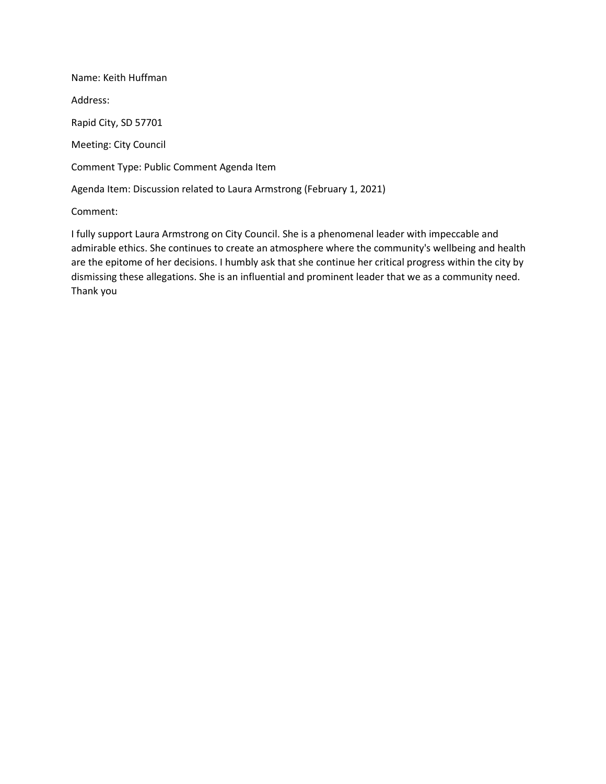Name: Keith Huffman Address: Rapid City, SD 57701 Meeting: City Council Comment Type: Public Comment Agenda Item Agenda Item: Discussion related to Laura Armstrong (February 1, 2021)

Comment:

I fully support Laura Armstrong on City Council. She is a phenomenal leader with impeccable and admirable ethics. She continues to create an atmosphere where the community's wellbeing and health are the epitome of her decisions. I humbly ask that she continue her critical progress within the city by dismissing these allegations. She is an influential and prominent leader that we as a community need. Thank you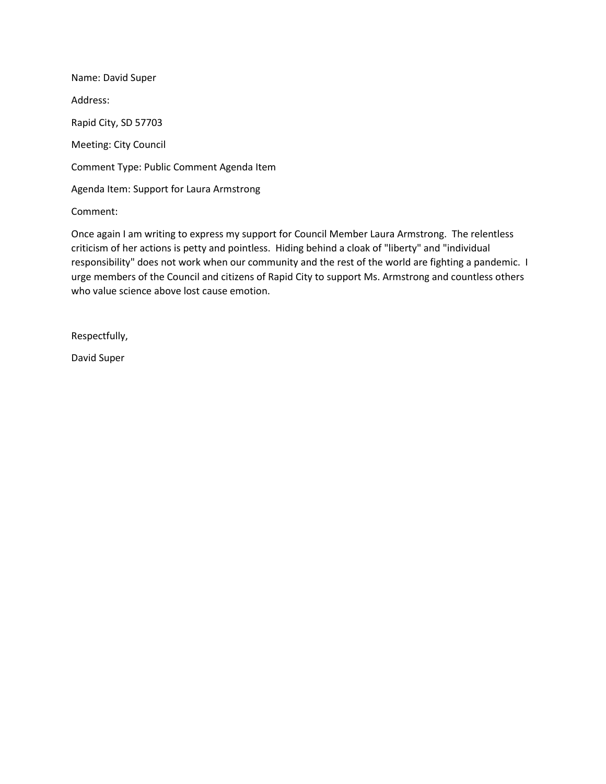Name: David Super Address: Rapid City, SD 57703 Meeting: City Council Comment Type: Public Comment Agenda Item Agenda Item: Support for Laura Armstrong

Comment:

Once again I am writing to express my support for Council Member Laura Armstrong. The relentless criticism of her actions is petty and pointless. Hiding behind a cloak of "liberty" and "individual responsibility" does not work when our community and the rest of the world are fighting a pandemic. I urge members of the Council and citizens of Rapid City to support Ms. Armstrong and countless others who value science above lost cause emotion.

Respectfully,

David Super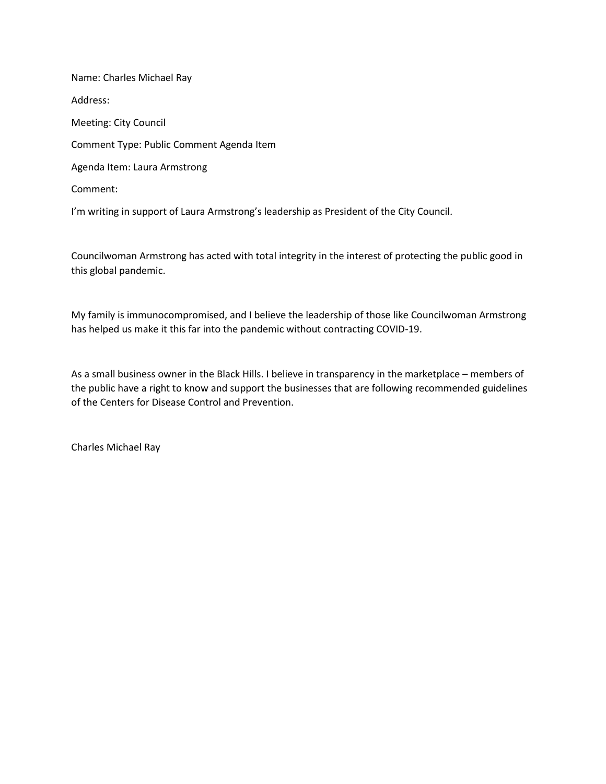Name: Charles Michael Ray Address: Meeting: City Council Comment Type: Public Comment Agenda Item Agenda Item: Laura Armstrong Comment:

I'm writing in support of Laura Armstrong's leadership as President of the City Council.

Councilwoman Armstrong has acted with total integrity in the interest of protecting the public good in this global pandemic.

My family is immunocompromised, and I believe the leadership of those like Councilwoman Armstrong has helped us make it this far into the pandemic without contracting COVID-19.

As a small business owner in the Black Hills. I believe in transparency in the marketplace – members of the public have a right to know and support the businesses that are following recommended guidelines of the Centers for Disease Control and Prevention.

Charles Michael Ray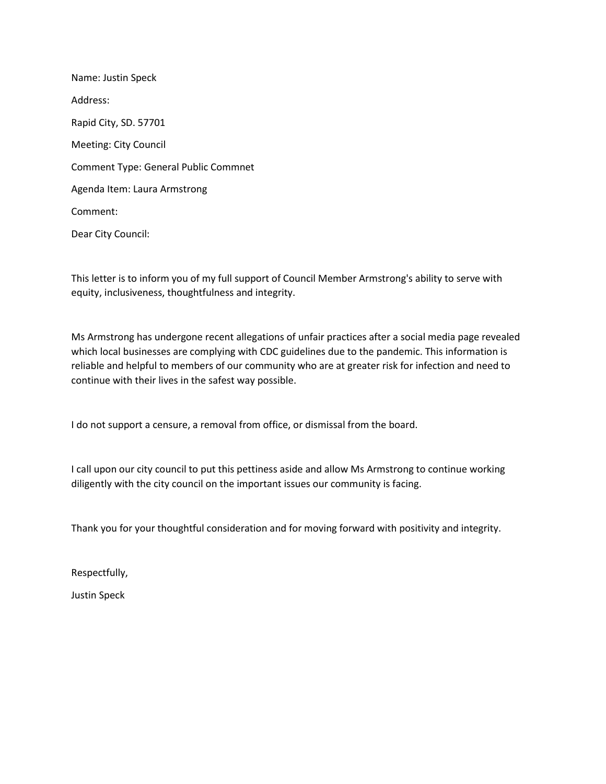Name: Justin Speck Address: Rapid City, SD. 57701 Meeting: City Council Comment Type: General Public Commnet Agenda Item: Laura Armstrong Comment: Dear City Council:

This letter is to inform you of my full support of Council Member Armstrong's ability to serve with equity, inclusiveness, thoughtfulness and integrity.

Ms Armstrong has undergone recent allegations of unfair practices after a social media page revealed which local businesses are complying with CDC guidelines due to the pandemic. This information is reliable and helpful to members of our community who are at greater risk for infection and need to continue with their lives in the safest way possible.

I do not support a censure, a removal from office, or dismissal from the board.

I call upon our city council to put this pettiness aside and allow Ms Armstrong to continue working diligently with the city council on the important issues our community is facing.

Thank you for your thoughtful consideration and for moving forward with positivity and integrity.

Respectfully,

Justin Speck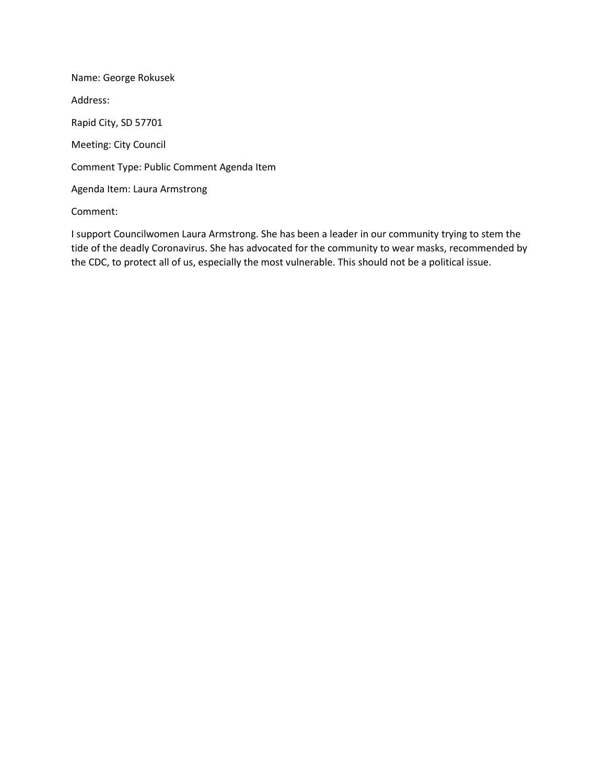Name: George Rokusek Address: Rapid City, SD 57701 Meeting: City Council Comment Type: Public Comment Agenda Item Agenda Item: Laura Armstrong

Comment:

I support Councilwomen Laura Armstrong. She has been a leader in our community trying to stem the tide of the deadly Coronavirus. She has advocated for the community to wear masks, recommended by the CDC, to protect all of us, especially the most vulnerable. This should not be a political issue.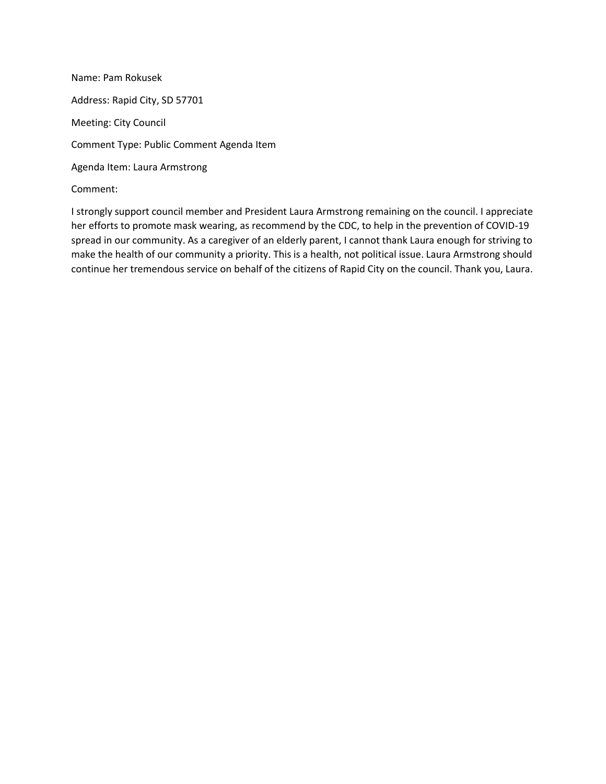Name: Pam Rokusek Address: Rapid City, SD 57701 Meeting: City Council Comment Type: Public Comment Agenda Item Agenda Item: Laura Armstrong Comment:

I strongly support council member and President Laura Armstrong remaining on the council. I appreciate her efforts to promote mask wearing, as recommend by the CDC, to help in the prevention of COVID-19 spread in our community. As a caregiver of an elderly parent, I cannot thank Laura enough for striving to make the health of our community a priority. This is a health, not political issue. Laura Armstrong should continue her tremendous service on behalf of the citizens of Rapid City on the council. Thank you, Laura.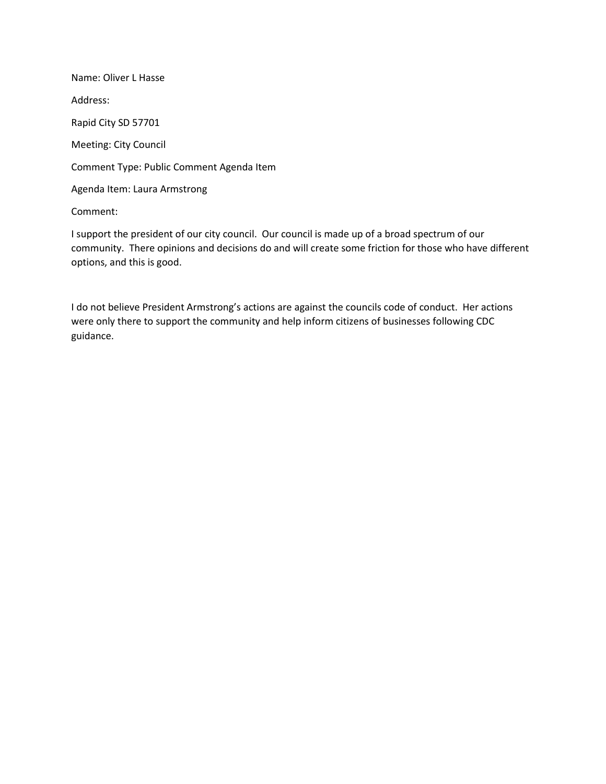Name: Oliver L Hasse Address: Rapid City SD 57701 Meeting: City Council Comment Type: Public Comment Agenda Item Agenda Item: Laura Armstrong

Comment:

I support the president of our city council. Our council is made up of a broad spectrum of our community. There opinions and decisions do and will create some friction for those who have different options, and this is good.

I do not believe President Armstrong's actions are against the councils code of conduct. Her actions were only there to support the community and help inform citizens of businesses following CDC guidance.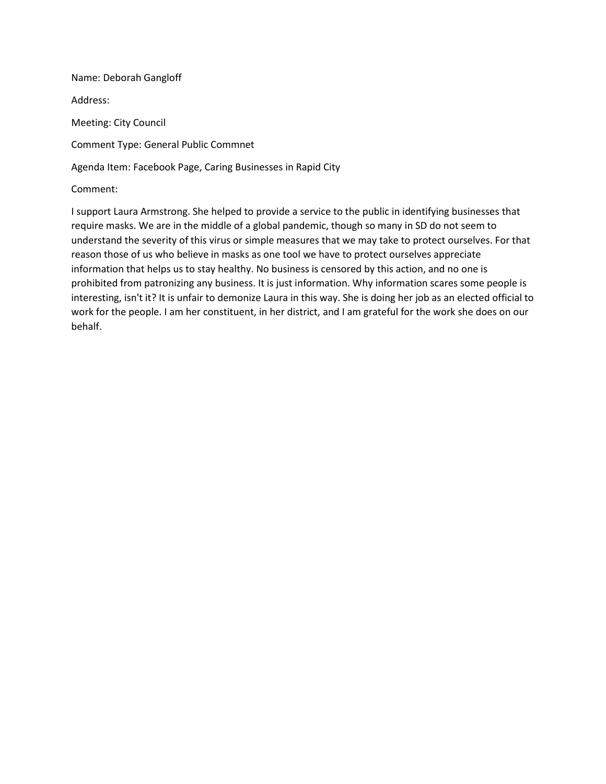Name: Deborah Gangloff Address: Meeting: City Council Comment Type: General Public Commnet Agenda Item: Facebook Page, Caring Businesses in Rapid City Comment:

I support Laura Armstrong. She helped to provide a service to the public in identifying businesses that require masks. We are in the middle of a global pandemic, though so many in SD do not seem to understand the severity of this virus or simple measures that we may take to protect ourselves. For that reason those of us who believe in masks as one tool we have to protect ourselves appreciate information that helps us to stay healthy. No business is censored by this action, and no one is prohibited from patronizing any business. It is just information. Why information scares some people is interesting, isn't it? It is unfair to demonize Laura in this way. She is doing her job as an elected official to work for the people. I am her constituent, in her district, and I am grateful for the work she does on our behalf.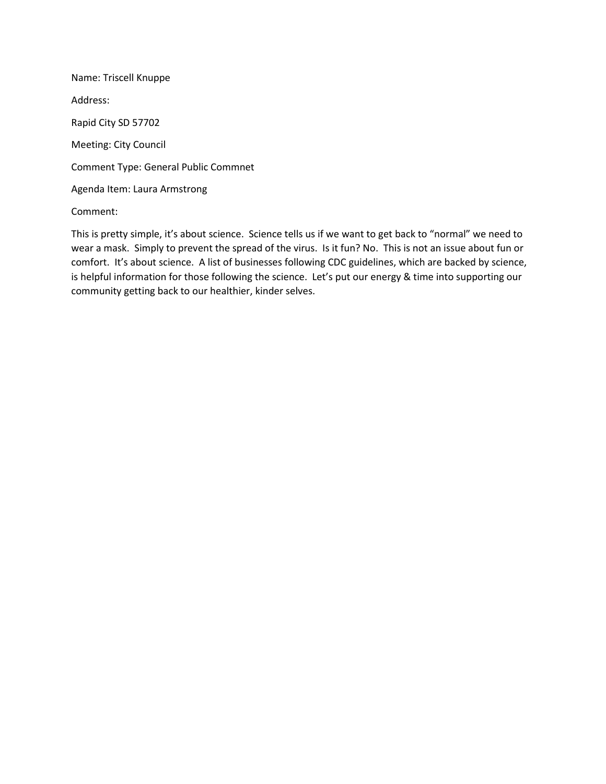Name: Triscell Knuppe Address: Rapid City SD 57702 Meeting: City Council Comment Type: General Public Commnet Agenda Item: Laura Armstrong

Comment:

This is pretty simple, it's about science. Science tells us if we want to get back to "normal" we need to wear a mask. Simply to prevent the spread of the virus. Is it fun? No. This is not an issue about fun or comfort. It's about science. A list of businesses following CDC guidelines, which are backed by science, is helpful information for those following the science. Let's put our energy & time into supporting our community getting back to our healthier, kinder selves.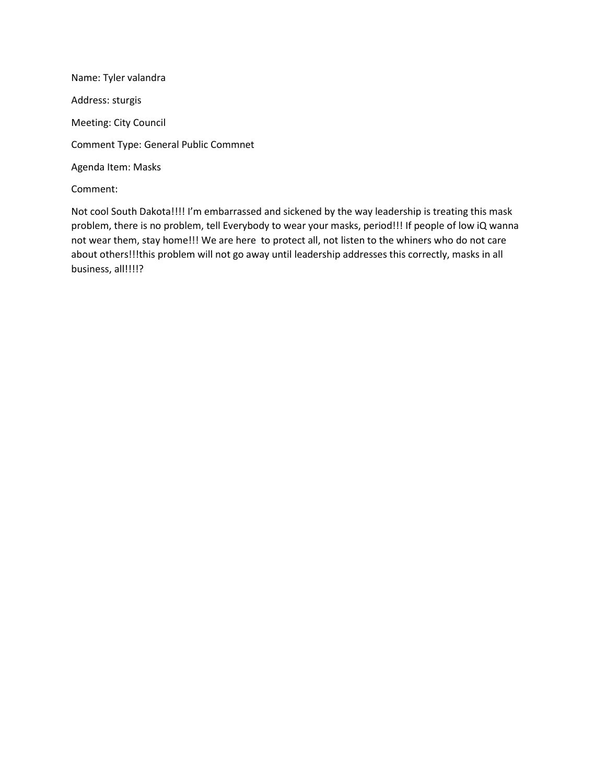Name: Tyler valandra Address: sturgis Meeting: City Council Comment Type: General Public Commnet Agenda Item: Masks Comment:

Not cool South Dakota!!!! I'm embarrassed and sickened by the way leadership is treating this mask problem, there is no problem, tell Everybody to wear your masks, period!!! If people of low iQ wanna not wear them, stay home!!! We are here to protect all, not listen to the whiners who do not care about others!!!this problem will not go away until leadership addresses this correctly, masks in all business, all!!!!?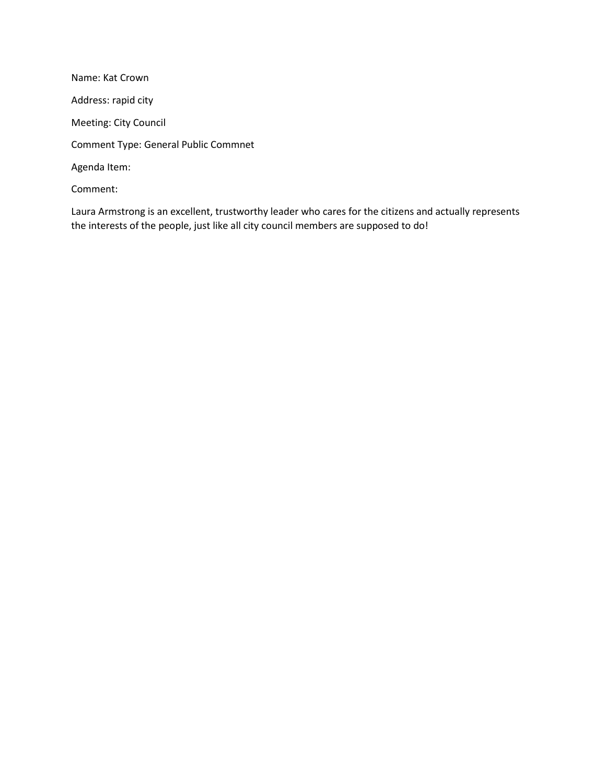Name: Kat Crown Address: rapid city Meeting: City Council Comment Type: General Public Commnet Agenda Item: Comment:

Laura Armstrong is an excellent, trustworthy leader who cares for the citizens and actually represents the interests of the people, just like all city council members are supposed to do!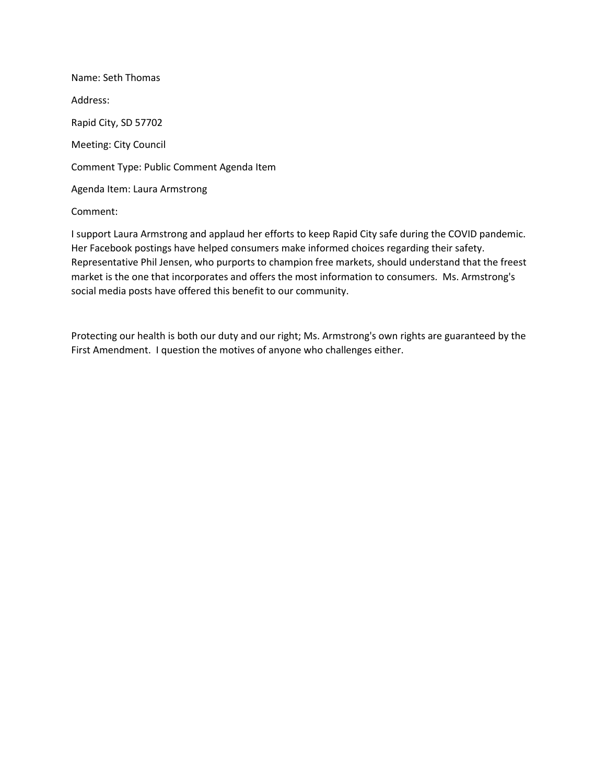Name: Seth Thomas Address: Rapid City, SD 57702 Meeting: City Council Comment Type: Public Comment Agenda Item Agenda Item: Laura Armstrong

Comment:

I support Laura Armstrong and applaud her efforts to keep Rapid City safe during the COVID pandemic. Her Facebook postings have helped consumers make informed choices regarding their safety. Representative Phil Jensen, who purports to champion free markets, should understand that the freest market is the one that incorporates and offers the most information to consumers. Ms. Armstrong's social media posts have offered this benefit to our community.

Protecting our health is both our duty and our right; Ms. Armstrong's own rights are guaranteed by the First Amendment. I question the motives of anyone who challenges either.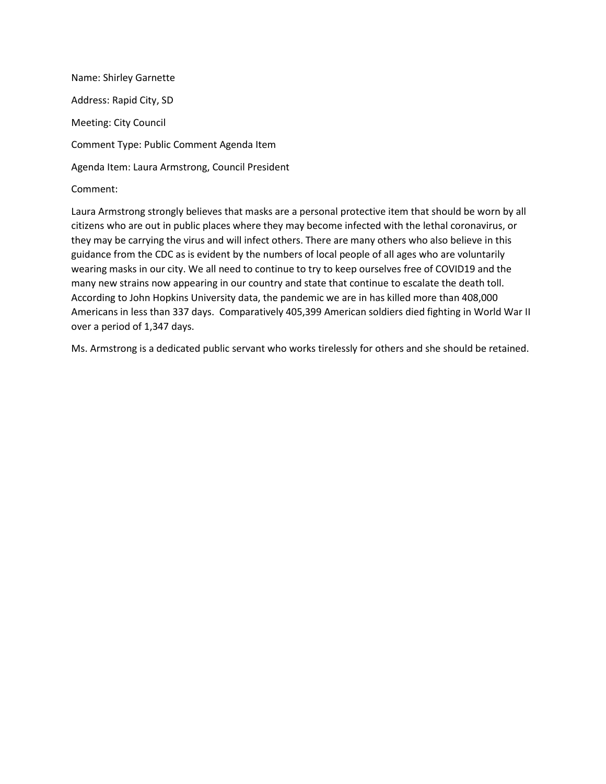Name: Shirley Garnette Address: Rapid City, SD Meeting: City Council Comment Type: Public Comment Agenda Item Agenda Item: Laura Armstrong, Council President Comment:

Laura Armstrong strongly believes that masks are a personal protective item that should be worn by all citizens who are out in public places where they may become infected with the lethal coronavirus, or they may be carrying the virus and will infect others. There are many others who also believe in this guidance from the CDC as is evident by the numbers of local people of all ages who are voluntarily wearing masks in our city. We all need to continue to try to keep ourselves free of COVID19 and the many new strains now appearing in our country and state that continue to escalate the death toll. According to John Hopkins University data, the pandemic we are in has killed more than 408,000 Americans in less than 337 days. Comparatively 405,399 American soldiers died fighting in World War II over a period of 1,347 days.

Ms. Armstrong is a dedicated public servant who works tirelessly for others and she should be retained.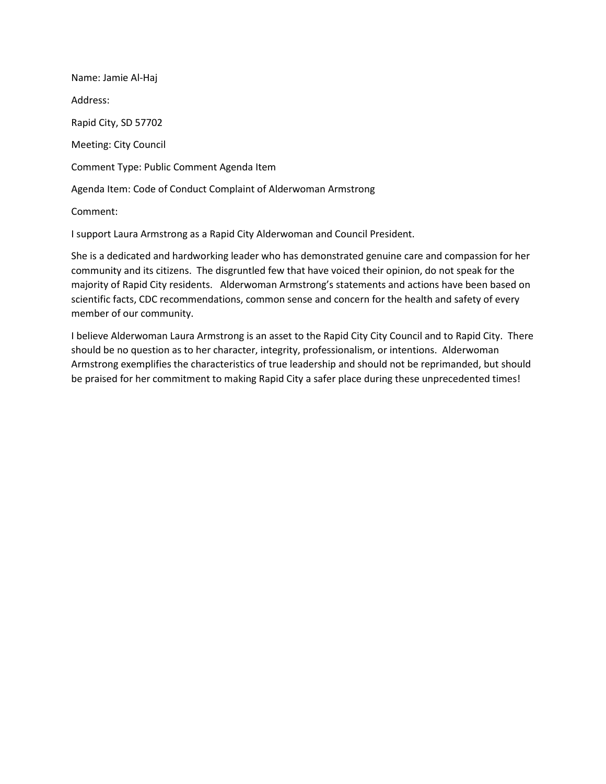Name: Jamie Al-Haj Address: Rapid City, SD 57702 Meeting: City Council Comment Type: Public Comment Agenda Item Agenda Item: Code of Conduct Complaint of Alderwoman Armstrong Comment:

I support Laura Armstrong as a Rapid City Alderwoman and Council President.

She is a dedicated and hardworking leader who has demonstrated genuine care and compassion for her community and its citizens. The disgruntled few that have voiced their opinion, do not speak for the majority of Rapid City residents. Alderwoman Armstrong's statements and actions have been based on scientific facts, CDC recommendations, common sense and concern for the health and safety of every member of our community.

I believe Alderwoman Laura Armstrong is an asset to the Rapid City City Council and to Rapid City. There should be no question as to her character, integrity, professionalism, or intentions. Alderwoman Armstrong exemplifies the characteristics of true leadership and should not be reprimanded, but should be praised for her commitment to making Rapid City a safer place during these unprecedented times!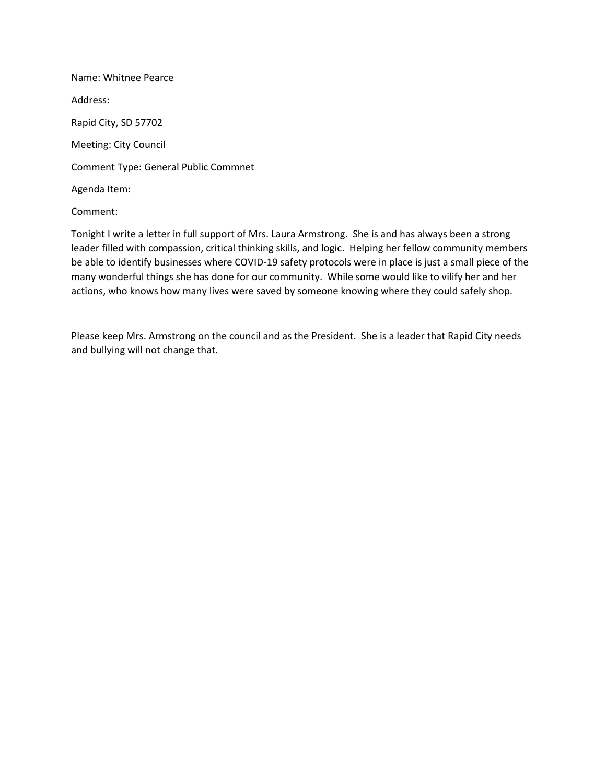Name: Whitnee Pearce Address: Rapid City, SD 57702 Meeting: City Council Comment Type: General Public Commnet Agenda Item:

### Comment:

Tonight I write a letter in full support of Mrs. Laura Armstrong. She is and has always been a strong leader filled with compassion, critical thinking skills, and logic. Helping her fellow community members be able to identify businesses where COVID-19 safety protocols were in place is just a small piece of the many wonderful things she has done for our community. While some would like to vilify her and her actions, who knows how many lives were saved by someone knowing where they could safely shop.

Please keep Mrs. Armstrong on the council and as the President. She is a leader that Rapid City needs and bullying will not change that.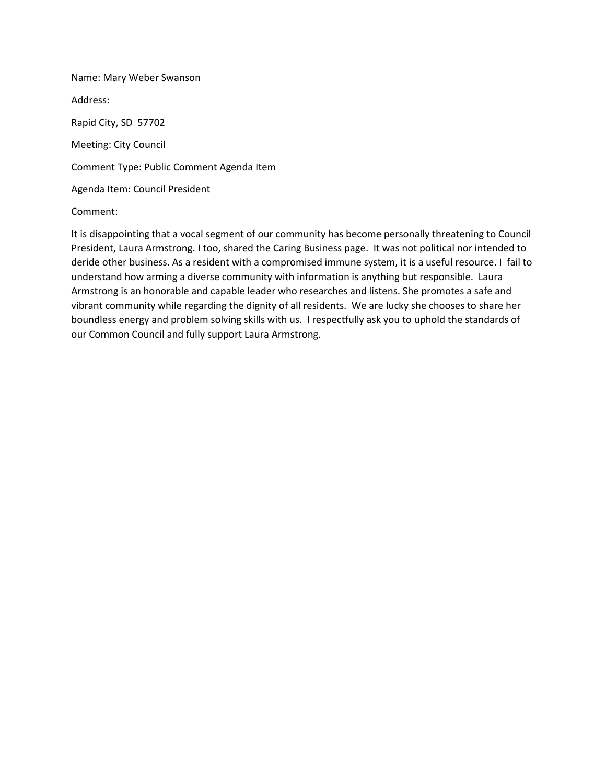Name: Mary Weber Swanson Address: Rapid City, SD 57702 Meeting: City Council Comment Type: Public Comment Agenda Item Agenda Item: Council President

#### Comment:

It is disappointing that a vocal segment of our community has become personally threatening to Council President, Laura Armstrong. I too, shared the Caring Business page. It was not political nor intended to deride other business. As a resident with a compromised immune system, it is a useful resource. I fail to understand how arming a diverse community with information is anything but responsible. Laura Armstrong is an honorable and capable leader who researches and listens. She promotes a safe and vibrant community while regarding the dignity of all residents. We are lucky she chooses to share her boundless energy and problem solving skills with us. I respectfully ask you to uphold the standards of our Common Council and fully support Laura Armstrong.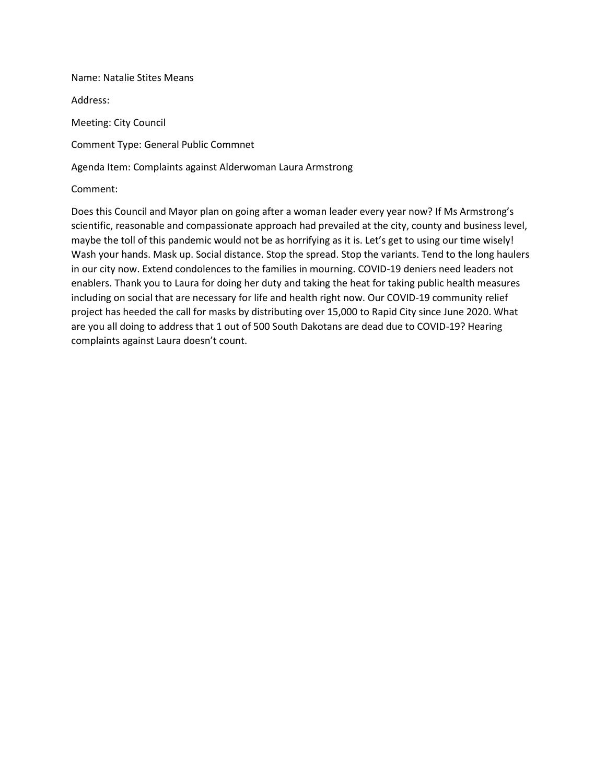Name: Natalie Stites Means

Address:

Meeting: City Council

Comment Type: General Public Commnet

Agenda Item: Complaints against Alderwoman Laura Armstrong

Comment:

Does this Council and Mayor plan on going after a woman leader every year now? If Ms Armstrong's scientific, reasonable and compassionate approach had prevailed at the city, county and business level, maybe the toll of this pandemic would not be as horrifying as it is. Let's get to using our time wisely! Wash your hands. Mask up. Social distance. Stop the spread. Stop the variants. Tend to the long haulers in our city now. Extend condolences to the families in mourning. COVID-19 deniers need leaders not enablers. Thank you to Laura for doing her duty and taking the heat for taking public health measures including on social that are necessary for life and health right now. Our COVID-19 community relief project has heeded the call for masks by distributing over 15,000 to Rapid City since June 2020. What are you all doing to address that 1 out of 500 South Dakotans are dead due to COVID-19? Hearing complaints against Laura doesn't count.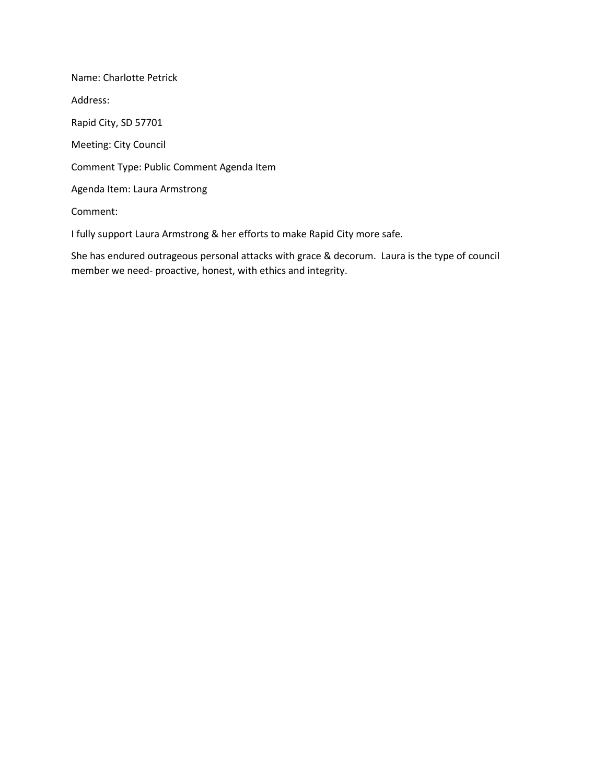Name: Charlotte Petrick Address: Rapid City, SD 57701 Meeting: City Council Comment Type: Public Comment Agenda Item Agenda Item: Laura Armstrong Comment:

I fully support Laura Armstrong & her efforts to make Rapid City more safe.

She has endured outrageous personal attacks with grace & decorum. Laura is the type of council member we need- proactive, honest, with ethics and integrity.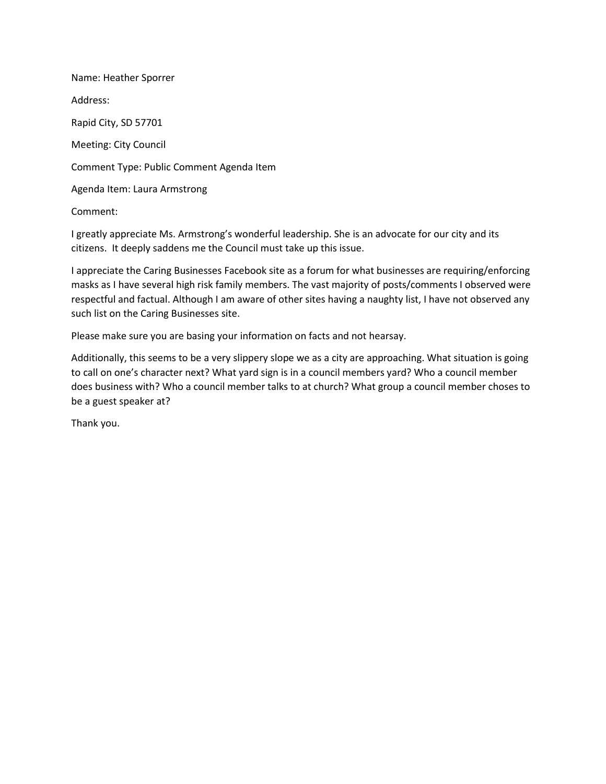Name: Heather Sporrer Address: Rapid City, SD 57701 Meeting: City Council Comment Type: Public Comment Agenda Item Agenda Item: Laura Armstrong

Comment:

I greatly appreciate Ms. Armstrong's wonderful leadership. She is an advocate for our city and its citizens. It deeply saddens me the Council must take up this issue.

I appreciate the Caring Businesses Facebook site as a forum for what businesses are requiring/enforcing masks as I have several high risk family members. The vast majority of posts/comments I observed were respectful and factual. Although I am aware of other sites having a naughty list, I have not observed any such list on the Caring Businesses site.

Please make sure you are basing your information on facts and not hearsay.

Additionally, this seems to be a very slippery slope we as a city are approaching. What situation is going to call on one's character next? What yard sign is in a council members yard? Who a council member does business with? Who a council member talks to at church? What group a council member choses to be a guest speaker at?

Thank you.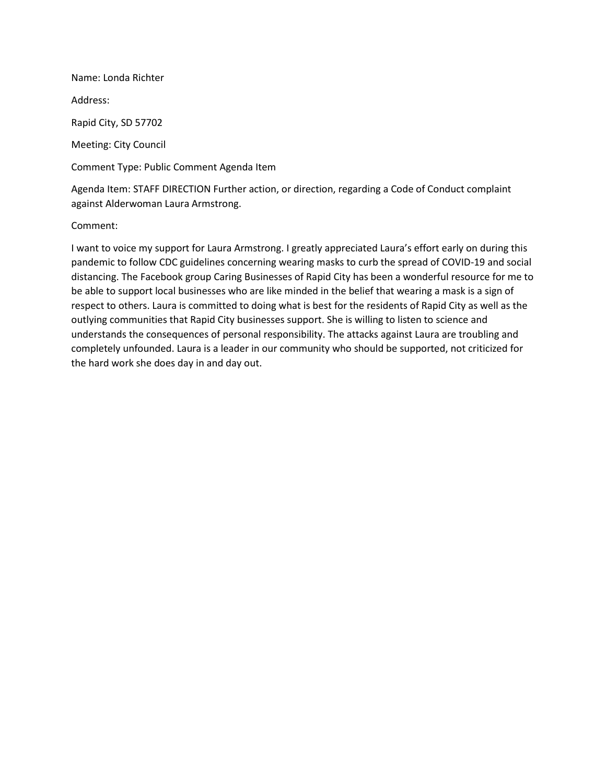Name: Londa Richter Address: Rapid City, SD 57702 Meeting: City Council Comment Type: Public Comment Agenda Item

Agenda Item: STAFF DIRECTION Further action, or direction, regarding a Code of Conduct complaint against Alderwoman Laura Armstrong.

## Comment:

I want to voice my support for Laura Armstrong. I greatly appreciated Laura's effort early on during this pandemic to follow CDC guidelines concerning wearing masks to curb the spread of COVID-19 and social distancing. The Facebook group Caring Businesses of Rapid City has been a wonderful resource for me to be able to support local businesses who are like minded in the belief that wearing a mask is a sign of respect to others. Laura is committed to doing what is best for the residents of Rapid City as well as the outlying communities that Rapid City businesses support. She is willing to listen to science and understands the consequences of personal responsibility. The attacks against Laura are troubling and completely unfounded. Laura is a leader in our community who should be supported, not criticized for the hard work she does day in and day out.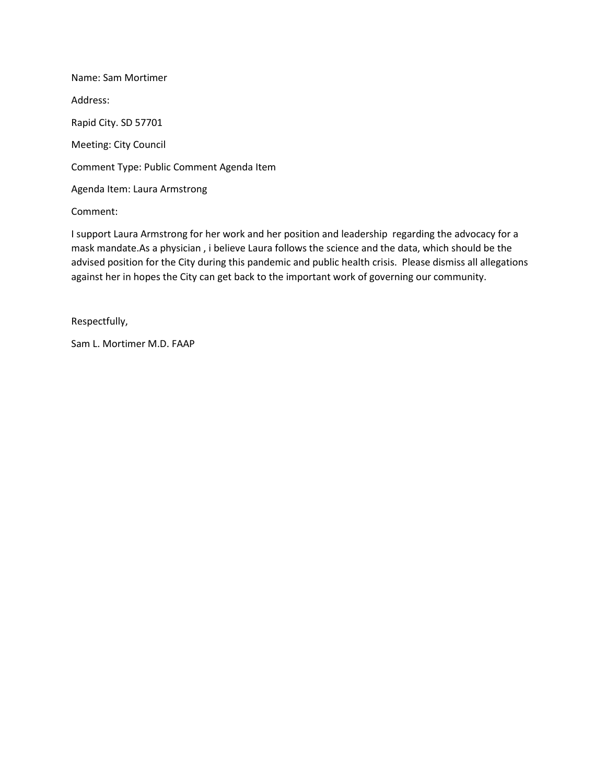Name: Sam Mortimer Address: Rapid City. SD 57701 Meeting: City Council Comment Type: Public Comment Agenda Item Agenda Item: Laura Armstrong

Comment:

I support Laura Armstrong for her work and her position and leadership regarding the advocacy for a mask mandate.As a physician , i believe Laura follows the science and the data, which should be the advised position for the City during this pandemic and public health crisis. Please dismiss all allegations against her in hopes the City can get back to the important work of governing our community.

Respectfully,

Sam L. Mortimer M.D. FAAP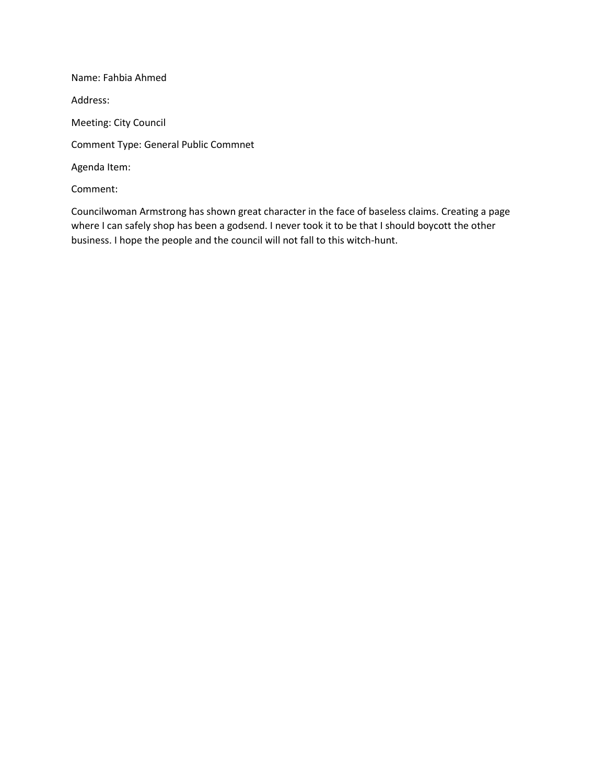Name: Fahbia Ahmed Address: Meeting: City Council Comment Type: General Public Commnet Agenda Item: Comment:

Councilwoman Armstrong has shown great character in the face of baseless claims. Creating a page where I can safely shop has been a godsend. I never took it to be that I should boycott the other business. I hope the people and the council will not fall to this witch-hunt.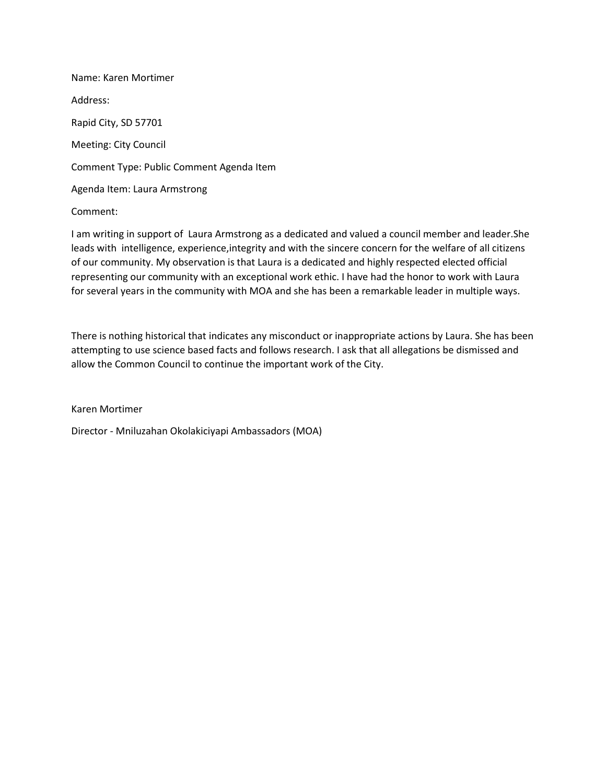Name: Karen Mortimer Address: Rapid City, SD 57701 Meeting: City Council Comment Type: Public Comment Agenda Item Agenda Item: Laura Armstrong

Comment:

I am writing in support of Laura Armstrong as a dedicated and valued a council member and leader.She leads with intelligence, experience,integrity and with the sincere concern for the welfare of all citizens of our community. My observation is that Laura is a dedicated and highly respected elected official representing our community with an exceptional work ethic. I have had the honor to work with Laura for several years in the community with MOA and she has been a remarkable leader in multiple ways.

There is nothing historical that indicates any misconduct or inappropriate actions by Laura. She has been attempting to use science based facts and follows research. I ask that all allegations be dismissed and allow the Common Council to continue the important work of the City.

Karen Mortimer

Director - Mniluzahan Okolakiciyapi Ambassadors (MOA)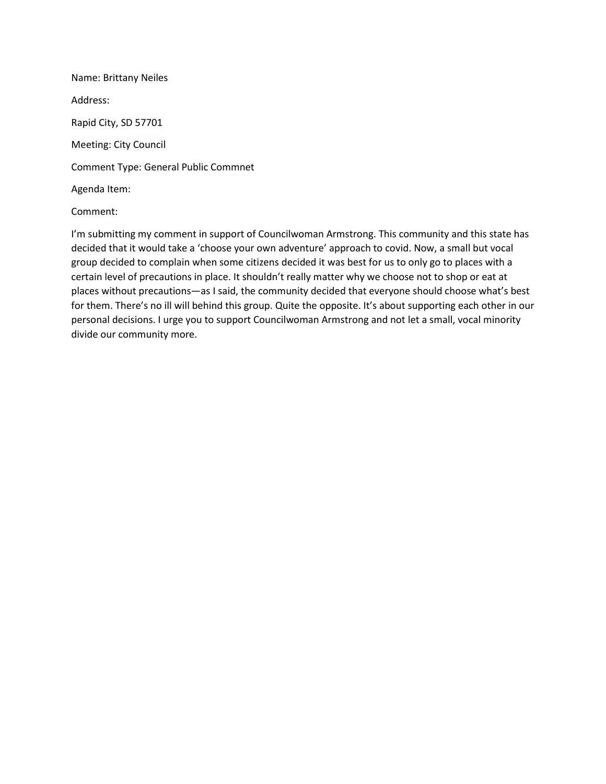Name: Brittany Neiles Address: Rapid City, SD 57701 Meeting: City Council Comment Type: General Public Commnet Agenda Item:

#### Comment:

I'm submitting my comment in support of Councilwoman Armstrong. This community and this state has decided that it would take a 'choose your own adventure' approach to covid. Now, a small but vocal group decided to complain when some citizens decided it was best for us to only go to places with a certain level of precautions in place. It shouldn't really matter why we choose not to shop or eat at places without precautions—as I said, the community decided that everyone should choose what's best for them. There's no ill will behind this group. Quite the opposite. It's about supporting each other in our personal decisions. I urge you to support Councilwoman Armstrong and not let a small, vocal minority divide our community more.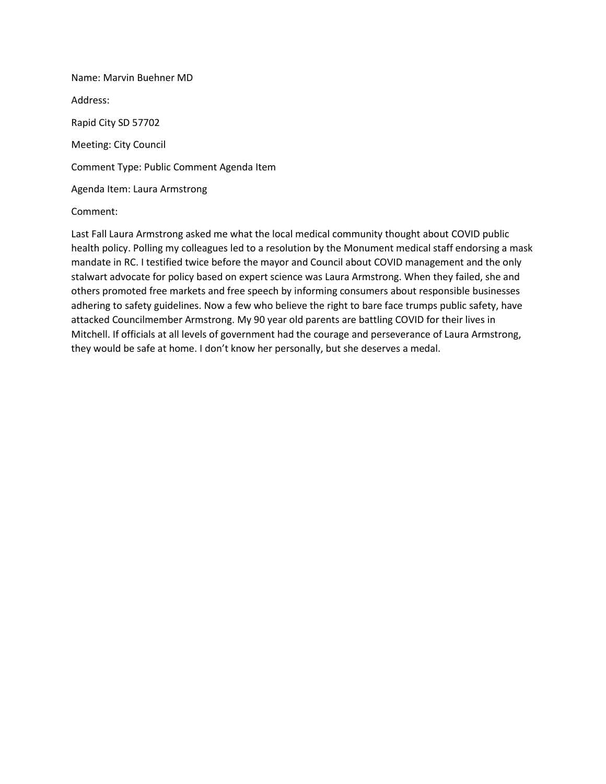Name: Marvin Buehner MD Address: Rapid City SD 57702 Meeting: City Council Comment Type: Public Comment Agenda Item Agenda Item: Laura Armstrong

#### Comment:

Last Fall Laura Armstrong asked me what the local medical community thought about COVID public health policy. Polling my colleagues led to a resolution by the Monument medical staff endorsing a mask mandate in RC. I testified twice before the mayor and Council about COVID management and the only stalwart advocate for policy based on expert science was Laura Armstrong. When they failed, she and others promoted free markets and free speech by informing consumers about responsible businesses adhering to safety guidelines. Now a few who believe the right to bare face trumps public safety, have attacked Councilmember Armstrong. My 90 year old parents are battling COVID for their lives in Mitchell. If officials at all levels of government had the courage and perseverance of Laura Armstrong, they would be safe at home. I don't know her personally, but she deserves a medal.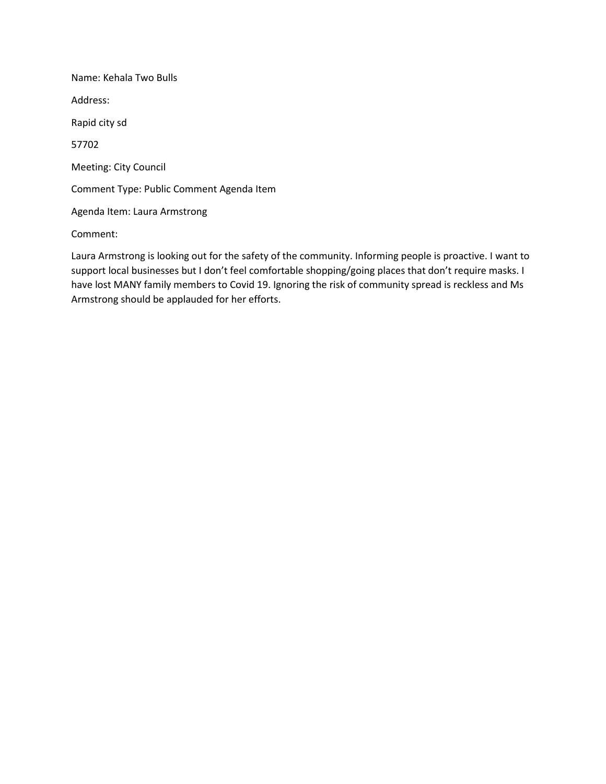Name: Kehala Two Bulls Address: Rapid city sd 57702 Meeting: City Council Comment Type: Public Comment Agenda Item Agenda Item: Laura Armstrong Comment:

Laura Armstrong is looking out for the safety of the community. Informing people is proactive. I want to support local businesses but I don't feel comfortable shopping/going places that don't require masks. I have lost MANY family members to Covid 19. Ignoring the risk of community spread is reckless and Ms Armstrong should be applauded for her efforts.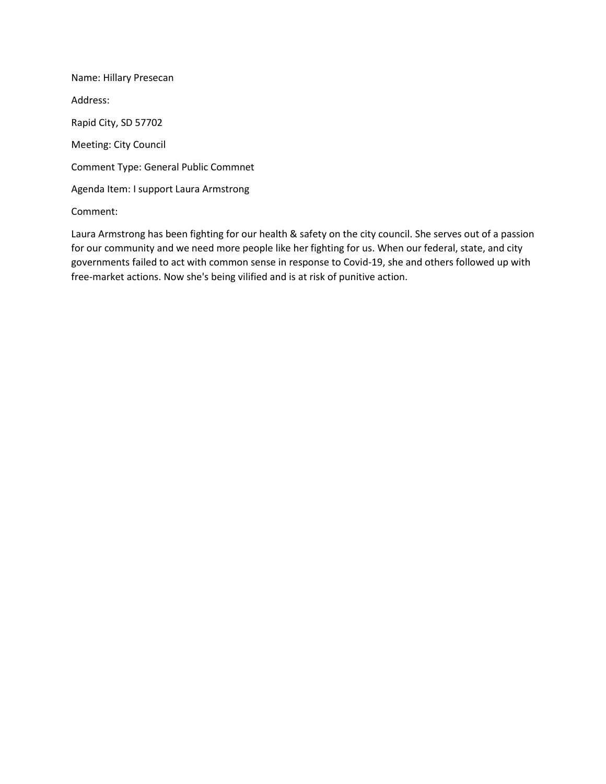Name: Hillary Presecan Address: Rapid City, SD 57702 Meeting: City Council Comment Type: General Public Commnet Agenda Item: I support Laura Armstrong

Comment:

Laura Armstrong has been fighting for our health & safety on the city council. She serves out of a passion for our community and we need more people like her fighting for us. When our federal, state, and city governments failed to act with common sense in response to Covid-19, she and others followed up with free-market actions. Now she's being vilified and is at risk of punitive action.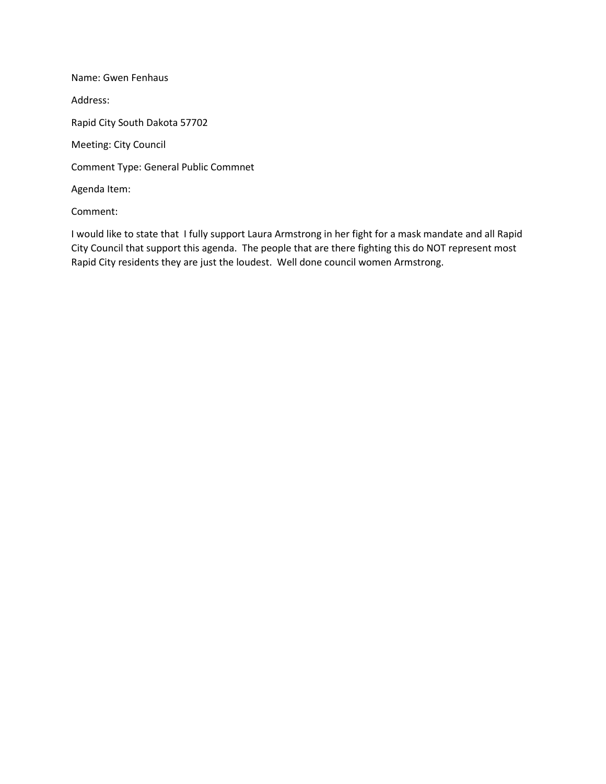Name: Gwen Fenhaus Address: Rapid City South Dakota 57702 Meeting: City Council Comment Type: General Public Commnet Agenda Item:

Comment:

I would like to state that I fully support Laura Armstrong in her fight for a mask mandate and all Rapid City Council that support this agenda. The people that are there fighting this do NOT represent most Rapid City residents they are just the loudest. Well done council women Armstrong.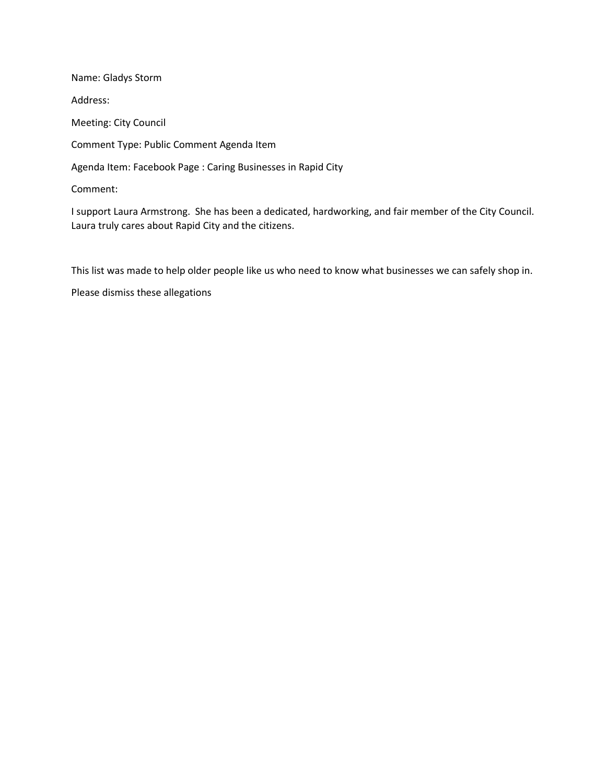Name: Gladys Storm Address: Meeting: City Council Comment Type: Public Comment Agenda Item Agenda Item: Facebook Page : Caring Businesses in Rapid City Comment:

I support Laura Armstrong. She has been a dedicated, hardworking, and fair member of the City Council. Laura truly cares about Rapid City and the citizens.

This list was made to help older people like us who need to know what businesses we can safely shop in.

Please dismiss these allegations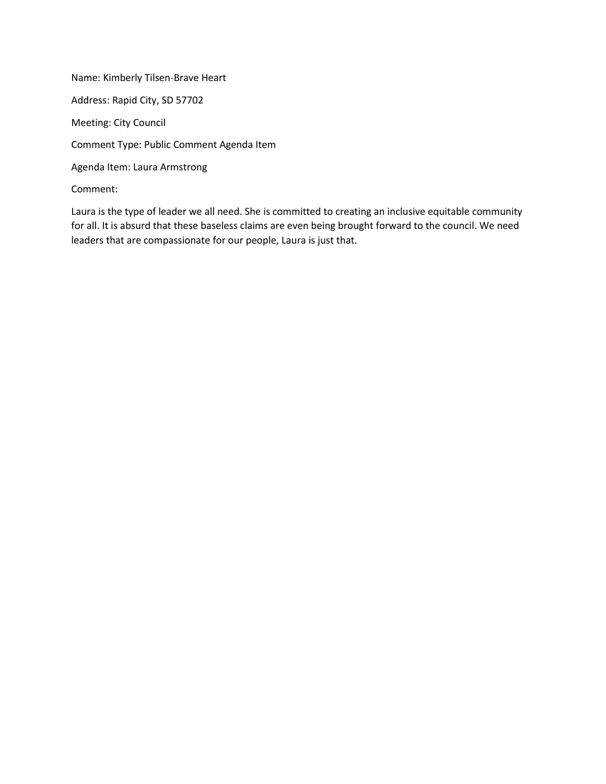Name: Kimberly Tilsen-Brave Heart Address: Rapid City, SD 57702 Meeting: City Council Comment Type: Public Comment Agenda Item Agenda Item: Laura Armstrong Comment:

Laura is the type of leader we all need. She is committed to creating an inclusive equitable community for all. It is absurd that these baseless claims are even being brought forward to the council. We need leaders that are compassionate for our people, Laura is just that.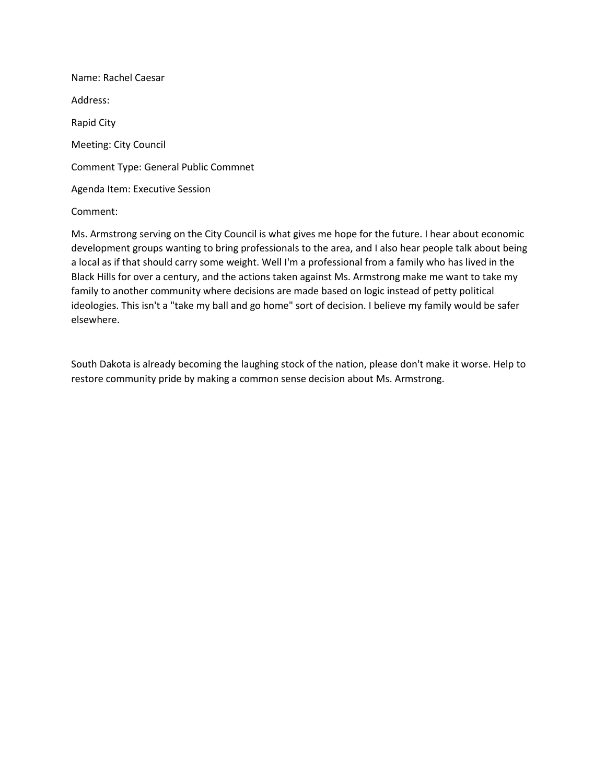Name: Rachel Caesar Address: Rapid City Meeting: City Council Comment Type: General Public Commnet Agenda Item: Executive Session

Comment:

Ms. Armstrong serving on the City Council is what gives me hope for the future. I hear about economic development groups wanting to bring professionals to the area, and I also hear people talk about being a local as if that should carry some weight. Well I'm a professional from a family who has lived in the Black Hills for over a century, and the actions taken against Ms. Armstrong make me want to take my family to another community where decisions are made based on logic instead of petty political ideologies. This isn't a "take my ball and go home" sort of decision. I believe my family would be safer elsewhere.

South Dakota is already becoming the laughing stock of the nation, please don't make it worse. Help to restore community pride by making a common sense decision about Ms. Armstrong.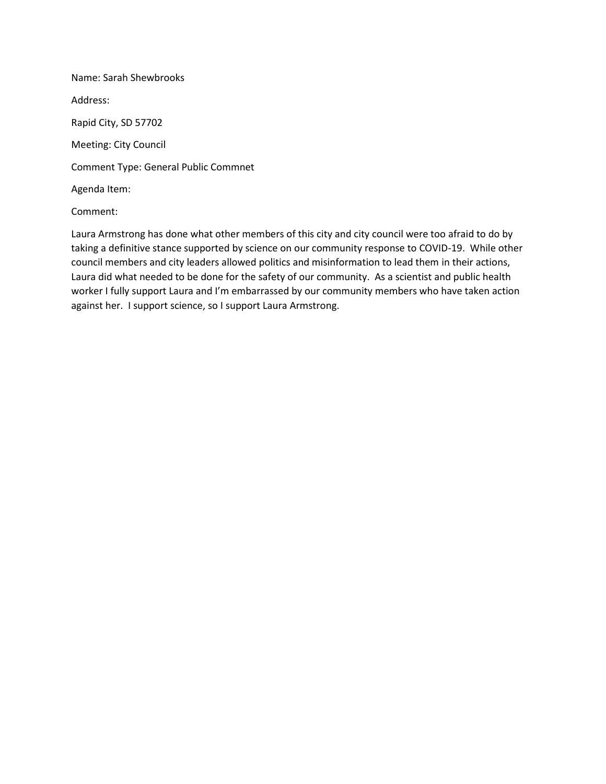Name: Sarah Shewbrooks Address: Rapid City, SD 57702 Meeting: City Council Comment Type: General Public Commnet Agenda Item:

# Comment:

Laura Armstrong has done what other members of this city and city council were too afraid to do by taking a definitive stance supported by science on our community response to COVID-19. While other council members and city leaders allowed politics and misinformation to lead them in their actions, Laura did what needed to be done for the safety of our community. As a scientist and public health worker I fully support Laura and I'm embarrassed by our community members who have taken action against her. I support science, so I support Laura Armstrong.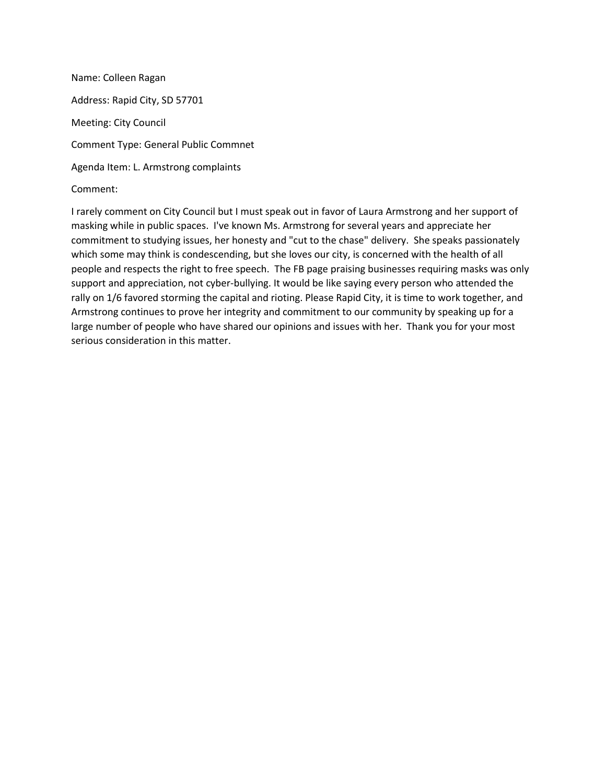Name: Colleen Ragan Address: Rapid City, SD 57701 Meeting: City Council Comment Type: General Public Commnet Agenda Item: L. Armstrong complaints

Comment:

I rarely comment on City Council but I must speak out in favor of Laura Armstrong and her support of masking while in public spaces. I've known Ms. Armstrong for several years and appreciate her commitment to studying issues, her honesty and "cut to the chase" delivery. She speaks passionately which some may think is condescending, but she loves our city, is concerned with the health of all people and respects the right to free speech. The FB page praising businesses requiring masks was only support and appreciation, not cyber-bullying. It would be like saying every person who attended the rally on 1/6 favored storming the capital and rioting. Please Rapid City, it is time to work together, and Armstrong continues to prove her integrity and commitment to our community by speaking up for a large number of people who have shared our opinions and issues with her. Thank you for your most serious consideration in this matter.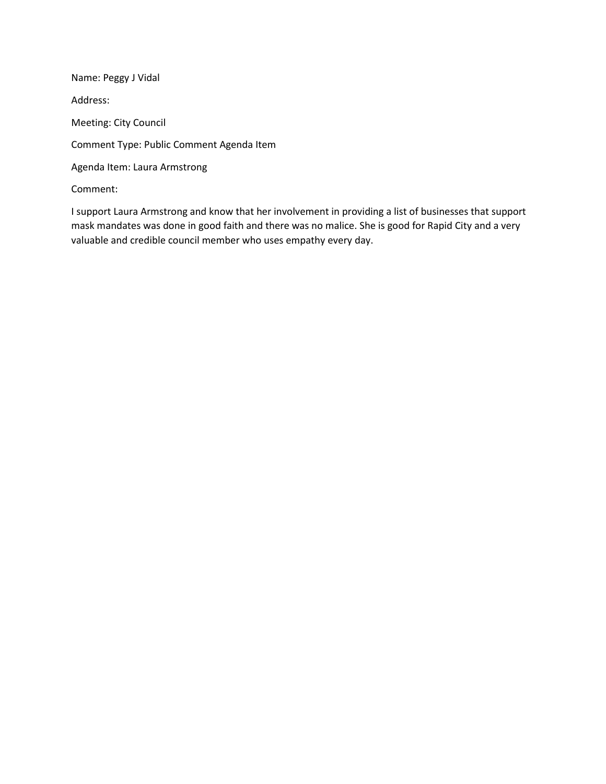Name: Peggy J Vidal Address: Meeting: City Council Comment Type: Public Comment Agenda Item Agenda Item: Laura Armstrong Comment:

I support Laura Armstrong and know that her involvement in providing a list of businesses that support mask mandates was done in good faith and there was no malice. She is good for Rapid City and a very valuable and credible council member who uses empathy every day.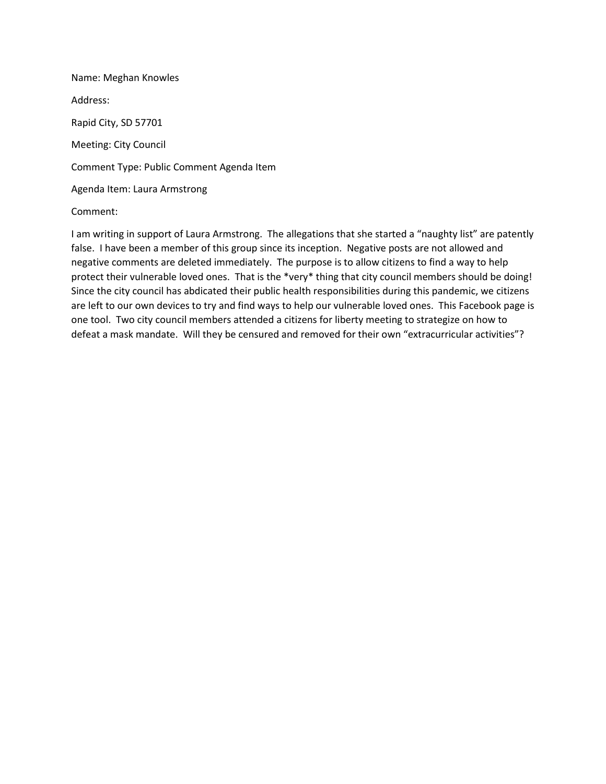Name: Meghan Knowles Address: Rapid City, SD 57701 Meeting: City Council Comment Type: Public Comment Agenda Item Agenda Item: Laura Armstrong

#### Comment:

I am writing in support of Laura Armstrong. The allegations that she started a "naughty list" are patently false. I have been a member of this group since its inception. Negative posts are not allowed and negative comments are deleted immediately. The purpose is to allow citizens to find a way to help protect their vulnerable loved ones. That is the \*very\* thing that city council members should be doing! Since the city council has abdicated their public health responsibilities during this pandemic, we citizens are left to our own devices to try and find ways to help our vulnerable loved ones. This Facebook page is one tool. Two city council members attended a citizens for liberty meeting to strategize on how to defeat a mask mandate. Will they be censured and removed for their own "extracurricular activities"?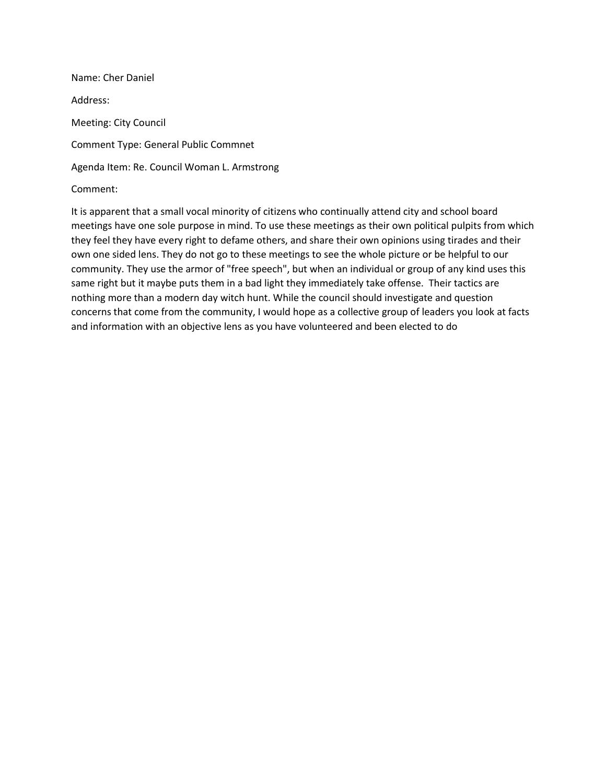Name: Cher Daniel Address: Meeting: City Council Comment Type: General Public Commnet Agenda Item: Re. Council Woman L. Armstrong Comment:

It is apparent that a small vocal minority of citizens who continually attend city and school board meetings have one sole purpose in mind. To use these meetings as their own political pulpits from which they feel they have every right to defame others, and share their own opinions using tirades and their own one sided lens. They do not go to these meetings to see the whole picture or be helpful to our community. They use the armor of "free speech", but when an individual or group of any kind uses this same right but it maybe puts them in a bad light they immediately take offense. Their tactics are nothing more than a modern day witch hunt. While the council should investigate and question concerns that come from the community, I would hope as a collective group of leaders you look at facts and information with an objective lens as you have volunteered and been elected to do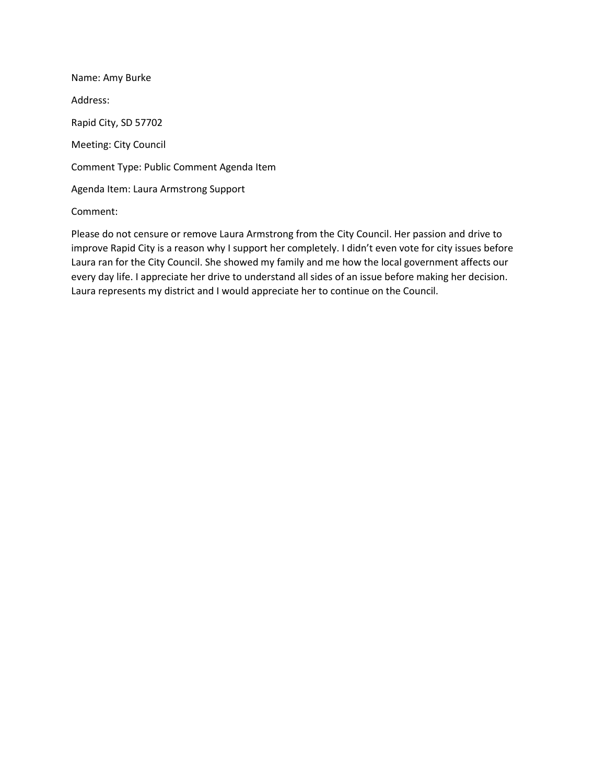Name: Amy Burke Address: Rapid City, SD 57702 Meeting: City Council Comment Type: Public Comment Agenda Item Agenda Item: Laura Armstrong Support

# Comment:

Please do not censure or remove Laura Armstrong from the City Council. Her passion and drive to improve Rapid City is a reason why I support her completely. I didn't even vote for city issues before Laura ran for the City Council. She showed my family and me how the local government affects our every day life. I appreciate her drive to understand all sides of an issue before making her decision. Laura represents my district and I would appreciate her to continue on the Council.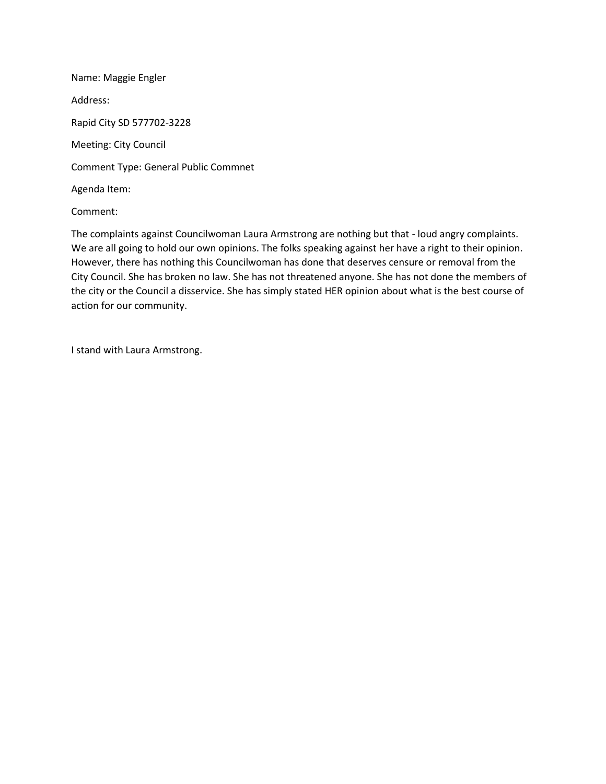Name: Maggie Engler Address: Rapid City SD 577702-3228 Meeting: City Council Comment Type: General Public Commnet Agenda Item:

Comment:

The complaints against Councilwoman Laura Armstrong are nothing but that - loud angry complaints. We are all going to hold our own opinions. The folks speaking against her have a right to their opinion. However, there has nothing this Councilwoman has done that deserves censure or removal from the City Council. She has broken no law. She has not threatened anyone. She has not done the members of the city or the Council a disservice. She has simply stated HER opinion about what is the best course of action for our community.

I stand with Laura Armstrong.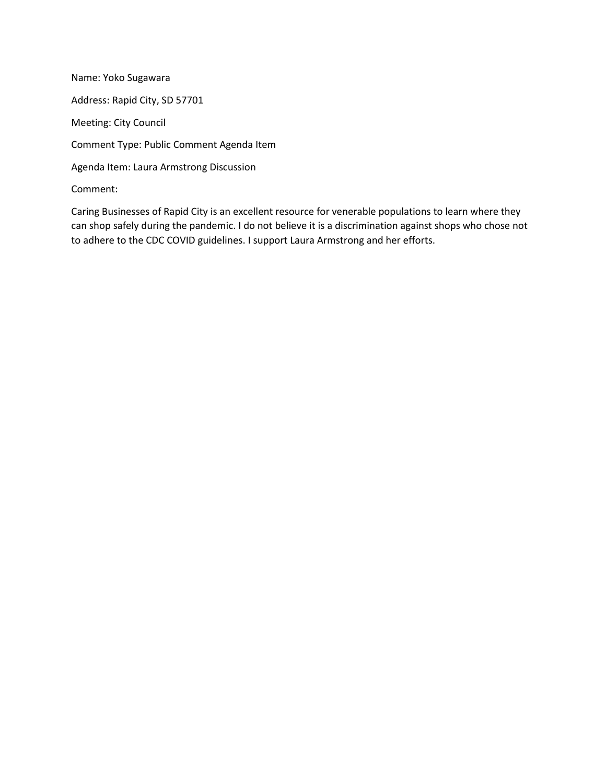Name: Yoko Sugawara Address: Rapid City, SD 57701 Meeting: City Council Comment Type: Public Comment Agenda Item Agenda Item: Laura Armstrong Discussion Comment:

Caring Businesses of Rapid City is an excellent resource for venerable populations to learn where they can shop safely during the pandemic. I do not believe it is a discrimination against shops who chose not to adhere to the CDC COVID guidelines. I support Laura Armstrong and her efforts.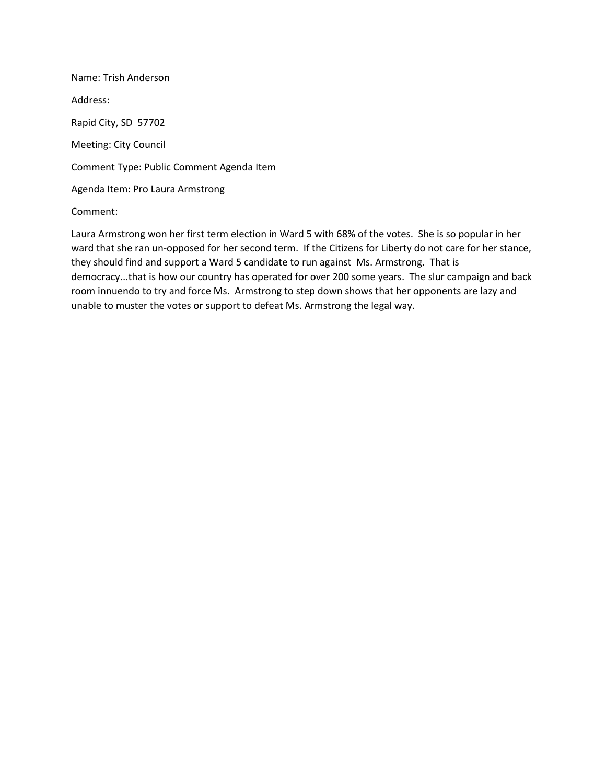Name: Trish Anderson Address: Rapid City, SD 57702 Meeting: City Council Comment Type: Public Comment Agenda Item Agenda Item: Pro Laura Armstrong

# Comment:

Laura Armstrong won her first term election in Ward 5 with 68% of the votes. She is so popular in her ward that she ran un-opposed for her second term. If the Citizens for Liberty do not care for her stance, they should find and support a Ward 5 candidate to run against Ms. Armstrong. That is democracy...that is how our country has operated for over 200 some years. The slur campaign and back room innuendo to try and force Ms. Armstrong to step down shows that her opponents are lazy and unable to muster the votes or support to defeat Ms. Armstrong the legal way.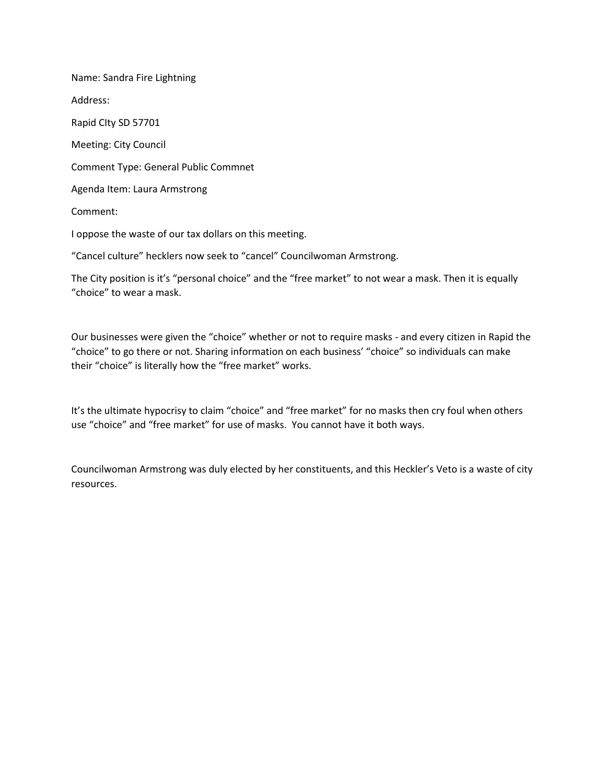Name: Sandra Fire Lightning Address: Rapid CIty SD 57701 Meeting: City Council Comment Type: General Public Commnet Agenda Item: Laura Armstrong Comment: I oppose the waste of our tax dollars on this meeting. "Cancel culture" hecklers now seek to "cancel" Councilwoman Armstrong.

The City position is it's "personal choice" and the "free market" to not wear a mask. Then it is equally "choice" to wear a mask.

Our businesses were given the "choice" whether or not to require masks - and every citizen in Rapid the "choice" to go there or not. Sharing information on each business' "choice" so individuals can make their "choice" is literally how the "free market" works.

It's the ultimate hypocrisy to claim "choice" and "free market" for no masks then cry foul when others use "choice" and "free market" for use of masks. You cannot have it both ways.

Councilwoman Armstrong was duly elected by her constituents, and this Heckler's Veto is a waste of city resources.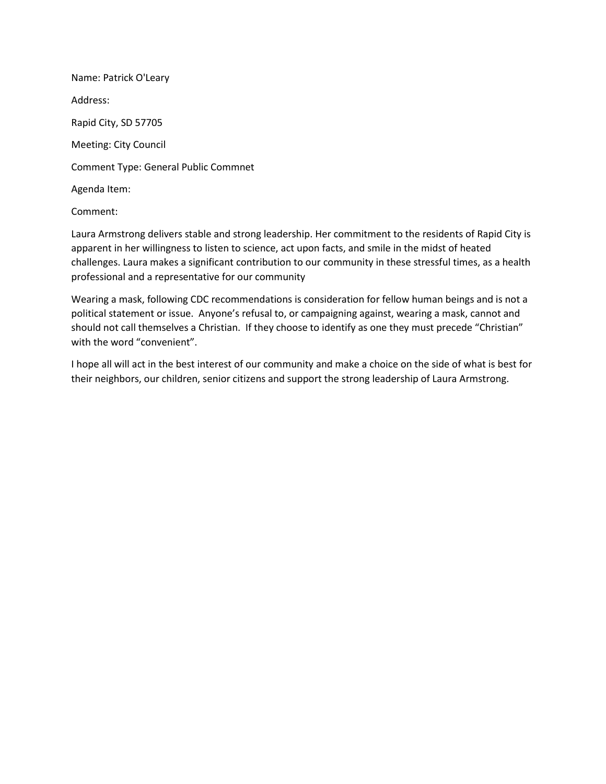Name: Patrick O'Leary Address: Rapid City, SD 57705 Meeting: City Council Comment Type: General Public Commnet Agenda Item:

### Comment:

Laura Armstrong delivers stable and strong leadership. Her commitment to the residents of Rapid City is apparent in her willingness to listen to science, act upon facts, and smile in the midst of heated challenges. Laura makes a significant contribution to our community in these stressful times, as a health professional and a representative for our community

Wearing a mask, following CDC recommendations is consideration for fellow human beings and is not a political statement or issue. Anyone's refusal to, or campaigning against, wearing a mask, cannot and should not call themselves a Christian. If they choose to identify as one they must precede "Christian" with the word "convenient".

I hope all will act in the best interest of our community and make a choice on the side of what is best for their neighbors, our children, senior citizens and support the strong leadership of Laura Armstrong.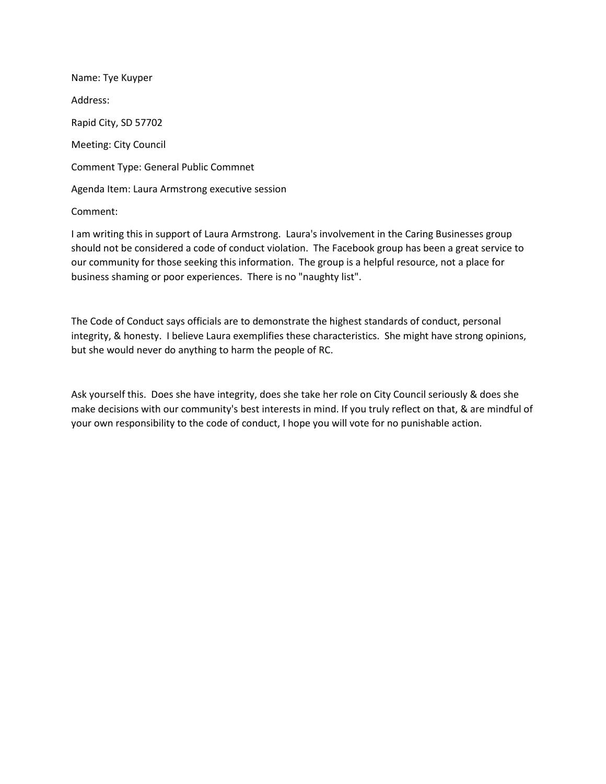Name: Tye Kuyper Address: Rapid City, SD 57702 Meeting: City Council Comment Type: General Public Commnet Agenda Item: Laura Armstrong executive session

#### Comment:

I am writing this in support of Laura Armstrong. Laura's involvement in the Caring Businesses group should not be considered a code of conduct violation. The Facebook group has been a great service to our community for those seeking this information. The group is a helpful resource, not a place for business shaming or poor experiences. There is no "naughty list".

The Code of Conduct says officials are to demonstrate the highest standards of conduct, personal integrity, & honesty. I believe Laura exemplifies these characteristics. She might have strong opinions, but she would never do anything to harm the people of RC.

Ask yourself this. Does she have integrity, does she take her role on City Council seriously & does she make decisions with our community's best interests in mind. If you truly reflect on that, & are mindful of your own responsibility to the code of conduct, I hope you will vote for no punishable action.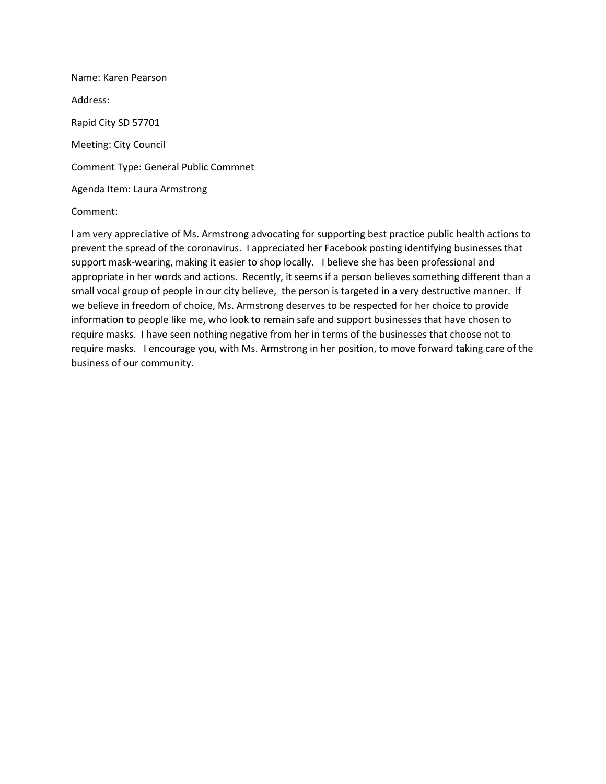Name: Karen Pearson Address: Rapid City SD 57701 Meeting: City Council Comment Type: General Public Commnet Agenda Item: Laura Armstrong

#### Comment:

I am very appreciative of Ms. Armstrong advocating for supporting best practice public health actions to prevent the spread of the coronavirus. I appreciated her Facebook posting identifying businesses that support mask-wearing, making it easier to shop locally. I believe she has been professional and appropriate in her words and actions. Recently, it seems if a person believes something different than a small vocal group of people in our city believe, the person is targeted in a very destructive manner. If we believe in freedom of choice, Ms. Armstrong deserves to be respected for her choice to provide information to people like me, who look to remain safe and support businesses that have chosen to require masks. I have seen nothing negative from her in terms of the businesses that choose not to require masks. I encourage you, with Ms. Armstrong in her position, to move forward taking care of the business of our community.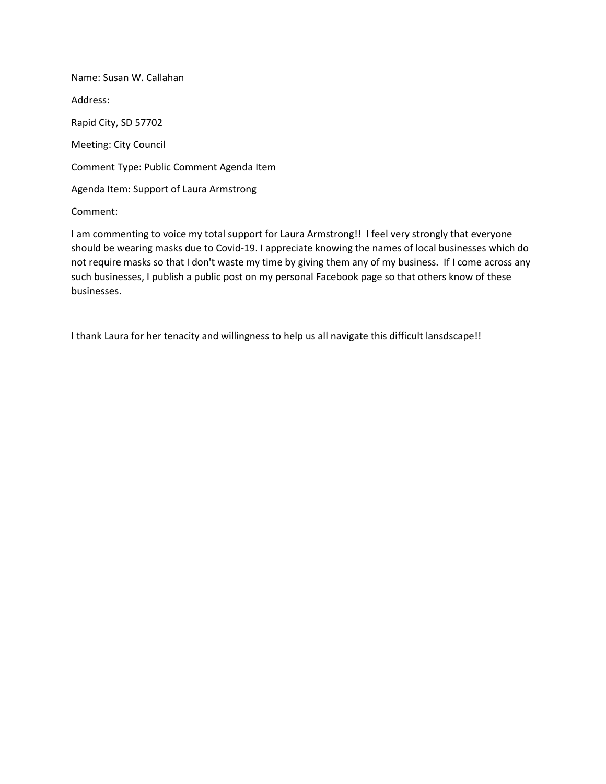Name: Susan W. Callahan Address: Rapid City, SD 57702 Meeting: City Council Comment Type: Public Comment Agenda Item Agenda Item: Support of Laura Armstrong

Comment:

I am commenting to voice my total support for Laura Armstrong!! I feel very strongly that everyone should be wearing masks due to Covid-19. I appreciate knowing the names of local businesses which do not require masks so that I don't waste my time by giving them any of my business. If I come across any such businesses, I publish a public post on my personal Facebook page so that others know of these businesses.

I thank Laura for her tenacity and willingness to help us all navigate this difficult lansdscape!!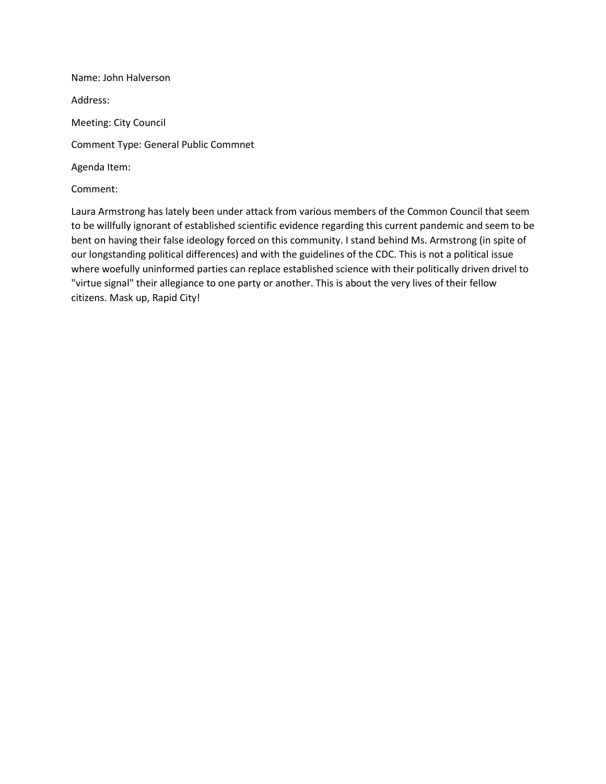Name: John Halverson Address: Meeting: City Council Comment Type: General Public Commnet Agenda Item: Comment:

Laura Armstrong has lately been under attack from various members of the Common Council that seem to be willfully ignorant of established scientific evidence regarding this current pandemic and seem to be bent on having their false ideology forced on this community. I stand behind Ms. Armstrong (in spite of our longstanding political differences) and with the guidelines of the CDC. This is not a political issue where woefully uninformed parties can replace established science with their politically driven drivel to "virtue signal" their allegiance to one party or another. This is about the very lives of their fellow citizens. Mask up, Rapid City!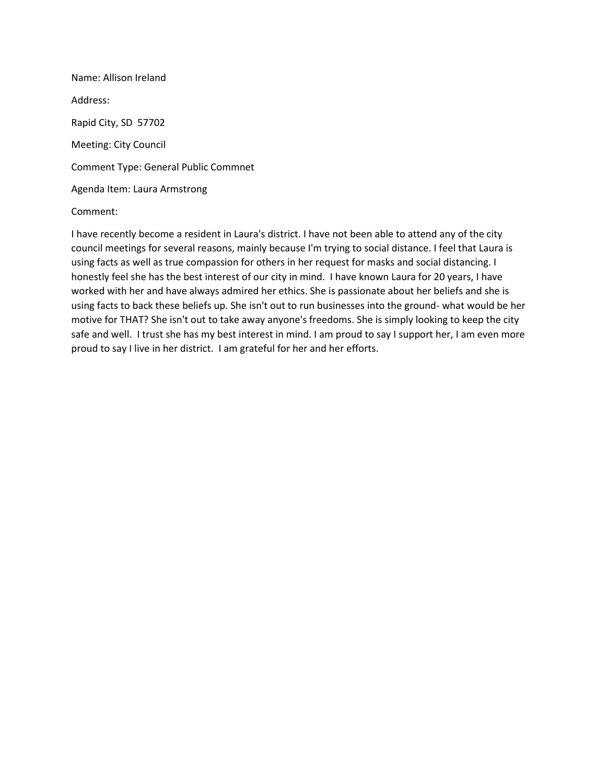Name: Allison Ireland Address: Rapid City, SD 57702 Meeting: City Council Comment Type: General Public Commnet Agenda Item: Laura Armstrong

#### Comment:

I have recently become a resident in Laura's district. I have not been able to attend any of the city council meetings for several reasons, mainly because I'm trying to social distance. I feel that Laura is using facts as well as true compassion for others in her request for masks and social distancing. I honestly feel she has the best interest of our city in mind. I have known Laura for 20 years, I have worked with her and have always admired her ethics. She is passionate about her beliefs and she is using facts to back these beliefs up. She isn't out to run businesses into the ground- what would be her motive for THAT? She isn't out to take away anyone's freedoms. She is simply looking to keep the city safe and well. I trust she has my best interest in mind. I am proud to say I support her, I am even more proud to say I live in her district. I am grateful for her and her efforts.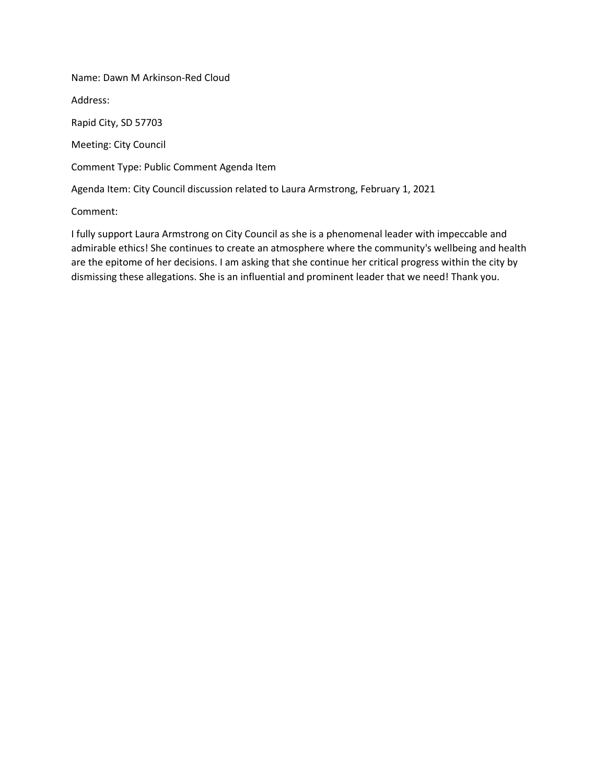Name: Dawn M Arkinson-Red Cloud

Address:

Rapid City, SD 57703

Meeting: City Council

Comment Type: Public Comment Agenda Item

Agenda Item: City Council discussion related to Laura Armstrong, February 1, 2021

Comment:

I fully support Laura Armstrong on City Council as she is a phenomenal leader with impeccable and admirable ethics! She continues to create an atmosphere where the community's wellbeing and health are the epitome of her decisions. I am asking that she continue her critical progress within the city by dismissing these allegations. She is an influential and prominent leader that we need! Thank you.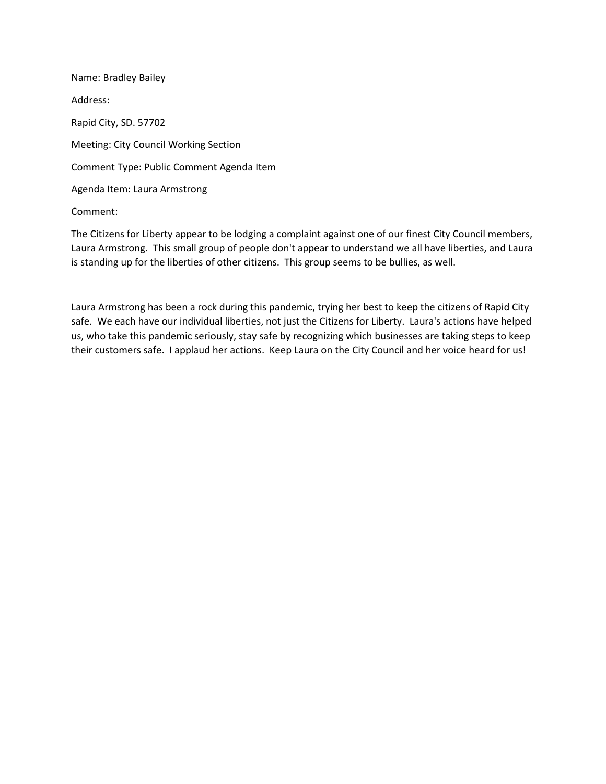Name: Bradley Bailey Address: Rapid City, SD. 57702 Meeting: City Council Working Section Comment Type: Public Comment Agenda Item Agenda Item: Laura Armstrong

Comment:

The Citizens for Liberty appear to be lodging a complaint against one of our finest City Council members, Laura Armstrong. This small group of people don't appear to understand we all have liberties, and Laura is standing up for the liberties of other citizens. This group seems to be bullies, as well.

Laura Armstrong has been a rock during this pandemic, trying her best to keep the citizens of Rapid City safe. We each have our individual liberties, not just the Citizens for Liberty. Laura's actions have helped us, who take this pandemic seriously, stay safe by recognizing which businesses are taking steps to keep their customers safe. I applaud her actions. Keep Laura on the City Council and her voice heard for us!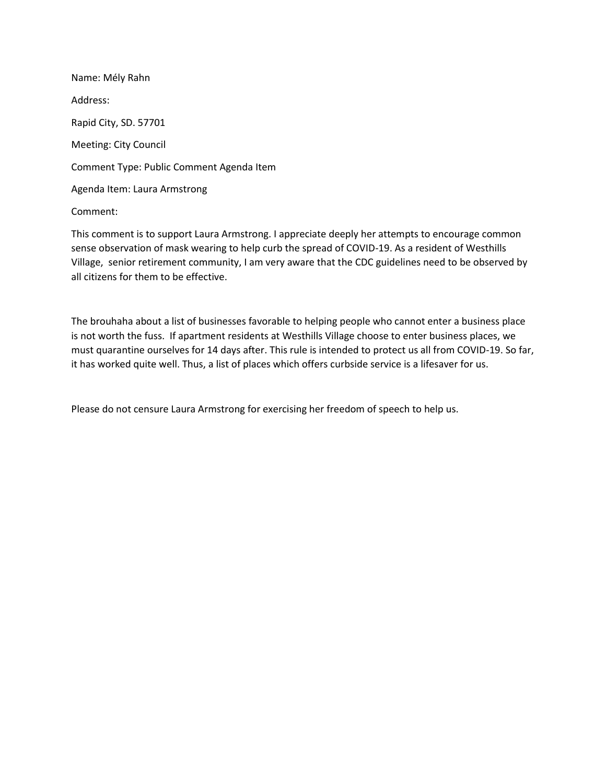Name: Mély Rahn Address: Rapid City, SD. 57701 Meeting: City Council Comment Type: Public Comment Agenda Item Agenda Item: Laura Armstrong

### Comment:

This comment is to support Laura Armstrong. I appreciate deeply her attempts to encourage common sense observation of mask wearing to help curb the spread of COVID-19. As a resident of Westhills Village, senior retirement community, I am very aware that the CDC guidelines need to be observed by all citizens for them to be effective.

The brouhaha about a list of businesses favorable to helping people who cannot enter a business place is not worth the fuss. If apartment residents at Westhills Village choose to enter business places, we must quarantine ourselves for 14 days after. This rule is intended to protect us all from COVID-19. So far, it has worked quite well. Thus, a list of places which offers curbside service is a lifesaver for us.

Please do not censure Laura Armstrong for exercising her freedom of speech to help us.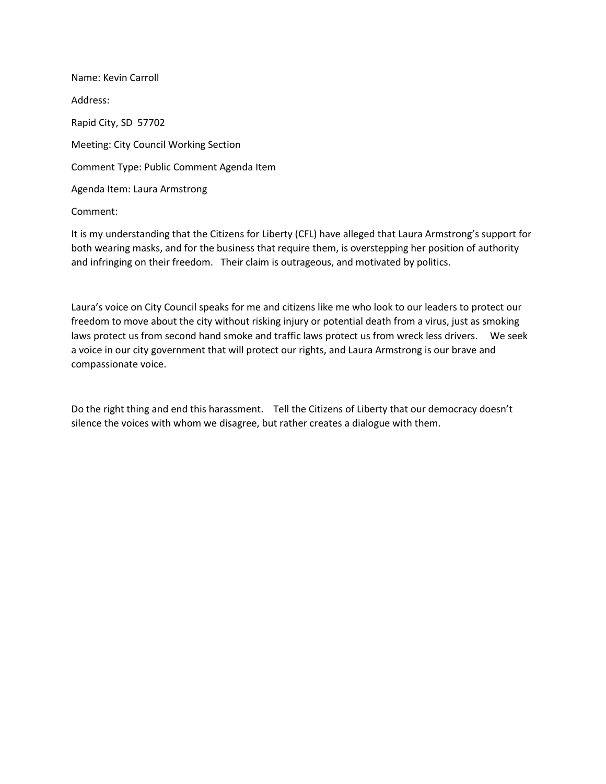Name: Kevin Carroll Address: Rapid City, SD 57702 Meeting: City Council Working Section Comment Type: Public Comment Agenda Item Agenda Item: Laura Armstrong

Comment:

It is my understanding that the Citizens for Liberty (CFL) have alleged that Laura Armstrong's support for both wearing masks, and for the business that require them, is overstepping her position of authority and infringing on their freedom. Their claim is outrageous, and motivated by politics.

Laura's voice on City Council speaks for me and citizens like me who look to our leaders to protect our freedom to move about the city without risking injury or potential death from a virus, just as smoking laws protect us from second hand smoke and traffic laws protect us from wreck less drivers. We seek a voice in our city government that will protect our rights, and Laura Armstrong is our brave and compassionate voice.

Do the right thing and end this harassment. Tell the Citizens of Liberty that our democracy doesn't silence the voices with whom we disagree, but rather creates a dialogue with them.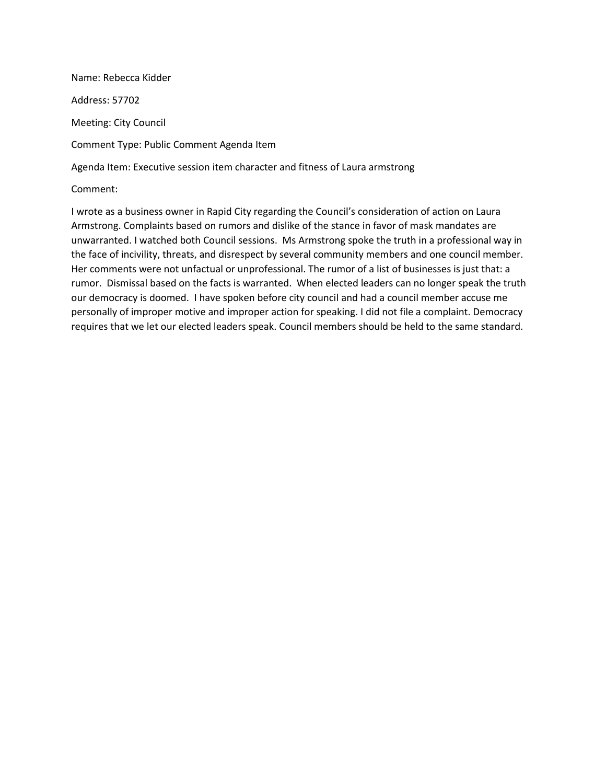Name: Rebecca Kidder Address: 57702 Meeting: City Council Comment Type: Public Comment Agenda Item Agenda Item: Executive session item character and fitness of Laura armstrong

Comment:

I wrote as a business owner in Rapid City regarding the Council's consideration of action on Laura Armstrong. Complaints based on rumors and dislike of the stance in favor of mask mandates are unwarranted. I watched both Council sessions. Ms Armstrong spoke the truth in a professional way in the face of incivility, threats, and disrespect by several community members and one council member. Her comments were not unfactual or unprofessional. The rumor of a list of businesses is just that: a rumor. Dismissal based on the facts is warranted. When elected leaders can no longer speak the truth our democracy is doomed. I have spoken before city council and had a council member accuse me personally of improper motive and improper action for speaking. I did not file a complaint. Democracy requires that we let our elected leaders speak. Council members should be held to the same standard.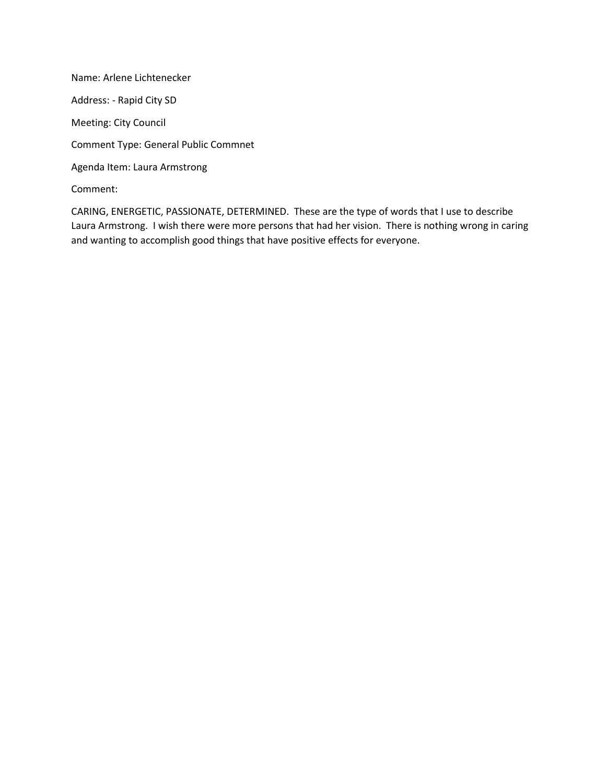Name: Arlene Lichtenecker Address: - Rapid City SD Meeting: City Council Comment Type: General Public Commnet Agenda Item: Laura Armstrong Comment:

CARING, ENERGETIC, PASSIONATE, DETERMINED. These are the type of words that I use to describe Laura Armstrong. I wish there were more persons that had her vision. There is nothing wrong in caring and wanting to accomplish good things that have positive effects for everyone.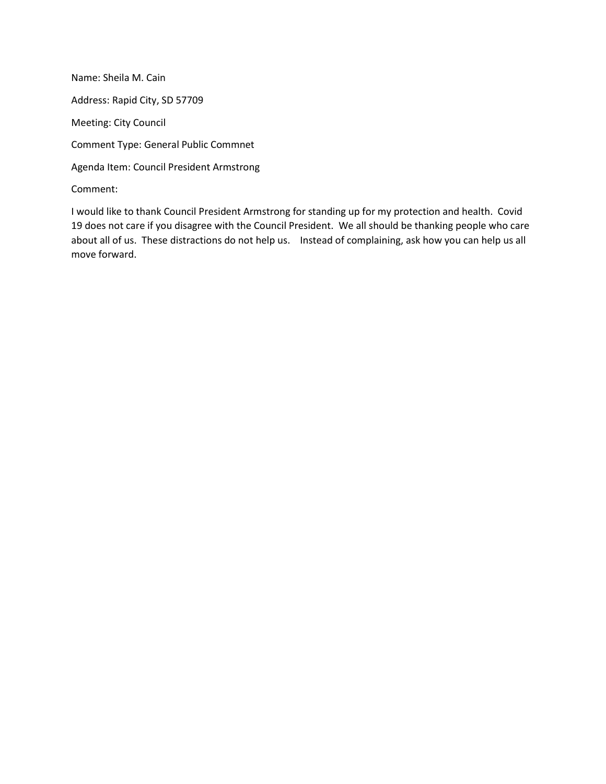Name: Sheila M. Cain Address: Rapid City, SD 57709 Meeting: City Council Comment Type: General Public Commnet Agenda Item: Council President Armstrong Comment:

I would like to thank Council President Armstrong for standing up for my protection and health. Covid 19 does not care if you disagree with the Council President. We all should be thanking people who care about all of us. These distractions do not help us. Instead of complaining, ask how you can help us all move forward.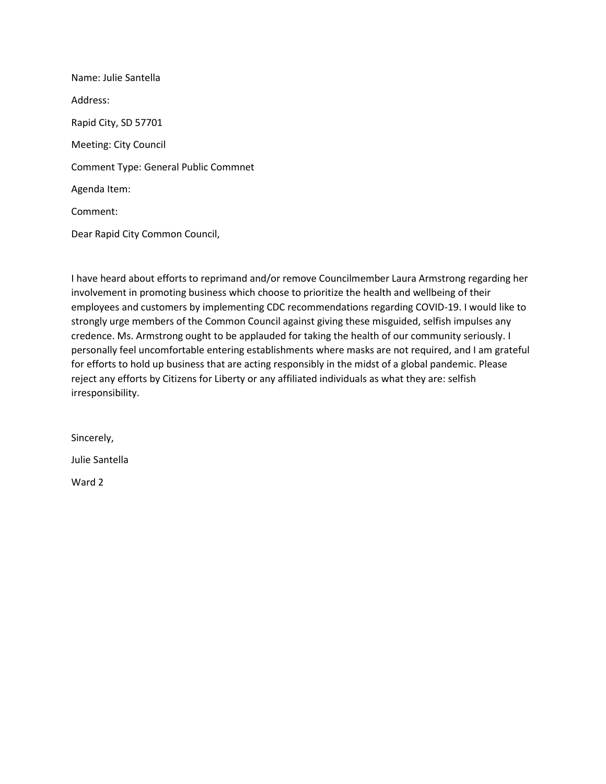Name: Julie Santella Address: Rapid City, SD 57701 Meeting: City Council Comment Type: General Public Commnet Agenda Item: Comment: Dear Rapid City Common Council,

I have heard about efforts to reprimand and/or remove Councilmember Laura Armstrong regarding her involvement in promoting business which choose to prioritize the health and wellbeing of their employees and customers by implementing CDC recommendations regarding COVID-19. I would like to strongly urge members of the Common Council against giving these misguided, selfish impulses any credence. Ms. Armstrong ought to be applauded for taking the health of our community seriously. I personally feel uncomfortable entering establishments where masks are not required, and I am grateful for efforts to hold up business that are acting responsibly in the midst of a global pandemic. Please reject any efforts by Citizens for Liberty or any affiliated individuals as what they are: selfish irresponsibility.

Sincerely,

Julie Santella

Ward 2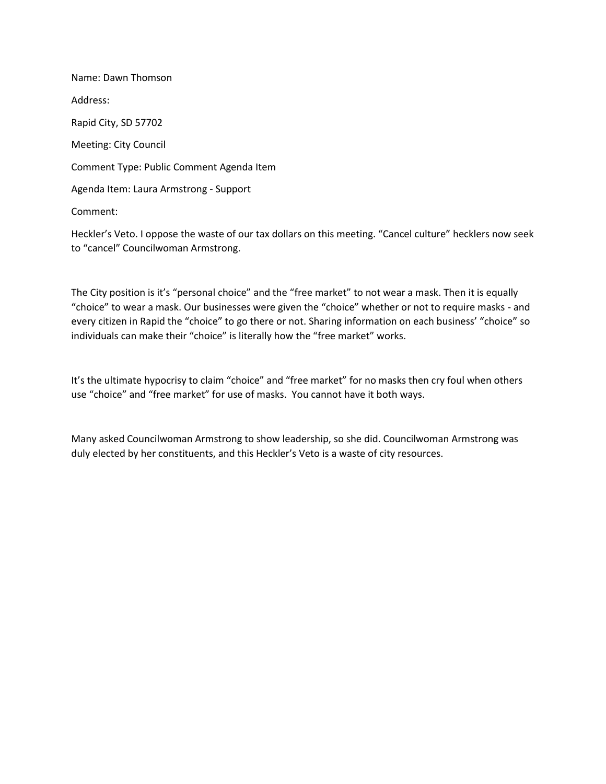Name: Dawn Thomson Address: Rapid City, SD 57702 Meeting: City Council Comment Type: Public Comment Agenda Item Agenda Item: Laura Armstrong - Support Comment:

Heckler's Veto. I oppose the waste of our tax dollars on this meeting. "Cancel culture" hecklers now seek to "cancel" Councilwoman Armstrong.

The City position is it's "personal choice" and the "free market" to not wear a mask. Then it is equally "choice" to wear a mask. Our businesses were given the "choice" whether or not to require masks - and every citizen in Rapid the "choice" to go there or not. Sharing information on each business' "choice" so individuals can make their "choice" is literally how the "free market" works.

It's the ultimate hypocrisy to claim "choice" and "free market" for no masks then cry foul when others use "choice" and "free market" for use of masks. You cannot have it both ways.

Many asked Councilwoman Armstrong to show leadership, so she did. Councilwoman Armstrong was duly elected by her constituents, and this Heckler's Veto is a waste of city resources.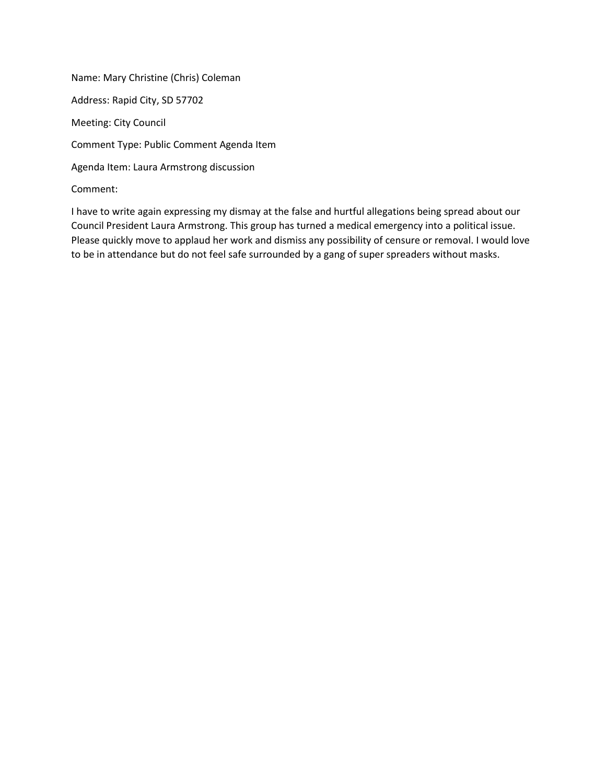Name: Mary Christine (Chris) Coleman Address: Rapid City, SD 57702 Meeting: City Council Comment Type: Public Comment Agenda Item Agenda Item: Laura Armstrong discussion Comment:

I have to write again expressing my dismay at the false and hurtful allegations being spread about our Council President Laura Armstrong. This group has turned a medical emergency into a political issue. Please quickly move to applaud her work and dismiss any possibility of censure or removal. I would love to be in attendance but do not feel safe surrounded by a gang of super spreaders without masks.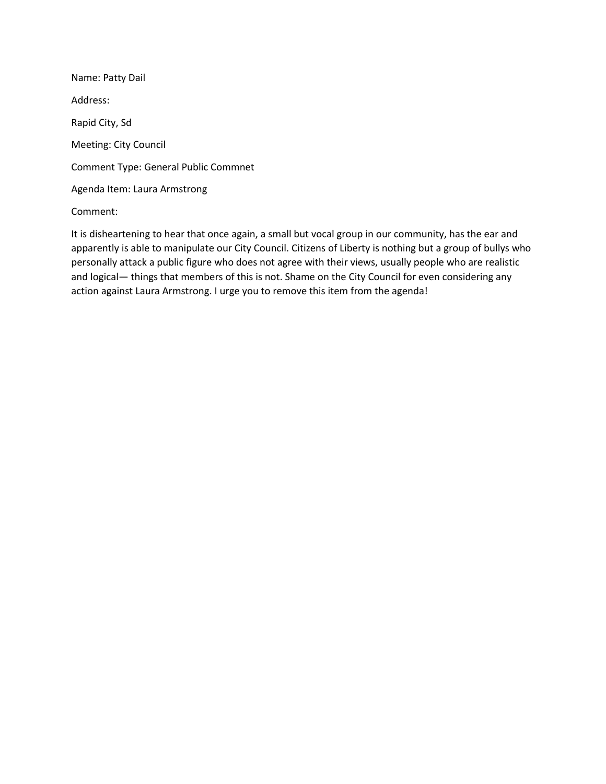Name: Patty Dail Address: Rapid City, Sd Meeting: City Council Comment Type: General Public Commnet Agenda Item: Laura Armstrong

# Comment:

It is disheartening to hear that once again, a small but vocal group in our community, has the ear and apparently is able to manipulate our City Council. Citizens of Liberty is nothing but a group of bullys who personally attack a public figure who does not agree with their views, usually people who are realistic and logical— things that members of this is not. Shame on the City Council for even considering any action against Laura Armstrong. I urge you to remove this item from the agenda!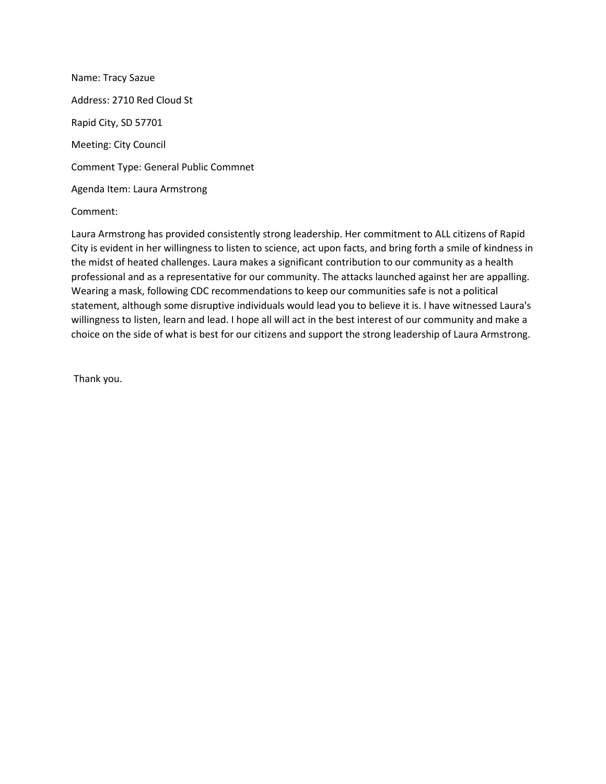Name: Tracy Sazue Address: 2710 Red Cloud St Rapid City, SD 57701 Meeting: City Council Comment Type: General Public Commnet Agenda Item: Laura Armstrong

Comment:

Laura Armstrong has provided consistently strong leadership. Her commitment to ALL citizens of Rapid City is evident in her willingness to listen to science, act upon facts, and bring forth a smile of kindness in the midst of heated challenges. Laura makes a significant contribution to our community as a health professional and as a representative for our community. The attacks launched against her are appalling. Wearing a mask, following CDC recommendations to keep our communities safe is not a political statement, although some disruptive individuals would lead you to believe it is. I have witnessed Laura's willingness to listen, learn and lead. I hope all will act in the best interest of our community and make a choice on the side of what is best for our citizens and support the strong leadership of Laura Armstrong.

Thank you.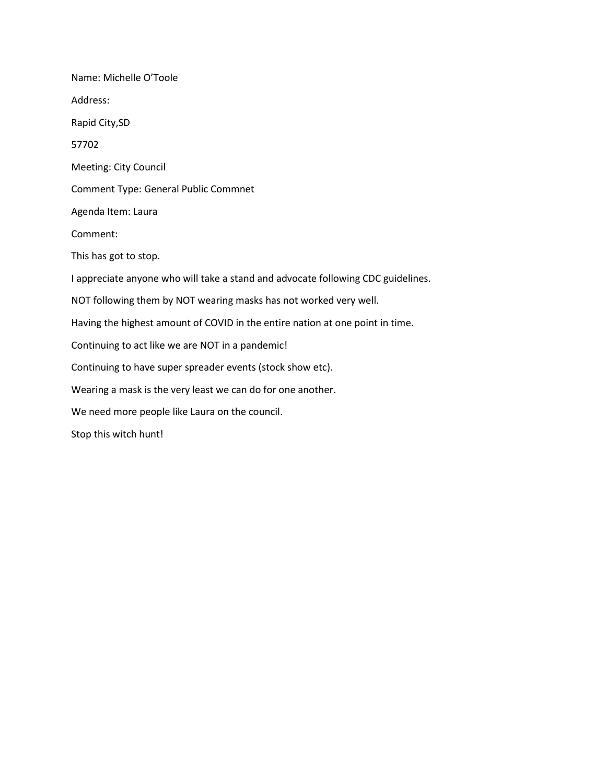Name: Michelle O'Toole Address: Rapid City,SD 57702 Meeting: City Council Comment Type: General Public Commnet Agenda Item: Laura Comment: This has got to stop. I appreciate anyone who will take a stand and advocate following CDC guidelines. NOT following them by NOT wearing masks has not worked very well. Having the highest amount of COVID in the entire nation at one point in time. Continuing to act like we are NOT in a pandemic! Continuing to have super spreader events (stock show etc). Wearing a mask is the very least we can do for one another. We need more people like Laura on the council. Stop this witch hunt!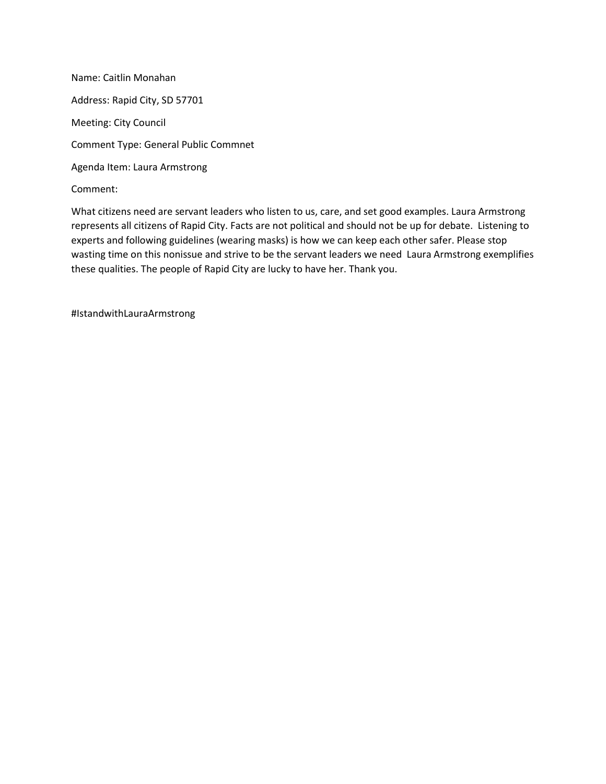Name: Caitlin Monahan Address: Rapid City, SD 57701 Meeting: City Council Comment Type: General Public Commnet Agenda Item: Laura Armstrong Comment:

What citizens need are servant leaders who listen to us, care, and set good examples. Laura Armstrong represents all citizens of Rapid City. Facts are not political and should not be up for debate. Listening to experts and following guidelines (wearing masks) is how we can keep each other safer. Please stop wasting time on this nonissue and strive to be the servant leaders we need Laura Armstrong exemplifies these qualities. The people of Rapid City are lucky to have her. Thank you.

#IstandwithLauraArmstrong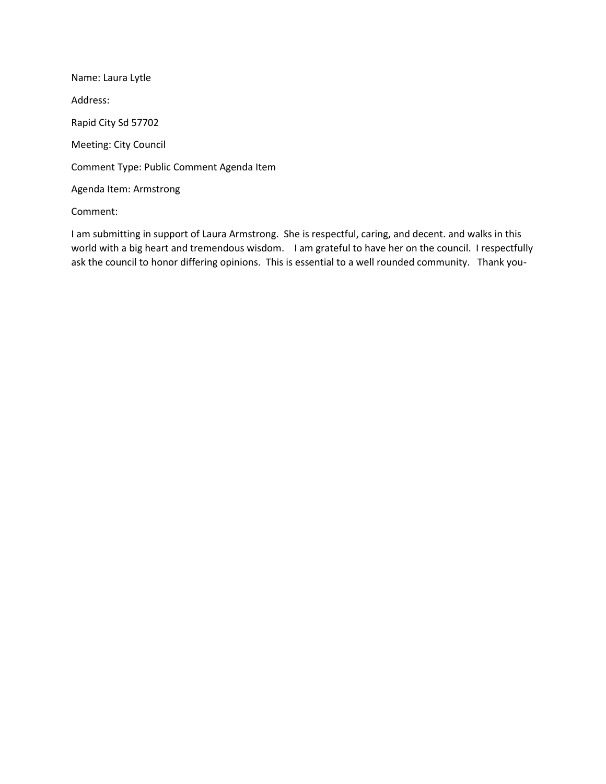Name: Laura Lytle Address: Rapid City Sd 57702 Meeting: City Council Comment Type: Public Comment Agenda Item Agenda Item: Armstrong

Comment:

I am submitting in support of Laura Armstrong. She is respectful, caring, and decent. and walks in this world with a big heart and tremendous wisdom. I am grateful to have her on the council. I respectfully ask the council to honor differing opinions. This is essential to a well rounded community. Thank you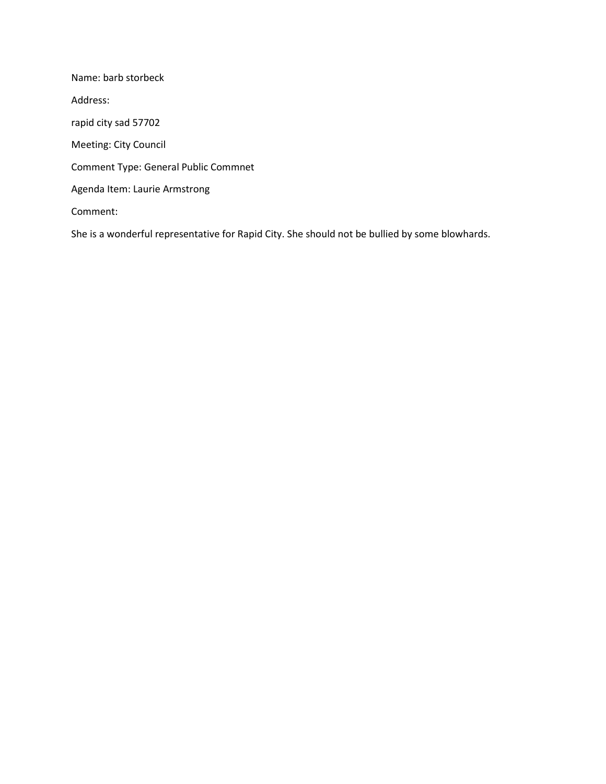Name: barb storbeck Address: rapid city sad 57702 Meeting: City Council Comment Type: General Public Commnet Agenda Item: Laurie Armstrong Comment:

She is a wonderful representative for Rapid City. She should not be bullied by some blowhards.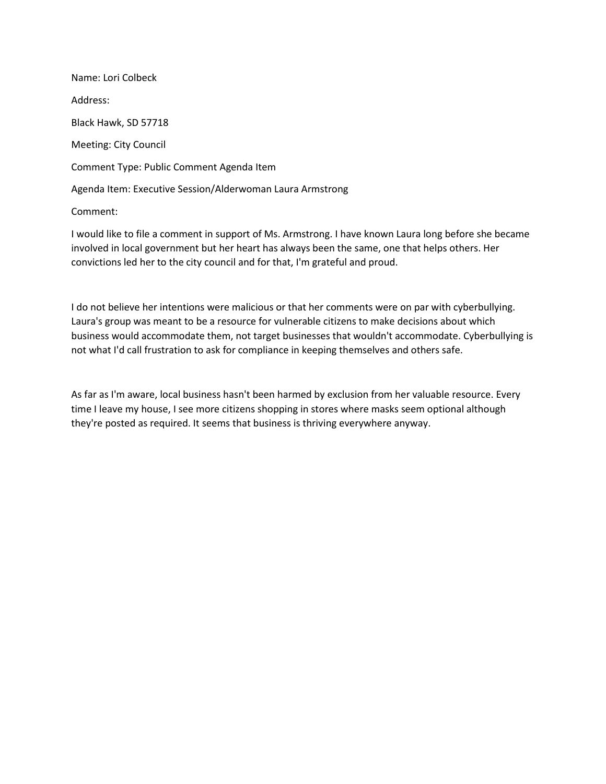Name: Lori Colbeck Address: Black Hawk, SD 57718 Meeting: City Council Comment Type: Public Comment Agenda Item Agenda Item: Executive Session/Alderwoman Laura Armstrong

Comment:

I would like to file a comment in support of Ms. Armstrong. I have known Laura long before she became involved in local government but her heart has always been the same, one that helps others. Her convictions led her to the city council and for that, I'm grateful and proud.

I do not believe her intentions were malicious or that her comments were on par with cyberbullying. Laura's group was meant to be a resource for vulnerable citizens to make decisions about which business would accommodate them, not target businesses that wouldn't accommodate. Cyberbullying is not what I'd call frustration to ask for compliance in keeping themselves and others safe.

As far as I'm aware, local business hasn't been harmed by exclusion from her valuable resource. Every time I leave my house, I see more citizens shopping in stores where masks seem optional although they're posted as required. It seems that business is thriving everywhere anyway.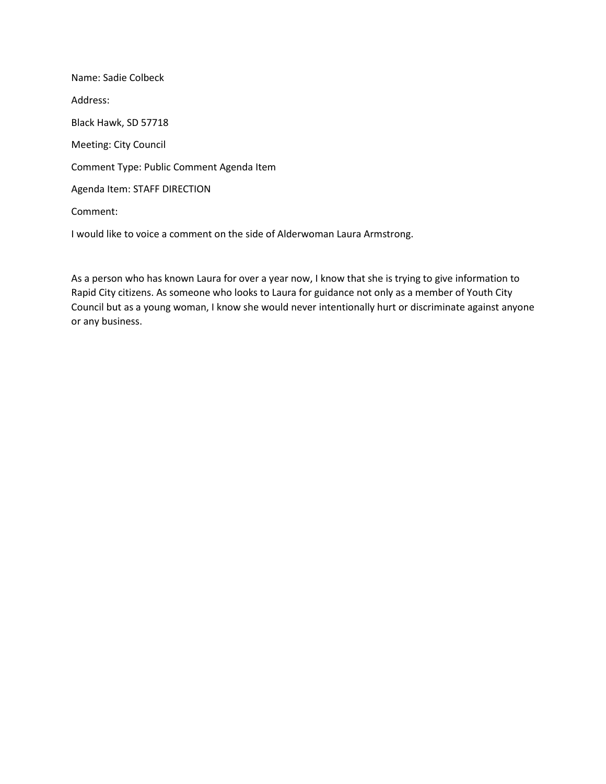Name: Sadie Colbeck Address: Black Hawk, SD 57718 Meeting: City Council Comment Type: Public Comment Agenda Item Agenda Item: STAFF DIRECTION Comment:

I would like to voice a comment on the side of Alderwoman Laura Armstrong.

As a person who has known Laura for over a year now, I know that she is trying to give information to Rapid City citizens. As someone who looks to Laura for guidance not only as a member of Youth City Council but as a young woman, I know she would never intentionally hurt or discriminate against anyone or any business.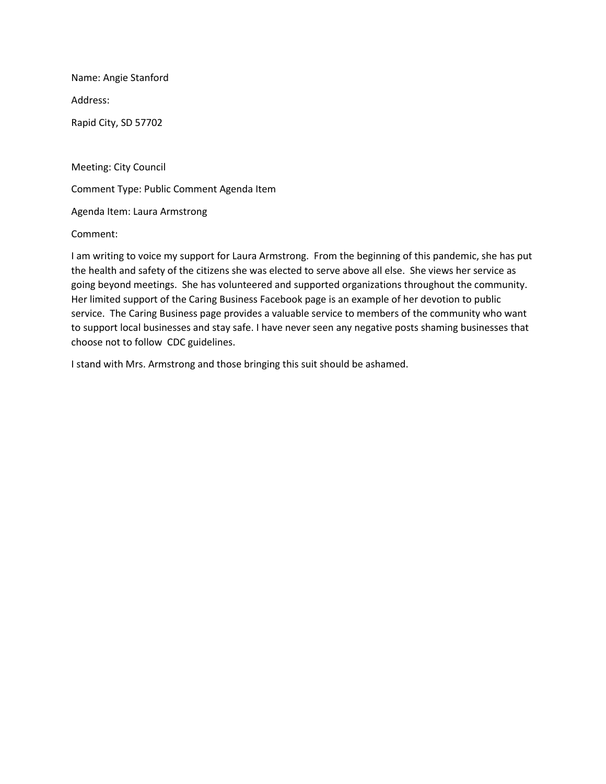Name: Angie Stanford

Address:

Rapid City, SD 57702

Meeting: City Council

Comment Type: Public Comment Agenda Item

Agenda Item: Laura Armstrong

Comment:

I am writing to voice my support for Laura Armstrong. From the beginning of this pandemic, she has put the health and safety of the citizens she was elected to serve above all else. She views her service as going beyond meetings. She has volunteered and supported organizations throughout the community. Her limited support of the Caring Business Facebook page is an example of her devotion to public service. The Caring Business page provides a valuable service to members of the community who want to support local businesses and stay safe. I have never seen any negative posts shaming businesses that choose not to follow CDC guidelines.

I stand with Mrs. Armstrong and those bringing this suit should be ashamed.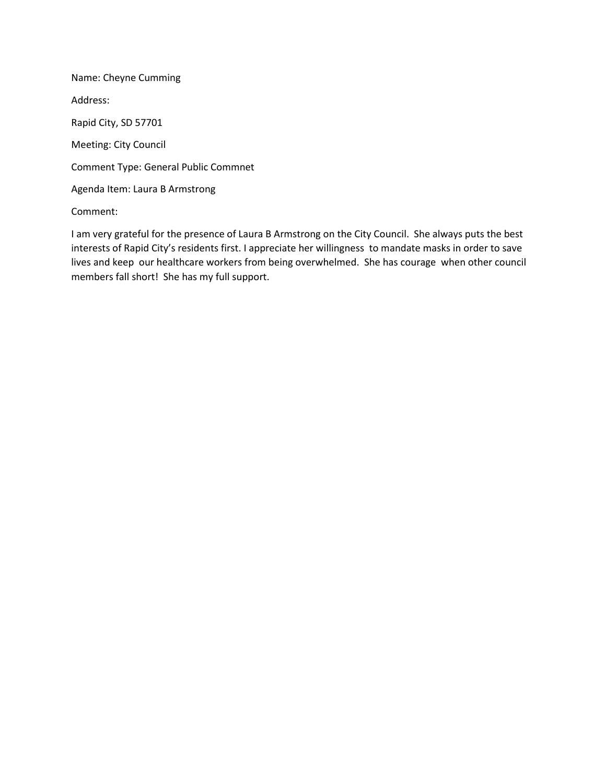Name: Cheyne Cumming Address: Rapid City, SD 57701 Meeting: City Council Comment Type: General Public Commnet Agenda Item: Laura B Armstrong

Comment:

I am very grateful for the presence of Laura B Armstrong on the City Council. She always puts the best interests of Rapid City's residents first. I appreciate her willingness to mandate masks in order to save lives and keep our healthcare workers from being overwhelmed. She has courage when other council members fall short! She has my full support.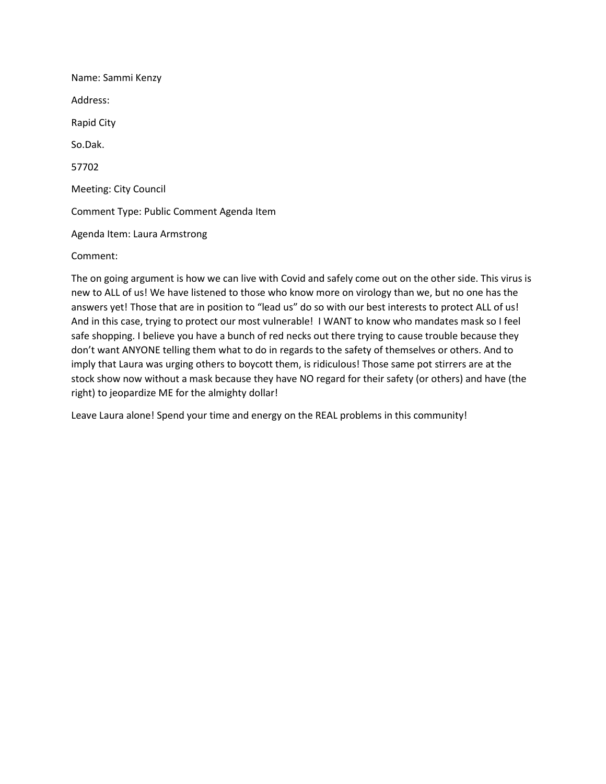Name: Sammi Kenzy Address: Rapid City So.Dak. 57702 Meeting: City Council Comment Type: Public Comment Agenda Item Agenda Item: Laura Armstrong Comment:

The on going argument is how we can live with Covid and safely come out on the other side. This virus is new to ALL of us! We have listened to those who know more on virology than we, but no one has the answers yet! Those that are in position to "lead us" do so with our best interests to protect ALL of us! And in this case, trying to protect our most vulnerable! I WANT to know who mandates mask so I feel safe shopping. I believe you have a bunch of red necks out there trying to cause trouble because they don't want ANYONE telling them what to do in regards to the safety of themselves or others. And to imply that Laura was urging others to boycott them, is ridiculous! Those same pot stirrers are at the stock show now without a mask because they have NO regard for their safety (or others) and have (the right) to jeopardize ME for the almighty dollar!

Leave Laura alone! Spend your time and energy on the REAL problems in this community!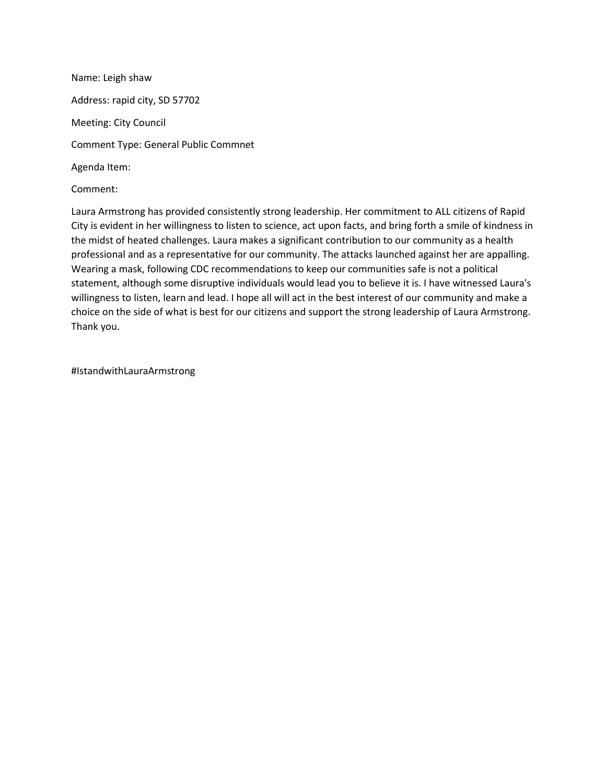Name: Leigh shaw Address: rapid city, SD 57702 Meeting: City Council Comment Type: General Public Commnet Agenda Item:

Comment:

Laura Armstrong has provided consistently strong leadership. Her commitment to ALL citizens of Rapid City is evident in her willingness to listen to science, act upon facts, and bring forth a smile of kindness in the midst of heated challenges. Laura makes a significant contribution to our community as a health professional and as a representative for our community. The attacks launched against her are appalling. Wearing a mask, following CDC recommendations to keep our communities safe is not a political statement, although some disruptive individuals would lead you to believe it is. I have witnessed Laura's willingness to listen, learn and lead. I hope all will act in the best interest of our community and make a choice on the side of what is best for our citizens and support the strong leadership of Laura Armstrong. Thank you.

#IstandwithLauraArmstrong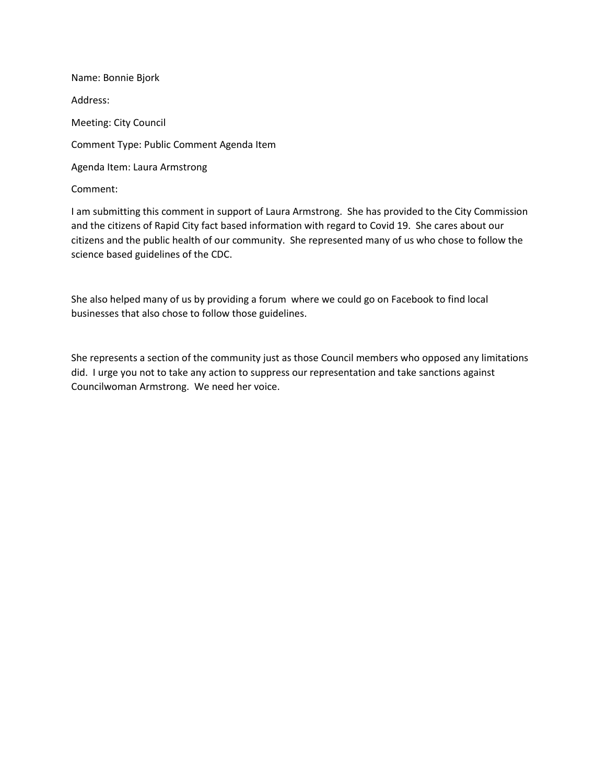Name: Bonnie Bjork Address: Meeting: City Council Comment Type: Public Comment Agenda Item Agenda Item: Laura Armstrong Comment:

I am submitting this comment in support of Laura Armstrong. She has provided to the City Commission and the citizens of Rapid City fact based information with regard to Covid 19. She cares about our citizens and the public health of our community. She represented many of us who chose to follow the science based guidelines of the CDC.

She also helped many of us by providing a forum where we could go on Facebook to find local businesses that also chose to follow those guidelines.

She represents a section of the community just as those Council members who opposed any limitations did. I urge you not to take any action to suppress our representation and take sanctions against Councilwoman Armstrong. We need her voice.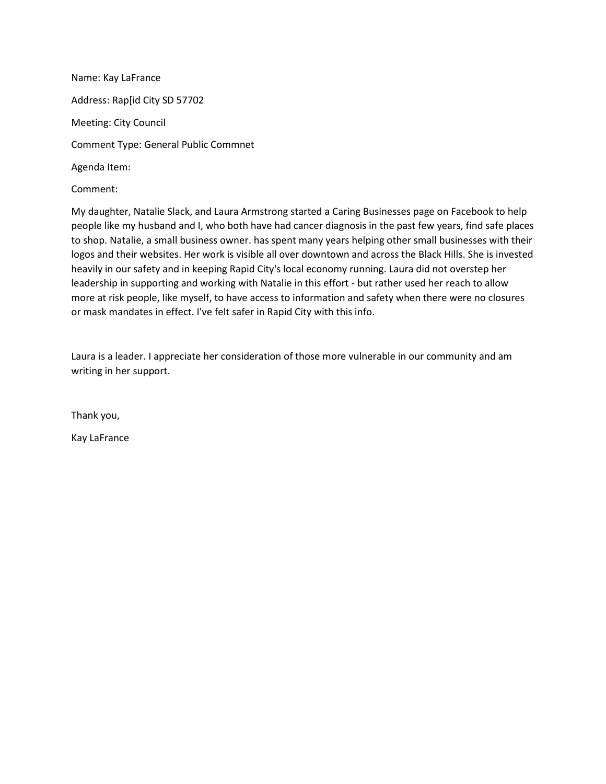Name: Kay LaFrance Address: Rap[id City SD 57702 Meeting: City Council Comment Type: General Public Commnet Agenda Item:

Comment:

My daughter, Natalie Slack, and Laura Armstrong started a Caring Businesses page on Facebook to help people like my husband and I, who both have had cancer diagnosis in the past few years, find safe places to shop. Natalie, a small business owner. has spent many years helping other small businesses with their logos and their websites. Her work is visible all over downtown and across the Black Hills. She is invested heavily in our safety and in keeping Rapid City's local economy running. Laura did not overstep her leadership in supporting and working with Natalie in this effort - but rather used her reach to allow more at risk people, like myself, to have access to information and safety when there were no closures or mask mandates in effect. I've felt safer in Rapid City with this info.

Laura is a leader. I appreciate her consideration of those more vulnerable in our community and am writing in her support.

Thank you,

Kay LaFrance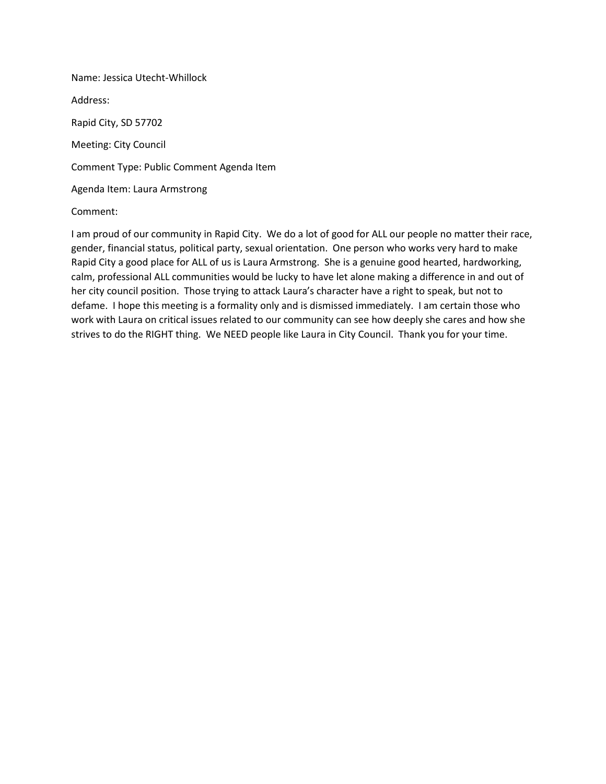Name: Jessica Utecht-Whillock Address: Rapid City, SD 57702 Meeting: City Council Comment Type: Public Comment Agenda Item Agenda Item: Laura Armstrong

#### Comment:

I am proud of our community in Rapid City. We do a lot of good for ALL our people no matter their race, gender, financial status, political party, sexual orientation. One person who works very hard to make Rapid City a good place for ALL of us is Laura Armstrong. She is a genuine good hearted, hardworking, calm, professional ALL communities would be lucky to have let alone making a difference in and out of her city council position. Those trying to attack Laura's character have a right to speak, but not to defame. I hope this meeting is a formality only and is dismissed immediately. I am certain those who work with Laura on critical issues related to our community can see how deeply she cares and how she strives to do the RIGHT thing. We NEED people like Laura in City Council. Thank you for your time.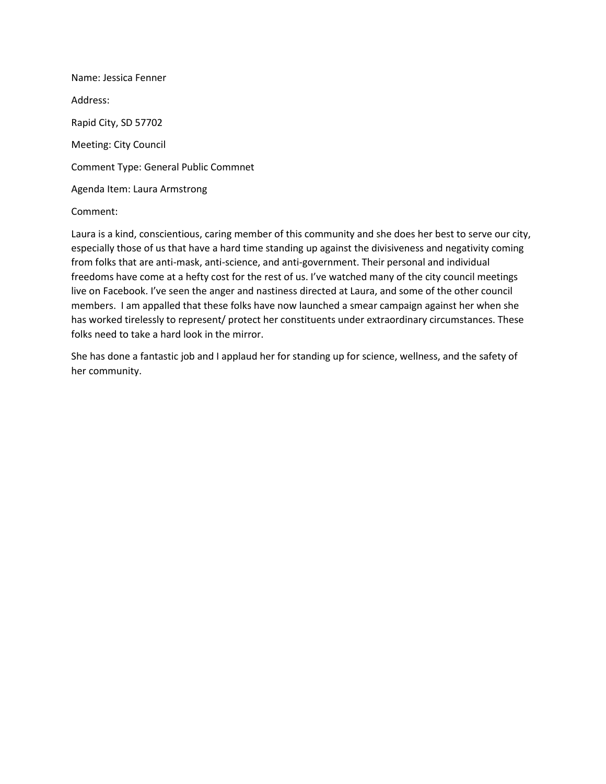Name: Jessica Fenner Address: Rapid City, SD 57702 Meeting: City Council Comment Type: General Public Commnet Agenda Item: Laura Armstrong

## Comment:

Laura is a kind, conscientious, caring member of this community and she does her best to serve our city, especially those of us that have a hard time standing up against the divisiveness and negativity coming from folks that are anti-mask, anti-science, and anti-government. Their personal and individual freedoms have come at a hefty cost for the rest of us. I've watched many of the city council meetings live on Facebook. I've seen the anger and nastiness directed at Laura, and some of the other council members. I am appalled that these folks have now launched a smear campaign against her when she has worked tirelessly to represent/ protect her constituents under extraordinary circumstances. These folks need to take a hard look in the mirror.

She has done a fantastic job and I applaud her for standing up for science, wellness, and the safety of her community.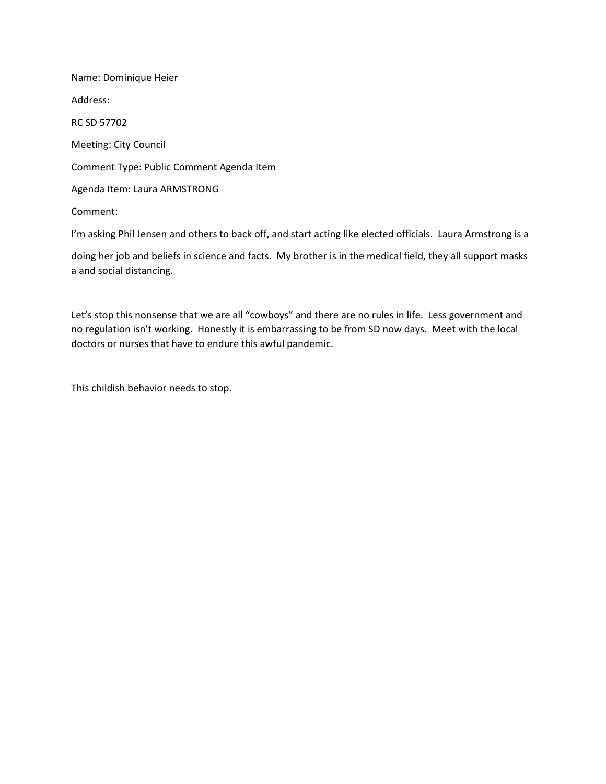Name: Dominique Heier Address: RC SD 57702 Meeting: City Council Comment Type: Public Comment Agenda Item Agenda Item: Laura ARMSTRONG Comment:

I'm asking Phil Jensen and others to back off, and start acting like elected officials. Laura Armstrong is a

doing her job and beliefs in science and facts. My brother is in the medical field, they all support masks a and social distancing.

Let's stop this nonsense that we are all "cowboys" and there are no rules in life. Less government and no regulation isn't working. Honestly it is embarrassing to be from SD now days. Meet with the local doctors or nurses that have to endure this awful pandemic.

This childish behavior needs to stop.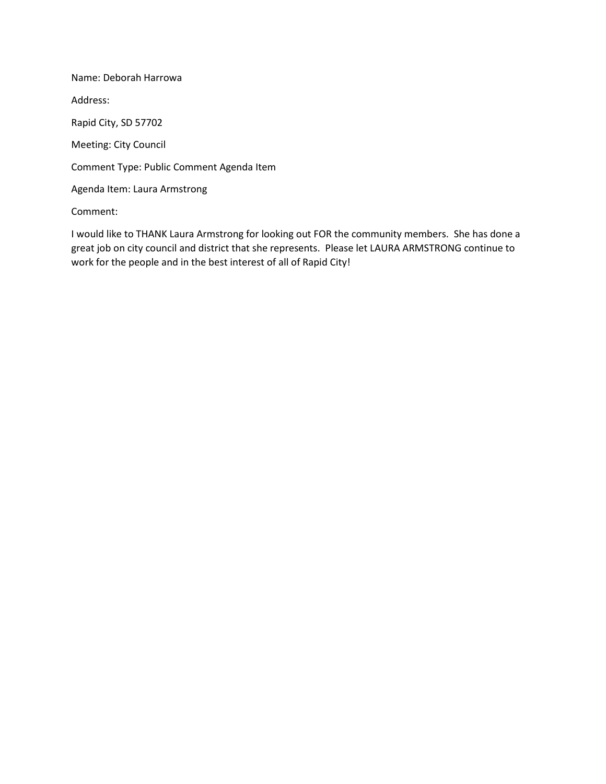Name: Deborah Harrowa Address: Rapid City, SD 57702 Meeting: City Council Comment Type: Public Comment Agenda Item Agenda Item: Laura Armstrong

Comment:

I would like to THANK Laura Armstrong for looking out FOR the community members. She has done a great job on city council and district that she represents. Please let LAURA ARMSTRONG continue to work for the people and in the best interest of all of Rapid City!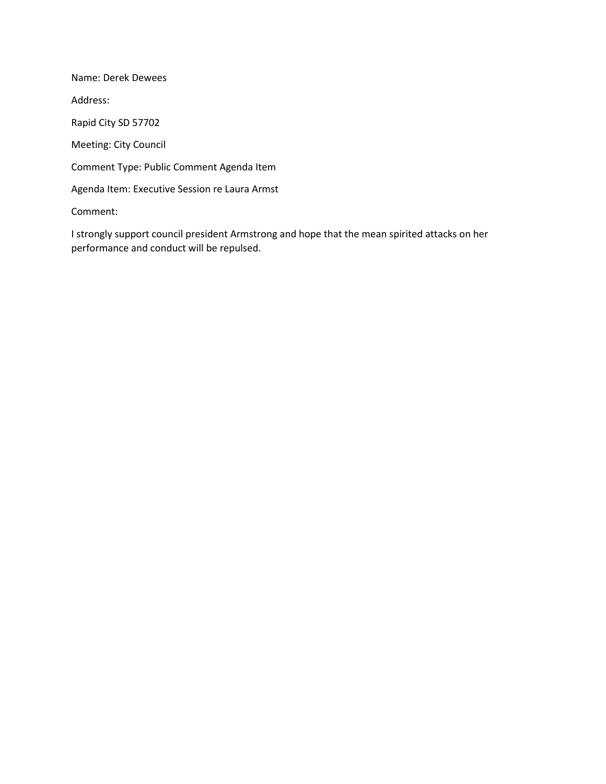Name: Derek Dewees Address: Rapid City SD 57702 Meeting: City Council Comment Type: Public Comment Agenda Item Agenda Item: Executive Session re Laura Armst Comment:

I strongly support council president Armstrong and hope that the mean spirited attacks on her performance and conduct will be repulsed.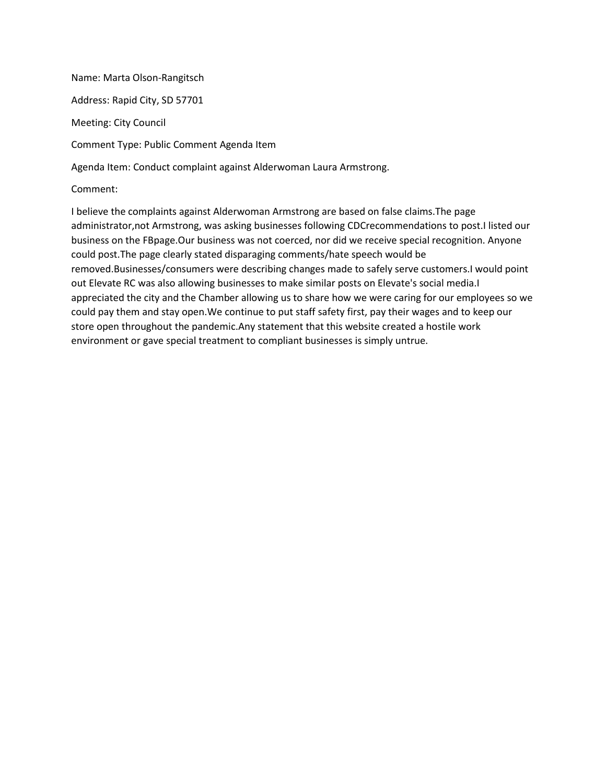Name: Marta Olson-Rangitsch Address: Rapid City, SD 57701 Meeting: City Council Comment Type: Public Comment Agenda Item Agenda Item: Conduct complaint against Alderwoman Laura Armstrong.

Comment:

I believe the complaints against Alderwoman Armstrong are based on false claims.The page administrator,not Armstrong, was asking businesses following CDCrecommendations to post.I listed our business on the FBpage.Our business was not coerced, nor did we receive special recognition. Anyone could post.The page clearly stated disparaging comments/hate speech would be removed.Businesses/consumers were describing changes made to safely serve customers.I would point out Elevate RC was also allowing businesses to make similar posts on Elevate's social media.I appreciated the city and the Chamber allowing us to share how we were caring for our employees so we could pay them and stay open.We continue to put staff safety first, pay their wages and to keep our store open throughout the pandemic.Any statement that this website created a hostile work environment or gave special treatment to compliant businesses is simply untrue.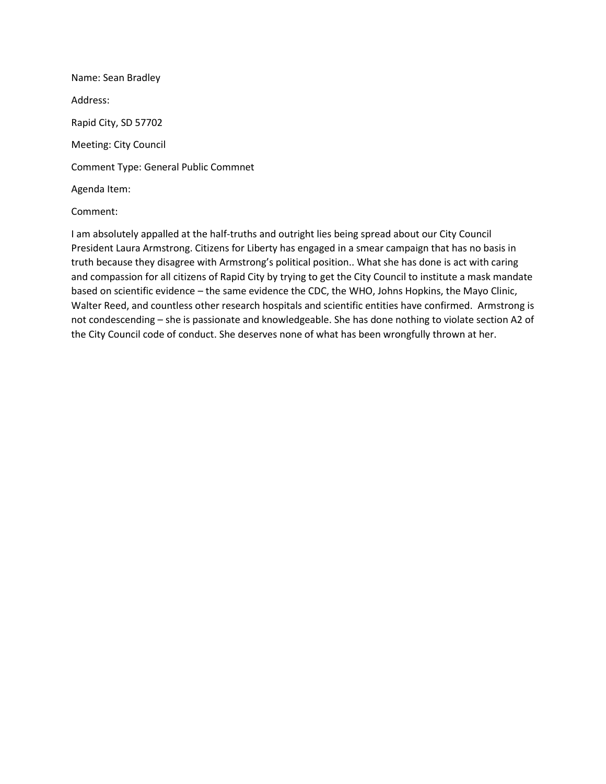Name: Sean Bradley Address: Rapid City, SD 57702 Meeting: City Council Comment Type: General Public Commnet Agenda Item:

## Comment:

I am absolutely appalled at the half-truths and outright lies being spread about our City Council President Laura Armstrong. Citizens for Liberty has engaged in a smear campaign that has no basis in truth because they disagree with Armstrong's political position.. What she has done is act with caring and compassion for all citizens of Rapid City by trying to get the City Council to institute a mask mandate based on scientific evidence – the same evidence the CDC, the WHO, Johns Hopkins, the Mayo Clinic, Walter Reed, and countless other research hospitals and scientific entities have confirmed. Armstrong is not condescending – she is passionate and knowledgeable. She has done nothing to violate section A2 of the City Council code of conduct. She deserves none of what has been wrongfully thrown at her.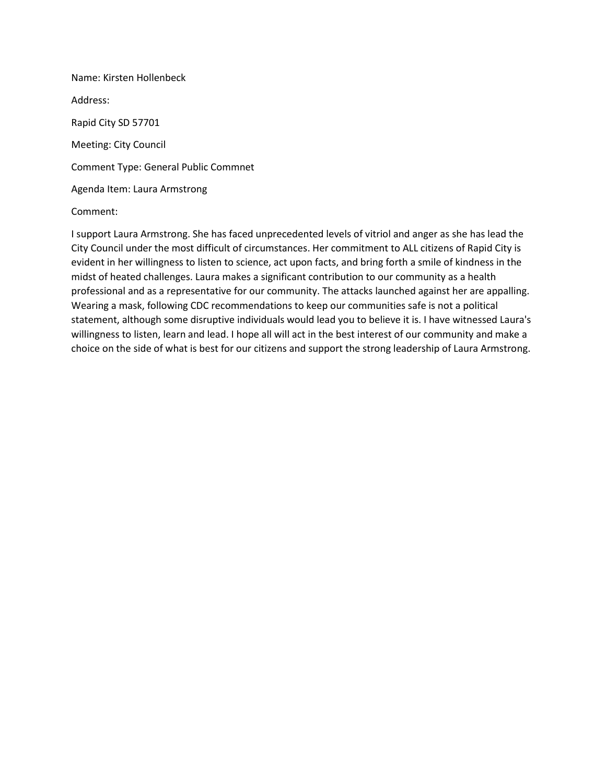Name: Kirsten Hollenbeck Address: Rapid City SD 57701 Meeting: City Council Comment Type: General Public Commnet Agenda Item: Laura Armstrong

## Comment:

I support Laura Armstrong. She has faced unprecedented levels of vitriol and anger as she has lead the City Council under the most difficult of circumstances. Her commitment to ALL citizens of Rapid City is evident in her willingness to listen to science, act upon facts, and bring forth a smile of kindness in the midst of heated challenges. Laura makes a significant contribution to our community as a health professional and as a representative for our community. The attacks launched against her are appalling. Wearing a mask, following CDC recommendations to keep our communities safe is not a political statement, although some disruptive individuals would lead you to believe it is. I have witnessed Laura's willingness to listen, learn and lead. I hope all will act in the best interest of our community and make a choice on the side of what is best for our citizens and support the strong leadership of Laura Armstrong.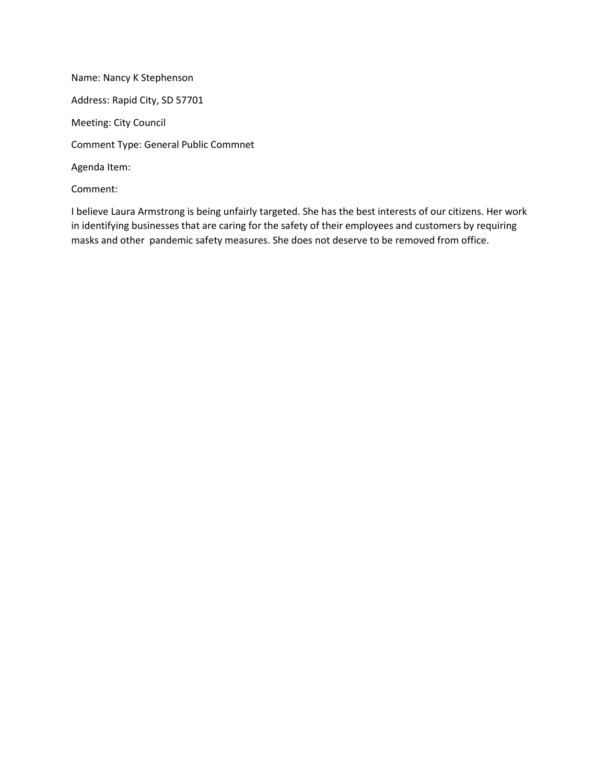Name: Nancy K Stephenson Address: Rapid City, SD 57701 Meeting: City Council Comment Type: General Public Commnet Agenda Item: Comment:

I believe Laura Armstrong is being unfairly targeted. She has the best interests of our citizens. Her work in identifying businesses that are caring for the safety of their employees and customers by requiring masks and other pandemic safety measures. She does not deserve to be removed from office.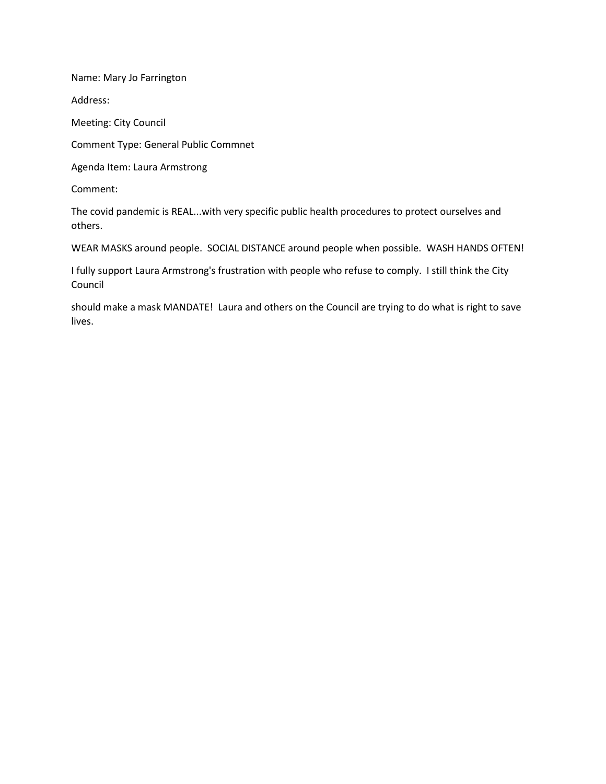Name: Mary Jo Farrington

Address:

Meeting: City Council

Comment Type: General Public Commnet

Agenda Item: Laura Armstrong

Comment:

The covid pandemic is REAL...with very specific public health procedures to protect ourselves and others.

WEAR MASKS around people. SOCIAL DISTANCE around people when possible. WASH HANDS OFTEN!

I fully support Laura Armstrong's frustration with people who refuse to comply. I still think the City Council

should make a mask MANDATE! Laura and others on the Council are trying to do what is right to save lives.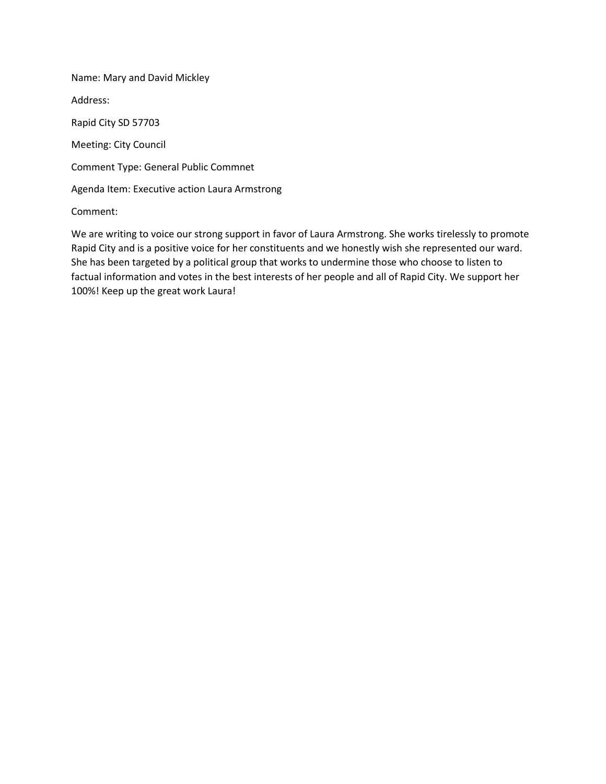Name: Mary and David Mickley

Address:

Rapid City SD 57703

Meeting: City Council

Comment Type: General Public Commnet

Agenda Item: Executive action Laura Armstrong

Comment:

We are writing to voice our strong support in favor of Laura Armstrong. She works tirelessly to promote Rapid City and is a positive voice for her constituents and we honestly wish she represented our ward. She has been targeted by a political group that works to undermine those who choose to listen to factual information and votes in the best interests of her people and all of Rapid City. We support her 100%! Keep up the great work Laura!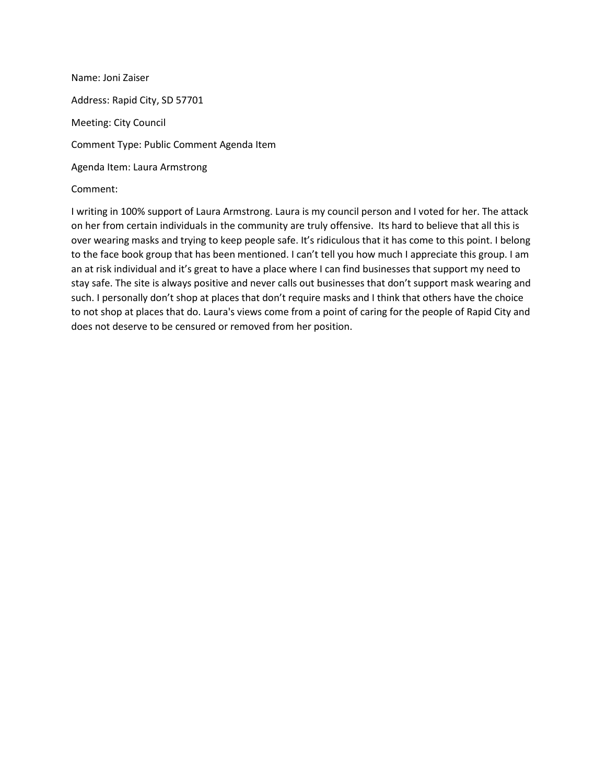Name: Joni Zaiser Address: Rapid City, SD 57701 Meeting: City Council Comment Type: Public Comment Agenda Item Agenda Item: Laura Armstrong

Comment:

I writing in 100% support of Laura Armstrong. Laura is my council person and I voted for her. The attack on her from certain individuals in the community are truly offensive. Its hard to believe that all this is over wearing masks and trying to keep people safe. It's ridiculous that it has come to this point. I belong to the face book group that has been mentioned. I can't tell you how much I appreciate this group. I am an at risk individual and it's great to have a place where I can find businesses that support my need to stay safe. The site is always positive and never calls out businesses that don't support mask wearing and such. I personally don't shop at places that don't require masks and I think that others have the choice to not shop at places that do. Laura's views come from a point of caring for the people of Rapid City and does not deserve to be censured or removed from her position.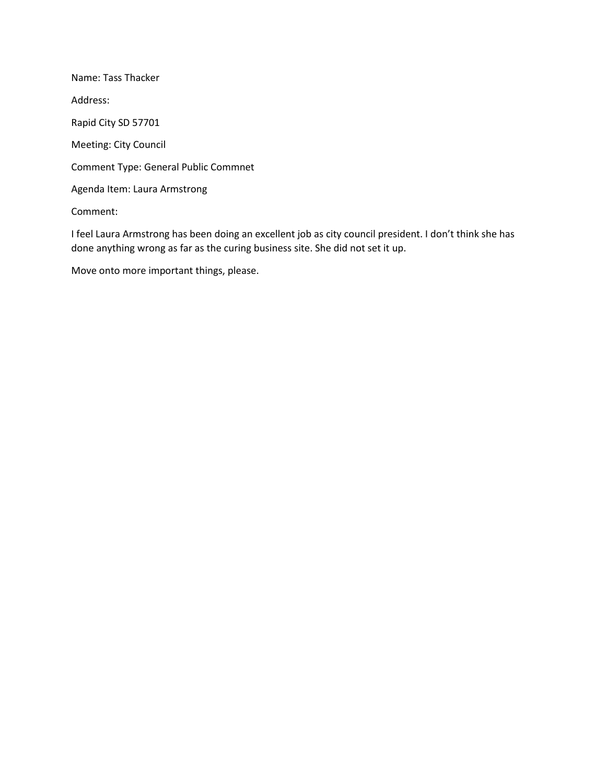Name: Tass Thacker Address: Rapid City SD 57701 Meeting: City Council Comment Type: General Public Commnet Agenda Item: Laura Armstrong Comment:

I feel Laura Armstrong has been doing an excellent job as city council president. I don't think she has done anything wrong as far as the curing business site. She did not set it up.

Move onto more important things, please.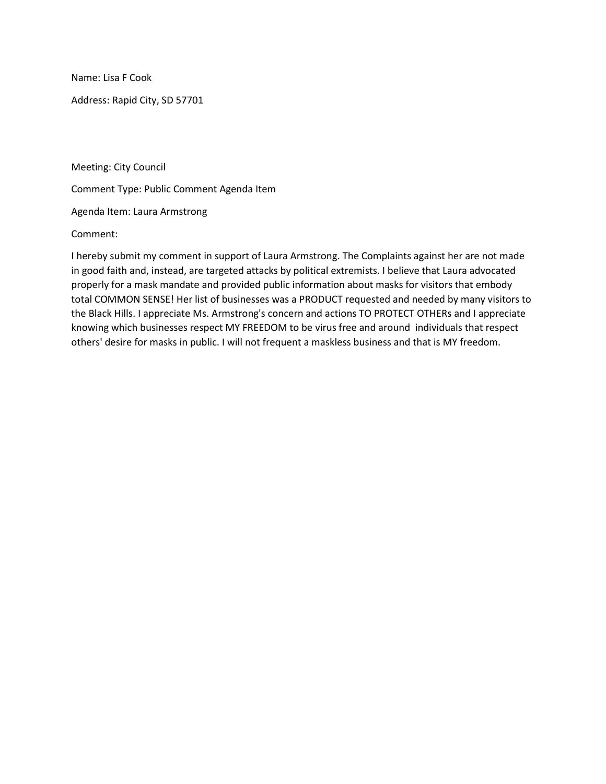Name: Lisa F Cook

Address: Rapid City, SD 57701

Meeting: City Council

Comment Type: Public Comment Agenda Item

Agenda Item: Laura Armstrong

Comment:

I hereby submit my comment in support of Laura Armstrong. The Complaints against her are not made in good faith and, instead, are targeted attacks by political extremists. I believe that Laura advocated properly for a mask mandate and provided public information about masks for visitors that embody total COMMON SENSE! Her list of businesses was a PRODUCT requested and needed by many visitors to the Black Hills. I appreciate Ms. Armstrong's concern and actions TO PROTECT OTHERs and I appreciate knowing which businesses respect MY FREEDOM to be virus free and around individuals that respect others' desire for masks in public. I will not frequent a maskless business and that is MY freedom.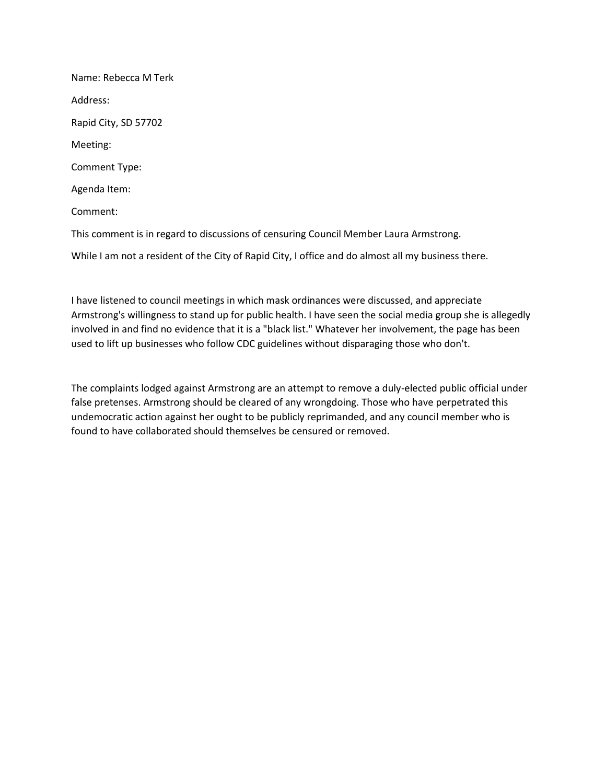Name: Rebecca M Terk Address: Rapid City, SD 57702 Meeting: Comment Type: Agenda Item: Comment: This comment is in regard to discussions of censuring Council Member Laura Armstrong. While I am not a resident of the City of Rapid City, I office and do almost all my business there.

I have listened to council meetings in which mask ordinances were discussed, and appreciate Armstrong's willingness to stand up for public health. I have seen the social media group she is allegedly involved in and find no evidence that it is a "black list." Whatever her involvement, the page has been used to lift up businesses who follow CDC guidelines without disparaging those who don't.

The complaints lodged against Armstrong are an attempt to remove a duly-elected public official under false pretenses. Armstrong should be cleared of any wrongdoing. Those who have perpetrated this undemocratic action against her ought to be publicly reprimanded, and any council member who is found to have collaborated should themselves be censured or removed.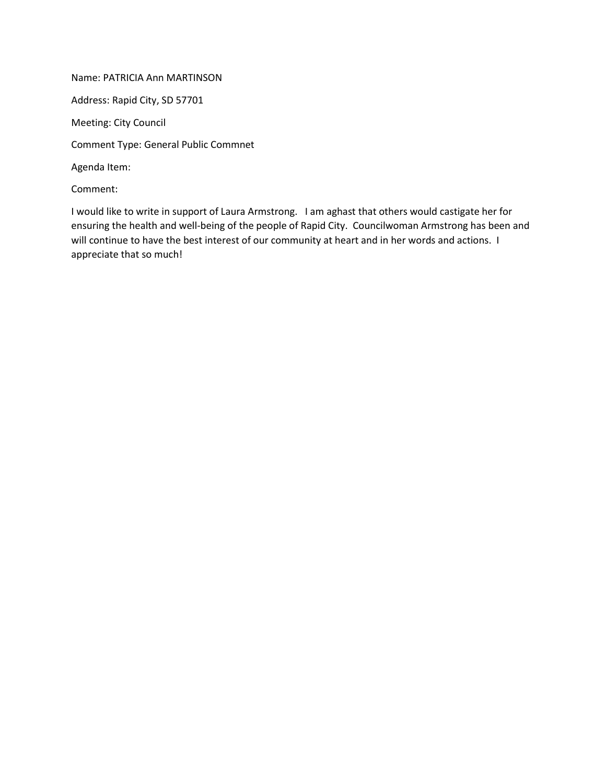Name: PATRICIA Ann MARTINSON Address: Rapid City, SD 57701 Meeting: City Council Comment Type: General Public Commnet Agenda Item: Comment:

I would like to write in support of Laura Armstrong. I am aghast that others would castigate her for ensuring the health and well-being of the people of Rapid City. Councilwoman Armstrong has been and will continue to have the best interest of our community at heart and in her words and actions. I appreciate that so much!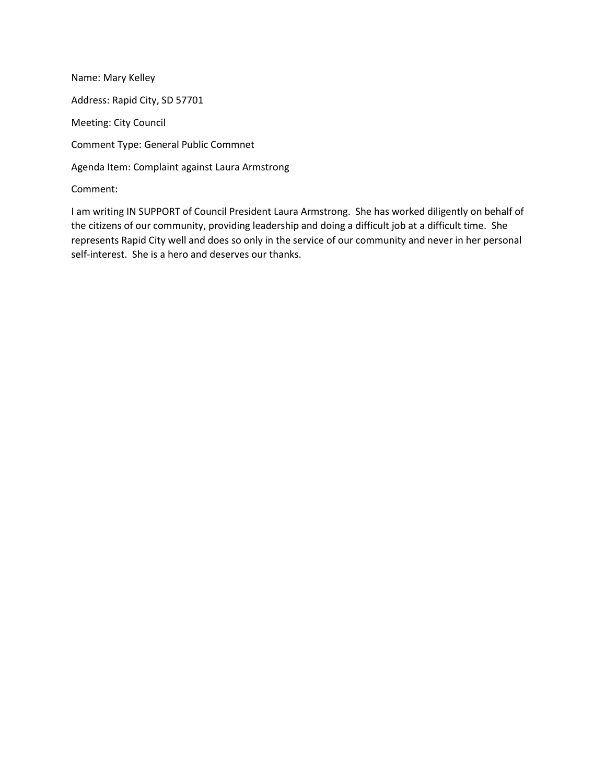Name: Mary Kelley Address: Rapid City, SD 57701 Meeting: City Council Comment Type: General Public Commnet Agenda Item: Complaint against Laura Armstrong Comment:

I am writing IN SUPPORT of Council President Laura Armstrong. She has worked diligently on behalf of the citizens of our community, providing leadership and doing a difficult job at a difficult time. She represents Rapid City well and does so only in the service of our community and never in her personal self-interest. She is a hero and deserves our thanks.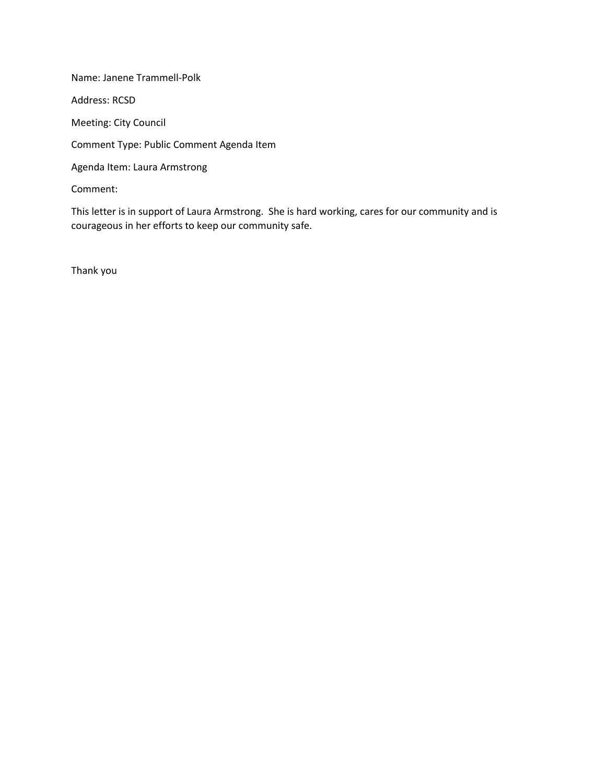Name: Janene Trammell-Polk Address: RCSD Meeting: City Council Comment Type: Public Comment Agenda Item Agenda Item: Laura Armstrong Comment:

This letter is in support of Laura Armstrong. She is hard working, cares for our community and is courageous in her efforts to keep our community safe.

Thank you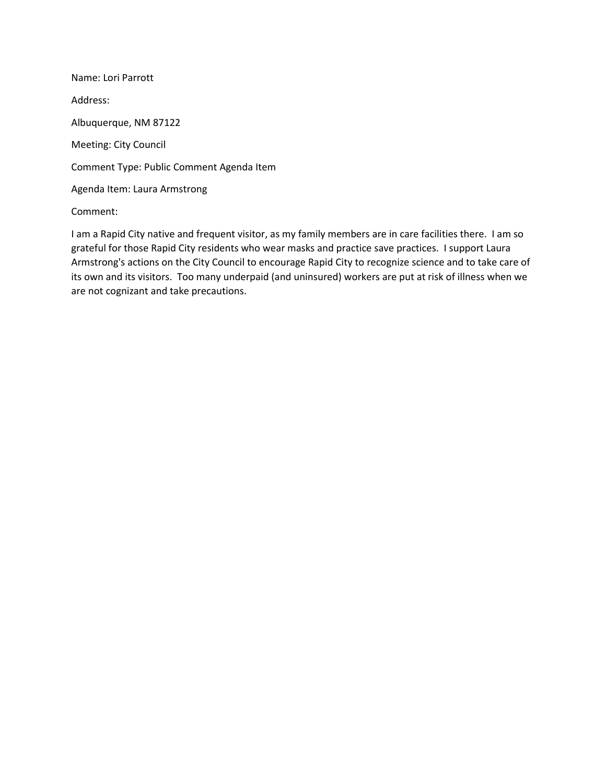Name: Lori Parrott Address: Albuquerque, NM 87122 Meeting: City Council Comment Type: Public Comment Agenda Item Agenda Item: Laura Armstrong

Comment:

I am a Rapid City native and frequent visitor, as my family members are in care facilities there. I am so grateful for those Rapid City residents who wear masks and practice save practices. I support Laura Armstrong's actions on the City Council to encourage Rapid City to recognize science and to take care of its own and its visitors. Too many underpaid (and uninsured) workers are put at risk of illness when we are not cognizant and take precautions.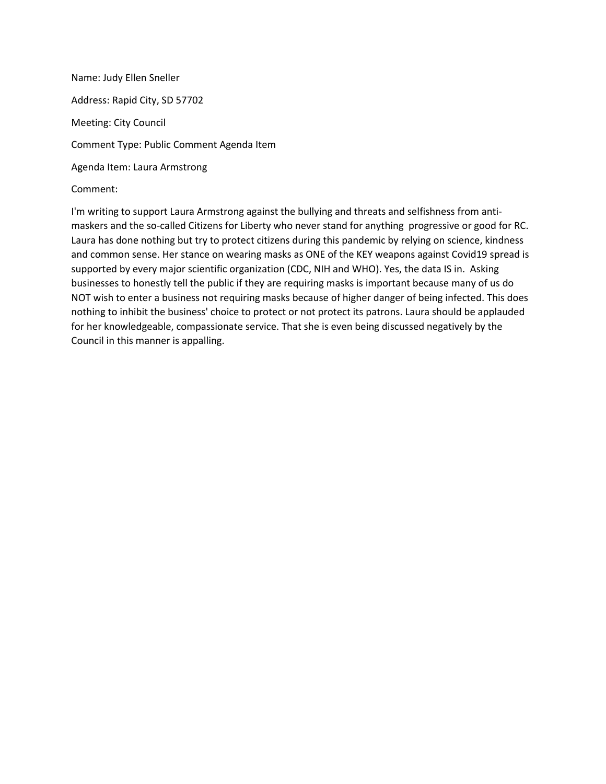Name: Judy Ellen Sneller Address: Rapid City, SD 57702 Meeting: City Council Comment Type: Public Comment Agenda Item Agenda Item: Laura Armstrong Comment:

I'm writing to support Laura Armstrong against the bullying and threats and selfishness from antimaskers and the so-called Citizens for Liberty who never stand for anything progressive or good for RC. Laura has done nothing but try to protect citizens during this pandemic by relying on science, kindness and common sense. Her stance on wearing masks as ONE of the KEY weapons against Covid19 spread is supported by every major scientific organization (CDC, NIH and WHO). Yes, the data IS in. Asking businesses to honestly tell the public if they are requiring masks is important because many of us do NOT wish to enter a business not requiring masks because of higher danger of being infected. This does nothing to inhibit the business' choice to protect or not protect its patrons. Laura should be applauded for her knowledgeable, compassionate service. That she is even being discussed negatively by the Council in this manner is appalling.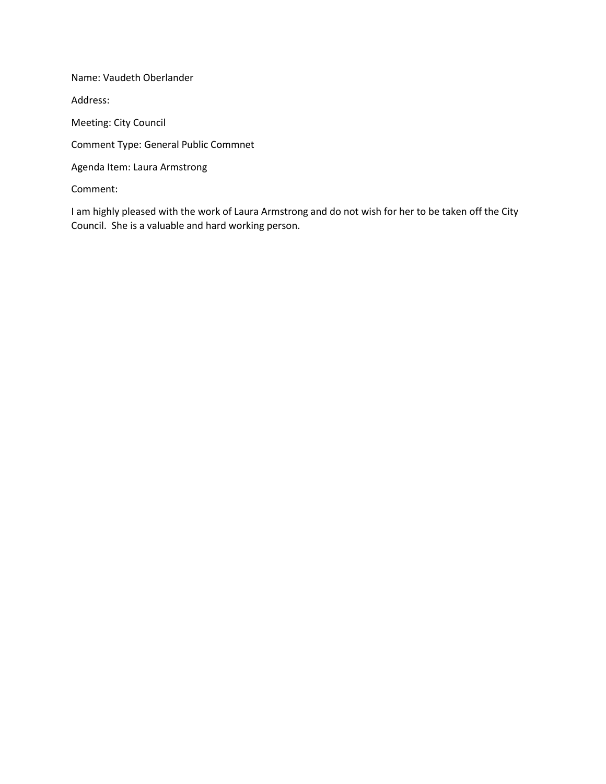Name: Vaudeth Oberlander Address: Meeting: City Council Comment Type: General Public Commnet Agenda Item: Laura Armstrong Comment:

I am highly pleased with the work of Laura Armstrong and do not wish for her to be taken off the City Council. She is a valuable and hard working person.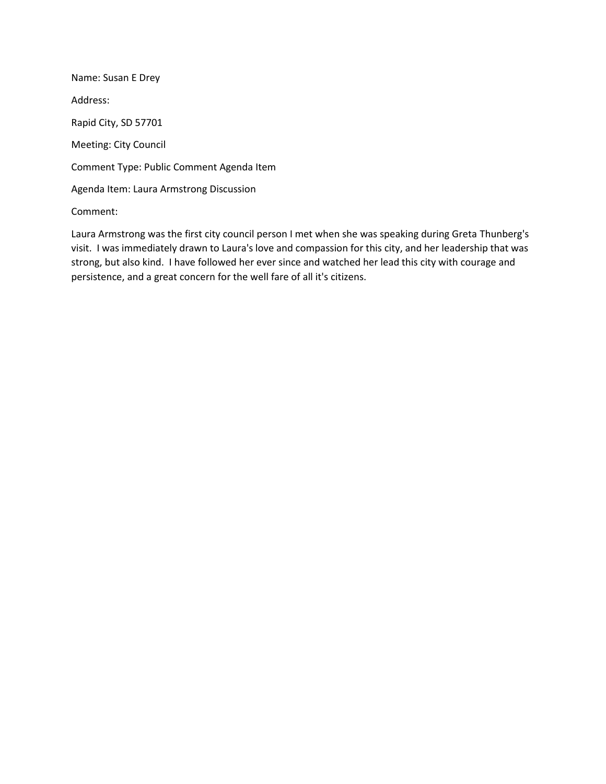Name: Susan E Drey Address: Rapid City, SD 57701 Meeting: City Council Comment Type: Public Comment Agenda Item Agenda Item: Laura Armstrong Discussion

# Comment:

Laura Armstrong was the first city council person I met when she was speaking during Greta Thunberg's visit. I was immediately drawn to Laura's love and compassion for this city, and her leadership that was strong, but also kind. I have followed her ever since and watched her lead this city with courage and persistence, and a great concern for the well fare of all it's citizens.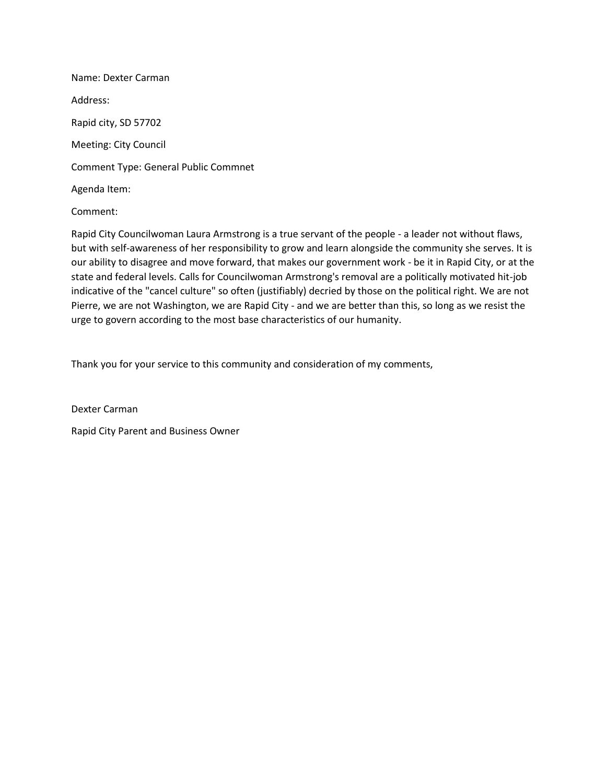Name: Dexter Carman Address: Rapid city, SD 57702 Meeting: City Council Comment Type: General Public Commnet Agenda Item:

Comment:

Rapid City Councilwoman Laura Armstrong is a true servant of the people - a leader not without flaws, but with self-awareness of her responsibility to grow and learn alongside the community she serves. It is our ability to disagree and move forward, that makes our government work - be it in Rapid City, or at the state and federal levels. Calls for Councilwoman Armstrong's removal are a politically motivated hit-job indicative of the "cancel culture" so often (justifiably) decried by those on the political right. We are not Pierre, we are not Washington, we are Rapid City - and we are better than this, so long as we resist the urge to govern according to the most base characteristics of our humanity.

Thank you for your service to this community and consideration of my comments,

Dexter Carman Rapid City Parent and Business Owner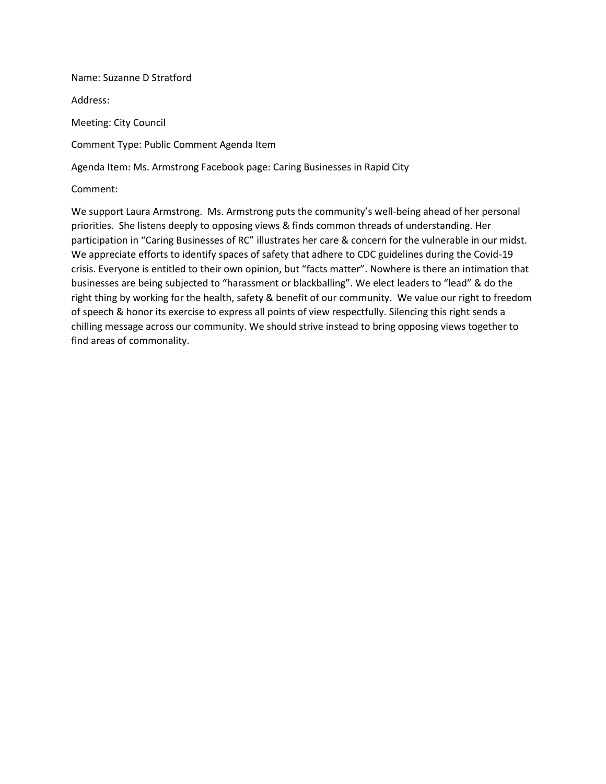#### Name: Suzanne D Stratford

Address:

Meeting: City Council

Comment Type: Public Comment Agenda Item

Agenda Item: Ms. Armstrong Facebook page: Caring Businesses in Rapid City

Comment:

We support Laura Armstrong. Ms. Armstrong puts the community's well-being ahead of her personal priorities. She listens deeply to opposing views & finds common threads of understanding. Her participation in "Caring Businesses of RC" illustrates her care & concern for the vulnerable in our midst. We appreciate efforts to identify spaces of safety that adhere to CDC guidelines during the Covid-19 crisis. Everyone is entitled to their own opinion, but "facts matter". Nowhere is there an intimation that businesses are being subjected to "harassment or blackballing". We elect leaders to "lead" & do the right thing by working for the health, safety & benefit of our community. We value our right to freedom of speech & honor its exercise to express all points of view respectfully. Silencing this right sends a chilling message across our community. We should strive instead to bring opposing views together to find areas of commonality.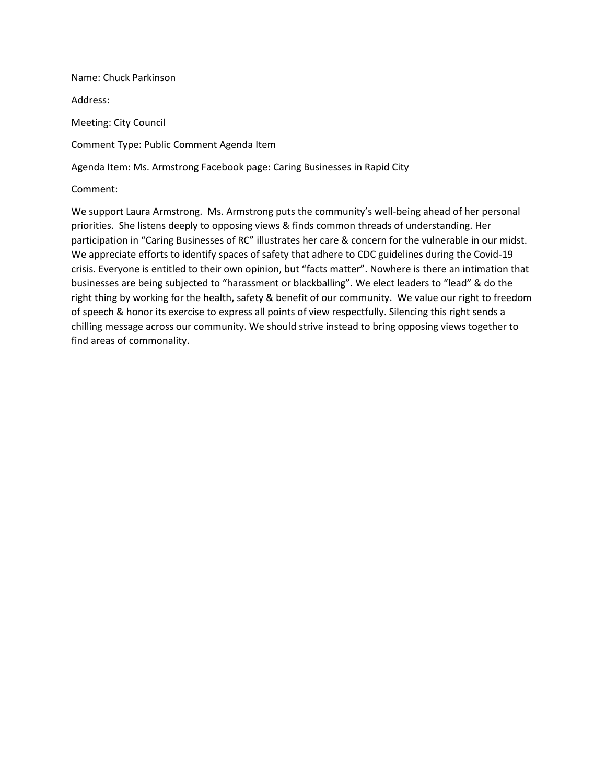Name: Chuck Parkinson Address: Meeting: City Council Comment Type: Public Comment Agenda Item

Agenda Item: Ms. Armstrong Facebook page: Caring Businesses in Rapid City

Comment:

We support Laura Armstrong. Ms. Armstrong puts the community's well-being ahead of her personal priorities. She listens deeply to opposing views & finds common threads of understanding. Her participation in "Caring Businesses of RC" illustrates her care & concern for the vulnerable in our midst. We appreciate efforts to identify spaces of safety that adhere to CDC guidelines during the Covid-19 crisis. Everyone is entitled to their own opinion, but "facts matter". Nowhere is there an intimation that businesses are being subjected to "harassment or blackballing". We elect leaders to "lead" & do the right thing by working for the health, safety & benefit of our community. We value our right to freedom of speech & honor its exercise to express all points of view respectfully. Silencing this right sends a chilling message across our community. We should strive instead to bring opposing views together to find areas of commonality.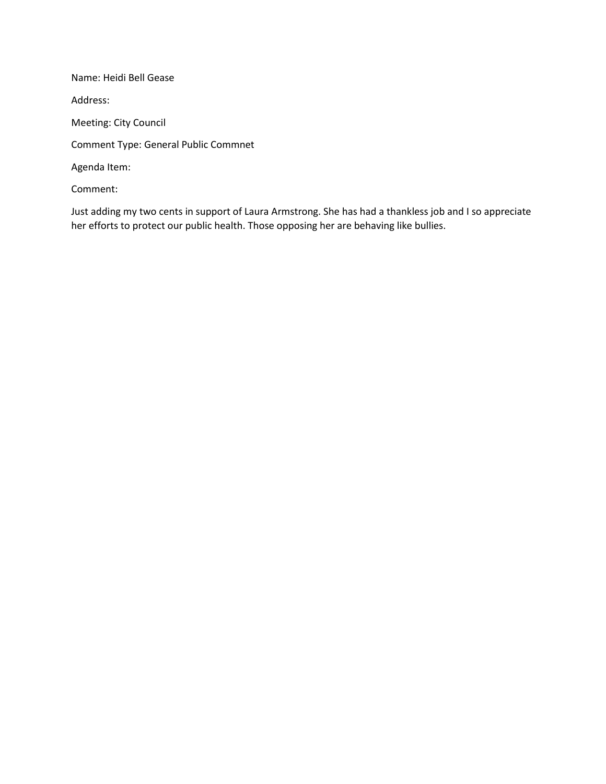Name: Heidi Bell Gease Address: Meeting: City Council Comment Type: General Public Commnet Agenda Item: Comment:

Just adding my two cents in support of Laura Armstrong. She has had a thankless job and I so appreciate her efforts to protect our public health. Those opposing her are behaving like bullies.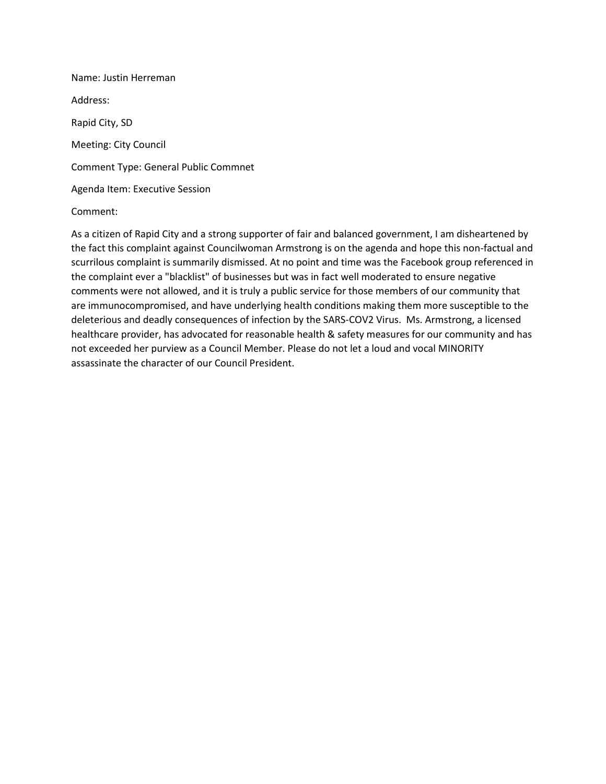Name: Justin Herreman Address: Rapid City, SD Meeting: City Council Comment Type: General Public Commnet Agenda Item: Executive Session

## Comment:

As a citizen of Rapid City and a strong supporter of fair and balanced government, I am disheartened by the fact this complaint against Councilwoman Armstrong is on the agenda and hope this non-factual and scurrilous complaint is summarily dismissed. At no point and time was the Facebook group referenced in the complaint ever a "blacklist" of businesses but was in fact well moderated to ensure negative comments were not allowed, and it is truly a public service for those members of our community that are immunocompromised, and have underlying health conditions making them more susceptible to the deleterious and deadly consequences of infection by the SARS-COV2 Virus. Ms. Armstrong, a licensed healthcare provider, has advocated for reasonable health & safety measures for our community and has not exceeded her purview as a Council Member. Please do not let a loud and vocal MINORITY assassinate the character of our Council President.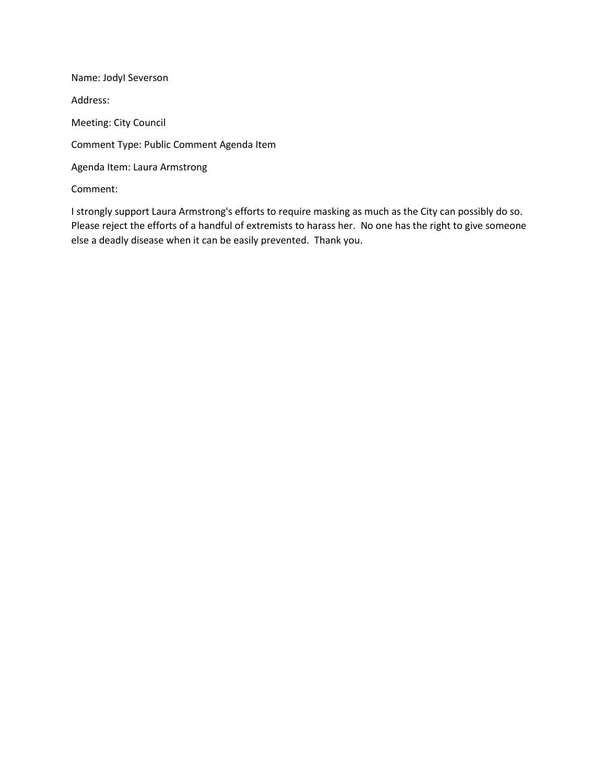Name: JodyI Severson Address: Meeting: City Council Comment Type: Public Comment Agenda Item Agenda Item: Laura Armstrong Comment:

I strongly support Laura Armstrong's efforts to require masking as much as the City can possibly do so. Please reject the efforts of a handful of extremists to harass her. No one has the right to give someone else a deadly disease when it can be easily prevented. Thank you.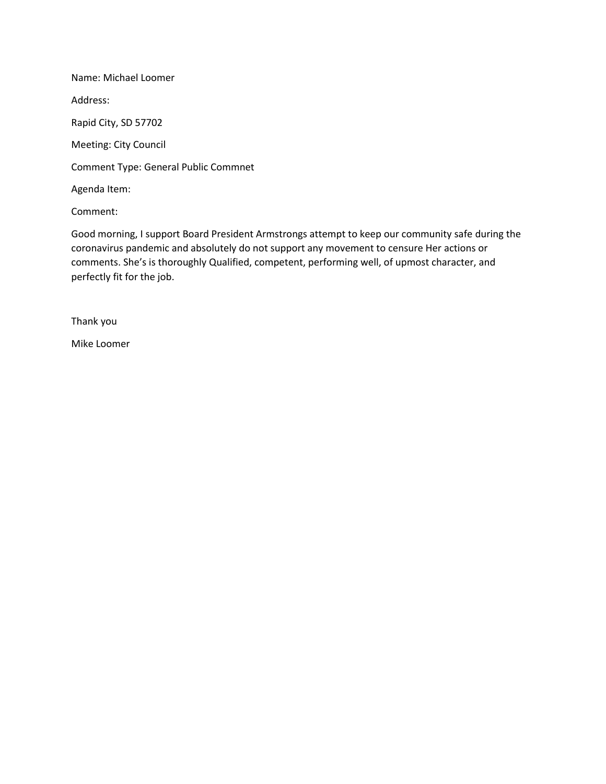Name: Michael Loomer Address: Rapid City, SD 57702 Meeting: City Council Comment Type: General Public Commnet Agenda Item:

Comment:

Good morning, I support Board President Armstrongs attempt to keep our community safe during the coronavirus pandemic and absolutely do not support any movement to censure Her actions or comments. She's is thoroughly Qualified, competent, performing well, of upmost character, and perfectly fit for the job.

Thank you

Mike Loomer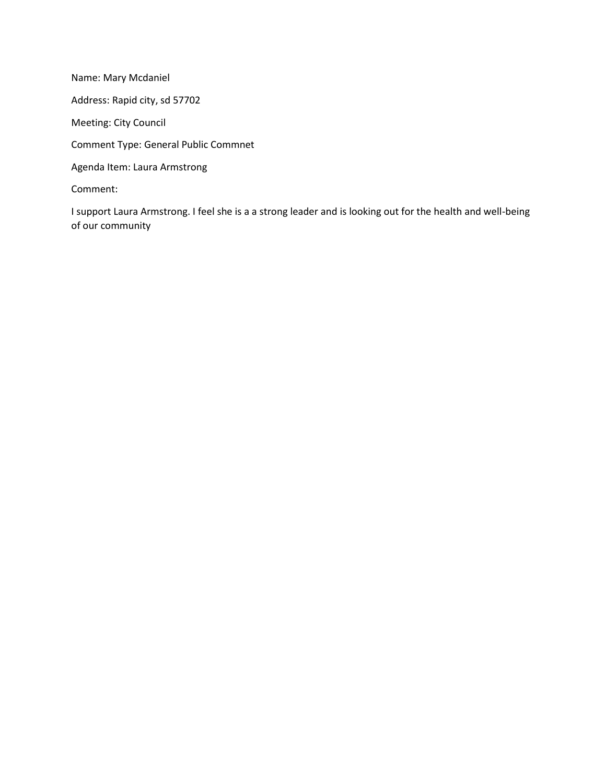Name: Mary Mcdaniel Address: Rapid city, sd 57702 Meeting: City Council Comment Type: General Public Commnet Agenda Item: Laura Armstrong Comment:

I support Laura Armstrong. I feel she is a a strong leader and is looking out for the health and well-being of our community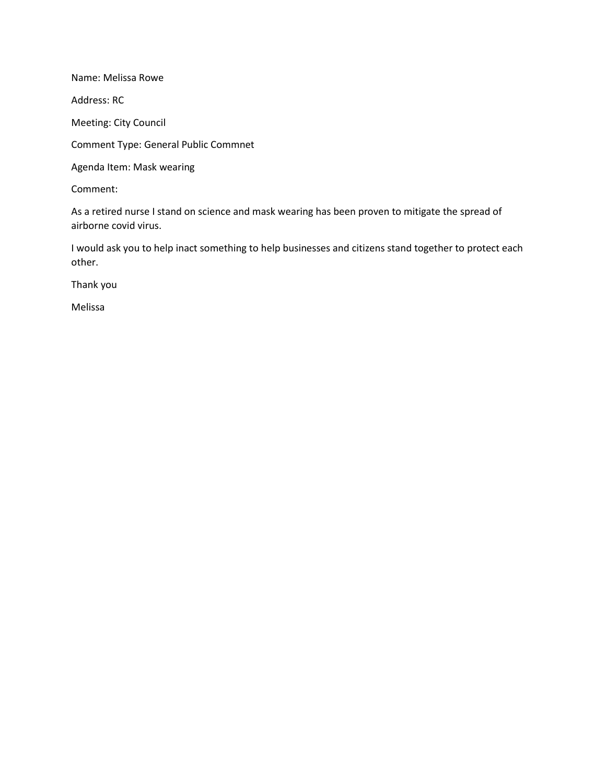Name: Melissa Rowe

Address: RC

Meeting: City Council

Comment Type: General Public Commnet

Agenda Item: Mask wearing

Comment:

As a retired nurse I stand on science and mask wearing has been proven to mitigate the spread of airborne covid virus.

I would ask you to help inact something to help businesses and citizens stand together to protect each other.

Thank you

Melissa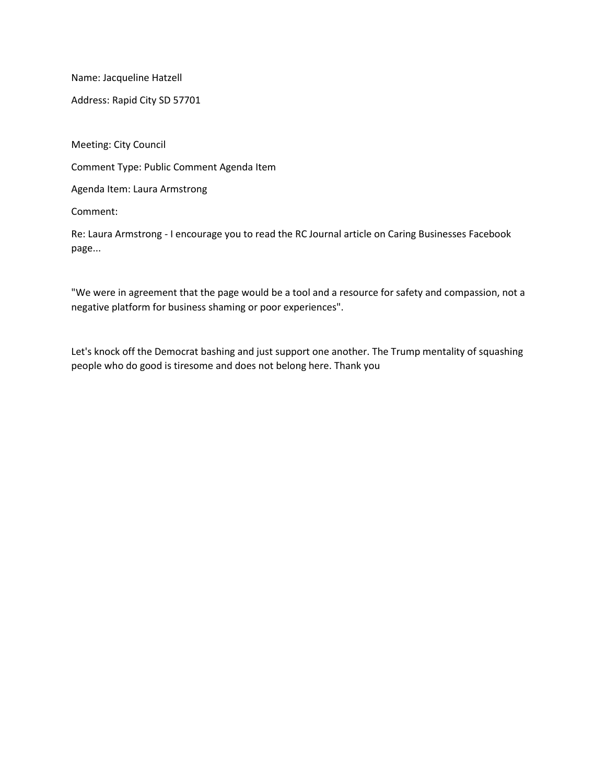Name: Jacqueline Hatzell

Address: Rapid City SD 57701

Meeting: City Council

Comment Type: Public Comment Agenda Item

Agenda Item: Laura Armstrong

Comment:

Re: Laura Armstrong - I encourage you to read the RC Journal article on Caring Businesses Facebook page...

"We were in agreement that the page would be a tool and a resource for safety and compassion, not a negative platform for business shaming or poor experiences".

Let's knock off the Democrat bashing and just support one another. The Trump mentality of squashing people who do good is tiresome and does not belong here. Thank you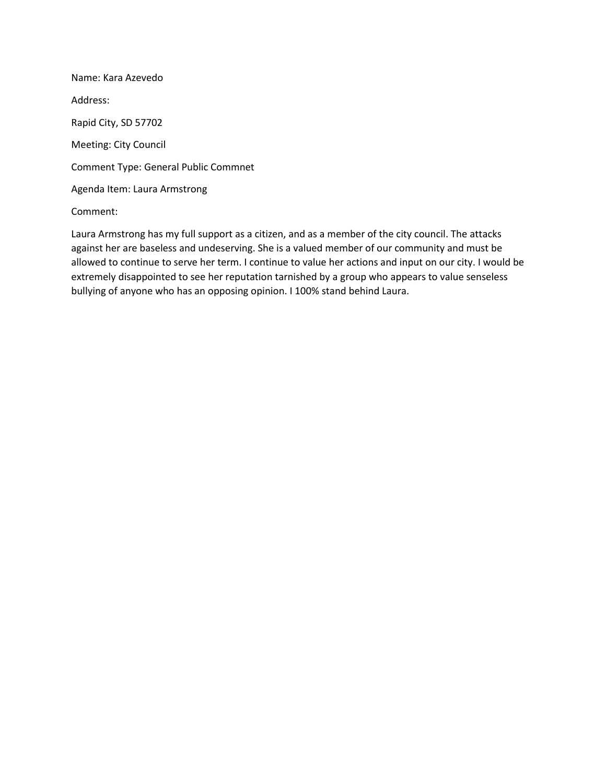Name: Kara Azevedo Address: Rapid City, SD 57702 Meeting: City Council Comment Type: General Public Commnet Agenda Item: Laura Armstrong

## Comment:

Laura Armstrong has my full support as a citizen, and as a member of the city council. The attacks against her are baseless and undeserving. She is a valued member of our community and must be allowed to continue to serve her term. I continue to value her actions and input on our city. I would be extremely disappointed to see her reputation tarnished by a group who appears to value senseless bullying of anyone who has an opposing opinion. I 100% stand behind Laura.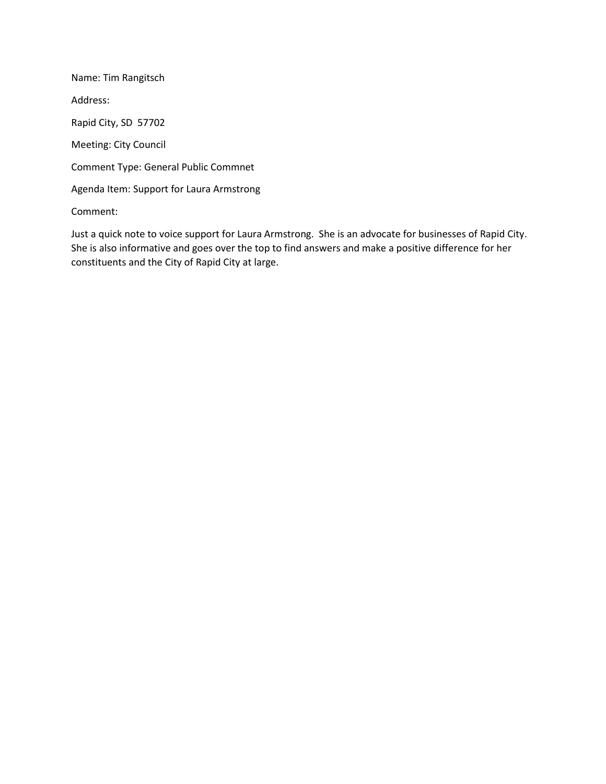Name: Tim Rangitsch Address: Rapid City, SD 57702 Meeting: City Council Comment Type: General Public Commnet Agenda Item: Support for Laura Armstrong

Comment:

Just a quick note to voice support for Laura Armstrong. She is an advocate for businesses of Rapid City. She is also informative and goes over the top to find answers and make a positive difference for her constituents and the City of Rapid City at large.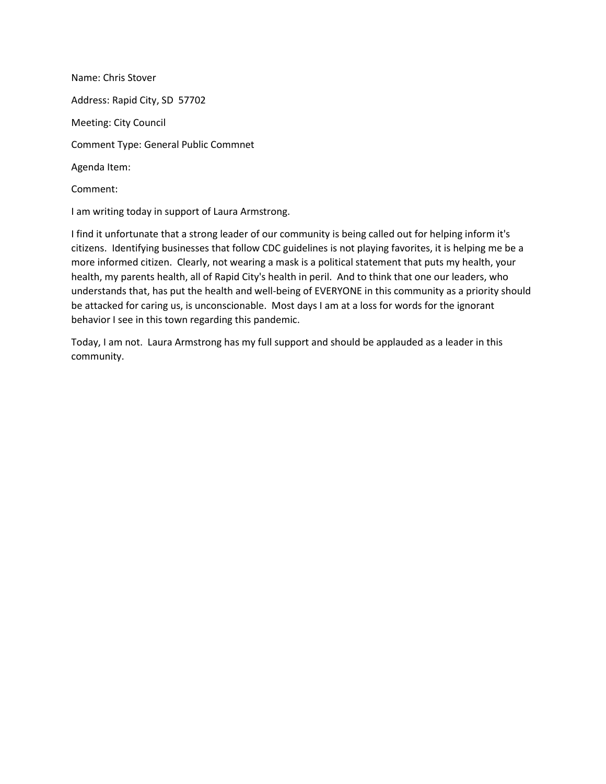Name: Chris Stover Address: Rapid City, SD 57702 Meeting: City Council Comment Type: General Public Commnet Agenda Item: Comment:

I am writing today in support of Laura Armstrong.

I find it unfortunate that a strong leader of our community is being called out for helping inform it's citizens. Identifying businesses that follow CDC guidelines is not playing favorites, it is helping me be a more informed citizen. Clearly, not wearing a mask is a political statement that puts my health, your health, my parents health, all of Rapid City's health in peril. And to think that one our leaders, who understands that, has put the health and well-being of EVERYONE in this community as a priority should be attacked for caring us, is unconscionable. Most days I am at a loss for words for the ignorant behavior I see in this town regarding this pandemic.

Today, I am not. Laura Armstrong has my full support and should be applauded as a leader in this community.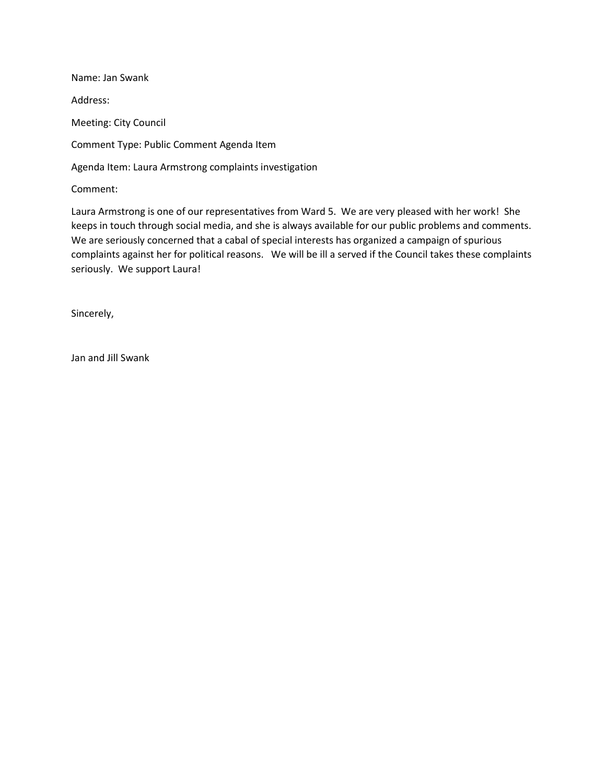Name: Jan Swank Address: Meeting: City Council Comment Type: Public Comment Agenda Item Agenda Item: Laura Armstrong complaints investigation Comment:

Laura Armstrong is one of our representatives from Ward 5. We are very pleased with her work! She keeps in touch through social media, and she is always available for our public problems and comments. We are seriously concerned that a cabal of special interests has organized a campaign of spurious complaints against her for political reasons. We will be ill a served if the Council takes these complaints seriously. We support Laura!

Sincerely,

Jan and Jill Swank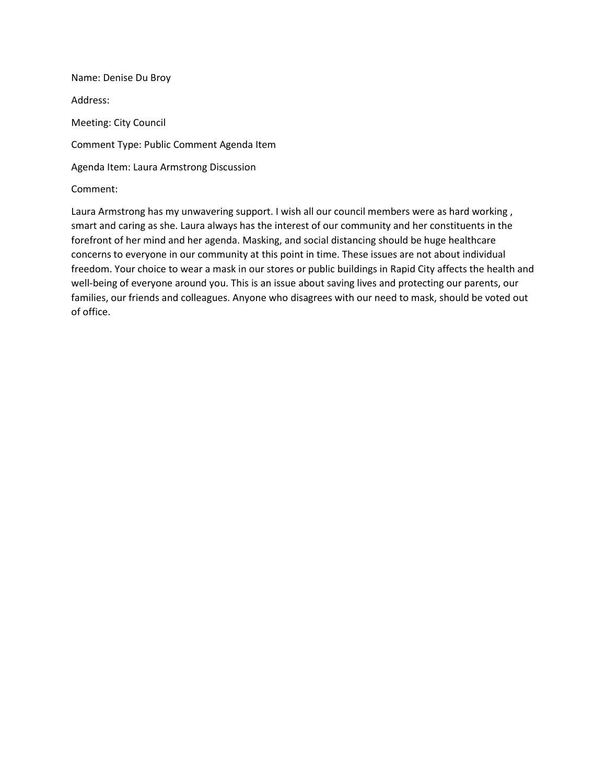Name: Denise Du Broy Address: Meeting: City Council Comment Type: Public Comment Agenda Item Agenda Item: Laura Armstrong Discussion Comment:

Laura Armstrong has my unwavering support. I wish all our council members were as hard working , smart and caring as she. Laura always has the interest of our community and her constituents in the forefront of her mind and her agenda. Masking, and social distancing should be huge healthcare concerns to everyone in our community at this point in time. These issues are not about individual freedom. Your choice to wear a mask in our stores or public buildings in Rapid City affects the health and well-being of everyone around you. This is an issue about saving lives and protecting our parents, our families, our friends and colleagues. Anyone who disagrees with our need to mask, should be voted out of office.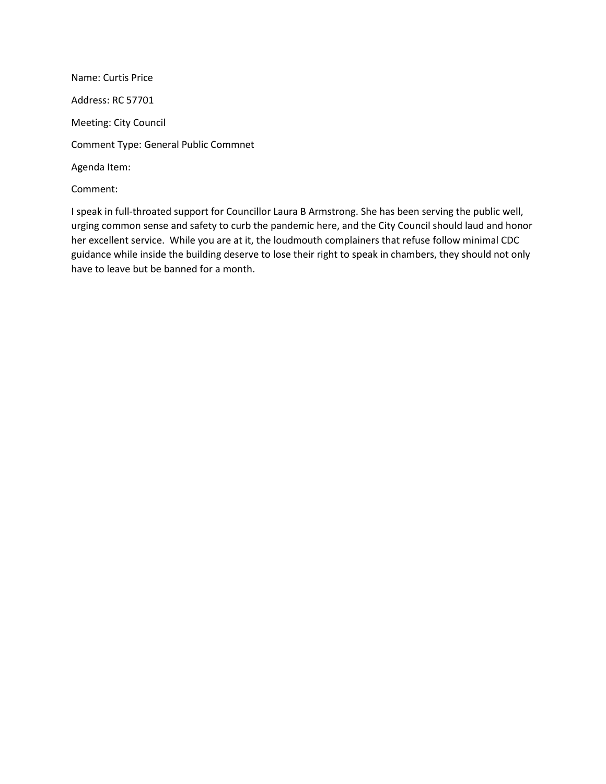Name: Curtis Price Address: RC 57701 Meeting: City Council Comment Type: General Public Commnet Agenda Item: Comment:

I speak in full-throated support for Councillor Laura B Armstrong. She has been serving the public well, urging common sense and safety to curb the pandemic here, and the City Council should laud and honor her excellent service. While you are at it, the loudmouth complainers that refuse follow minimal CDC guidance while inside the building deserve to lose their right to speak in chambers, they should not only have to leave but be banned for a month.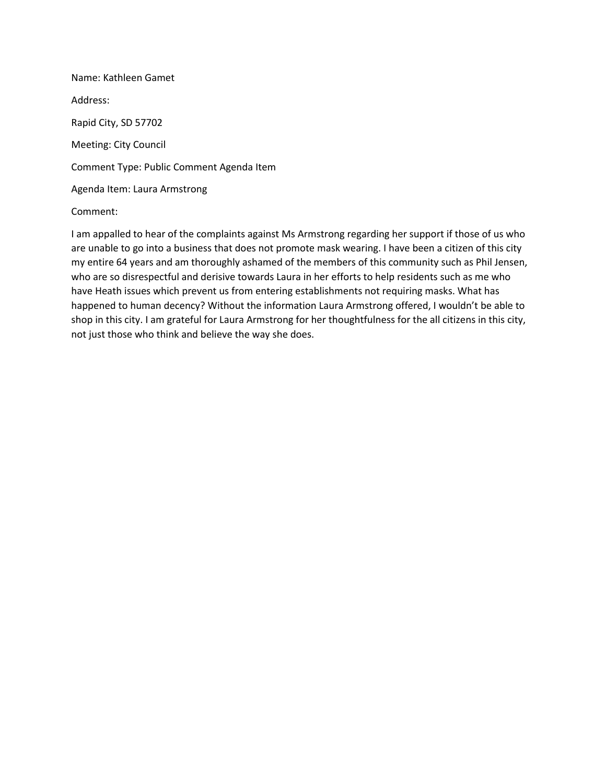Name: Kathleen Gamet Address: Rapid City, SD 57702 Meeting: City Council Comment Type: Public Comment Agenda Item Agenda Item: Laura Armstrong

## Comment:

I am appalled to hear of the complaints against Ms Armstrong regarding her support if those of us who are unable to go into a business that does not promote mask wearing. I have been a citizen of this city my entire 64 years and am thoroughly ashamed of the members of this community such as Phil Jensen, who are so disrespectful and derisive towards Laura in her efforts to help residents such as me who have Heath issues which prevent us from entering establishments not requiring masks. What has happened to human decency? Without the information Laura Armstrong offered, I wouldn't be able to shop in this city. I am grateful for Laura Armstrong for her thoughtfulness for the all citizens in this city, not just those who think and believe the way she does.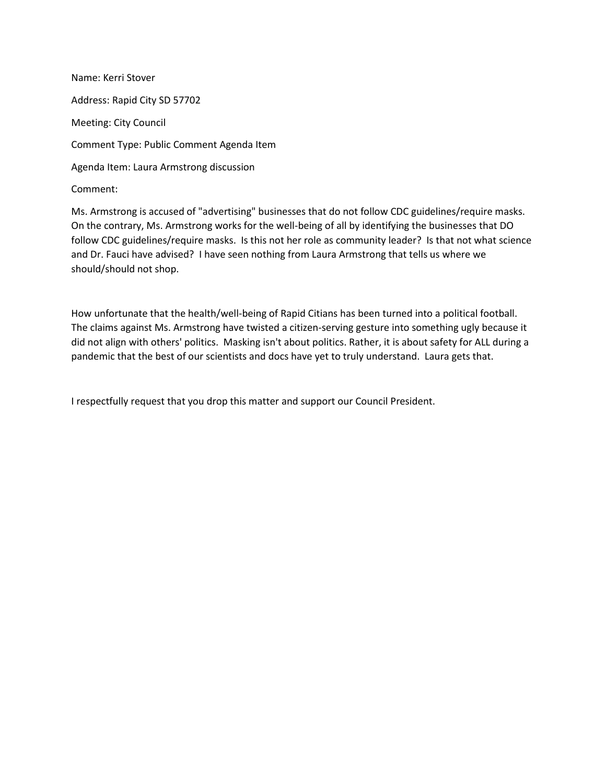Name: Kerri Stover Address: Rapid City SD 57702 Meeting: City Council Comment Type: Public Comment Agenda Item Agenda Item: Laura Armstrong discussion Comment:

Ms. Armstrong is accused of "advertising" businesses that do not follow CDC guidelines/require masks. On the contrary, Ms. Armstrong works for the well-being of all by identifying the businesses that DO follow CDC guidelines/require masks. Is this not her role as community leader? Is that not what science and Dr. Fauci have advised? I have seen nothing from Laura Armstrong that tells us where we should/should not shop.

How unfortunate that the health/well-being of Rapid Citians has been turned into a political football. The claims against Ms. Armstrong have twisted a citizen-serving gesture into something ugly because it did not align with others' politics. Masking isn't about politics. Rather, it is about safety for ALL during a pandemic that the best of our scientists and docs have yet to truly understand. Laura gets that.

I respectfully request that you drop this matter and support our Council President.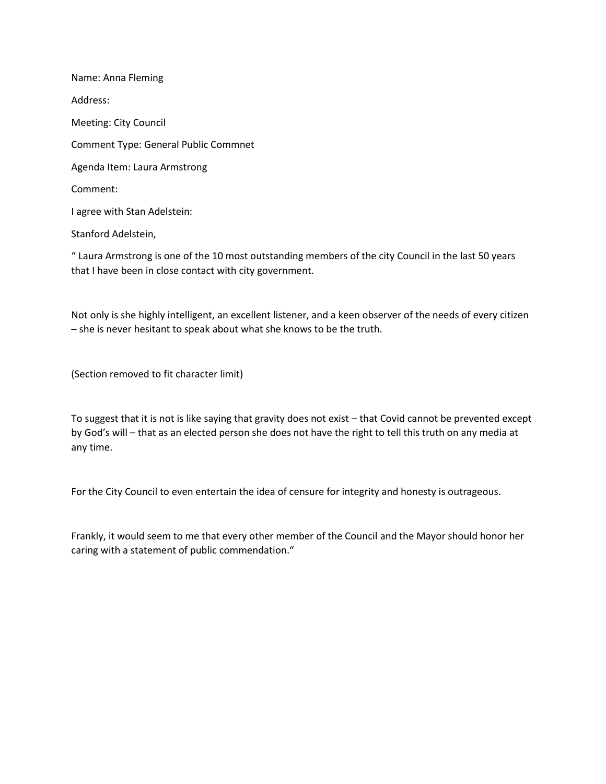Name: Anna Fleming Address: Meeting: City Council Comment Type: General Public Commnet Agenda Item: Laura Armstrong Comment: I agree with Stan Adelstein: Stanford Adelstein,

" Laura Armstrong is one of the 10 most outstanding members of the city Council in the last 50 years that I have been in close contact with city government.

Not only is she highly intelligent, an excellent listener, and a keen observer of the needs of every citizen – she is never hesitant to speak about what she knows to be the truth.

(Section removed to fit character limit)

To suggest that it is not is like saying that gravity does not exist – that Covid cannot be prevented except by God's will – that as an elected person she does not have the right to tell this truth on any media at any time.

For the City Council to even entertain the idea of censure for integrity and honesty is outrageous.

Frankly, it would seem to me that every other member of the Council and the Mayor should honor her caring with a statement of public commendation."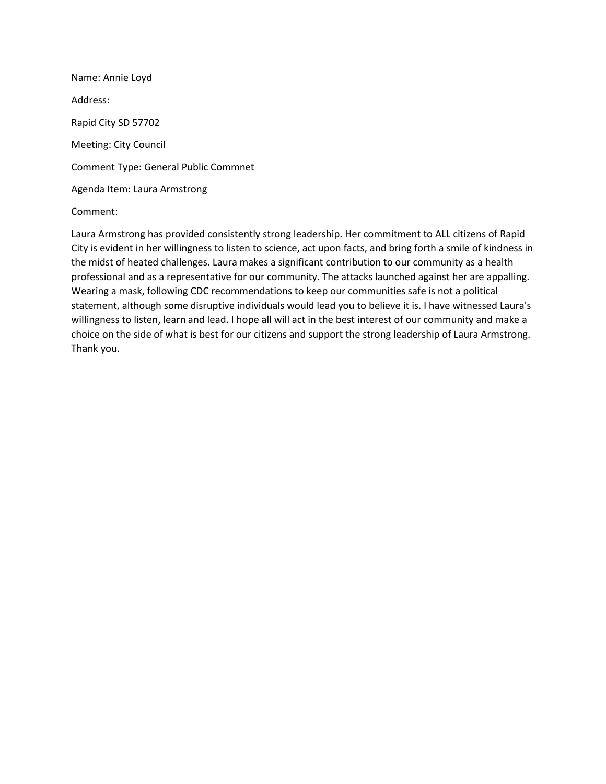Name: Annie Loyd Address: Rapid City SD 57702 Meeting: City Council Comment Type: General Public Commnet Agenda Item: Laura Armstrong

## Comment:

Laura Armstrong has provided consistently strong leadership. Her commitment to ALL citizens of Rapid City is evident in her willingness to listen to science, act upon facts, and bring forth a smile of kindness in the midst of heated challenges. Laura makes a significant contribution to our community as a health professional and as a representative for our community. The attacks launched against her are appalling. Wearing a mask, following CDC recommendations to keep our communities safe is not a political statement, although some disruptive individuals would lead you to believe it is. I have witnessed Laura's willingness to listen, learn and lead. I hope all will act in the best interest of our community and make a choice on the side of what is best for our citizens and support the strong leadership of Laura Armstrong. Thank you.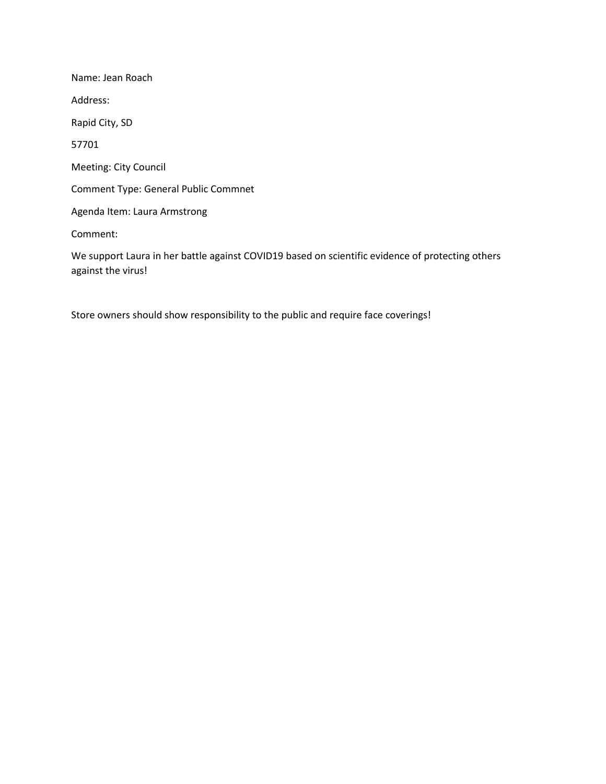Name: Jean Roach Address: Rapid City, SD 57701 Meeting: City Council Comment Type: General Public Commnet Agenda Item: Laura Armstrong Comment:

We support Laura in her battle against COVID19 based on scientific evidence of protecting others against the virus!

Store owners should show responsibility to the public and require face coverings!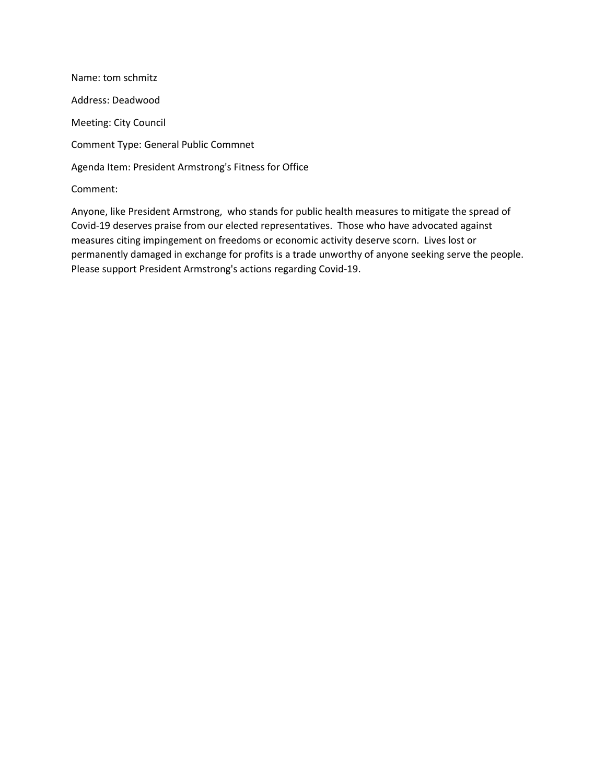Name: tom schmitz Address: Deadwood Meeting: City Council Comment Type: General Public Commnet Agenda Item: President Armstrong's Fitness for Office Comment:

Anyone, like President Armstrong, who stands for public health measures to mitigate the spread of Covid-19 deserves praise from our elected representatives. Those who have advocated against measures citing impingement on freedoms or economic activity deserve scorn. Lives lost or permanently damaged in exchange for profits is a trade unworthy of anyone seeking serve the people. Please support President Armstrong's actions regarding Covid-19.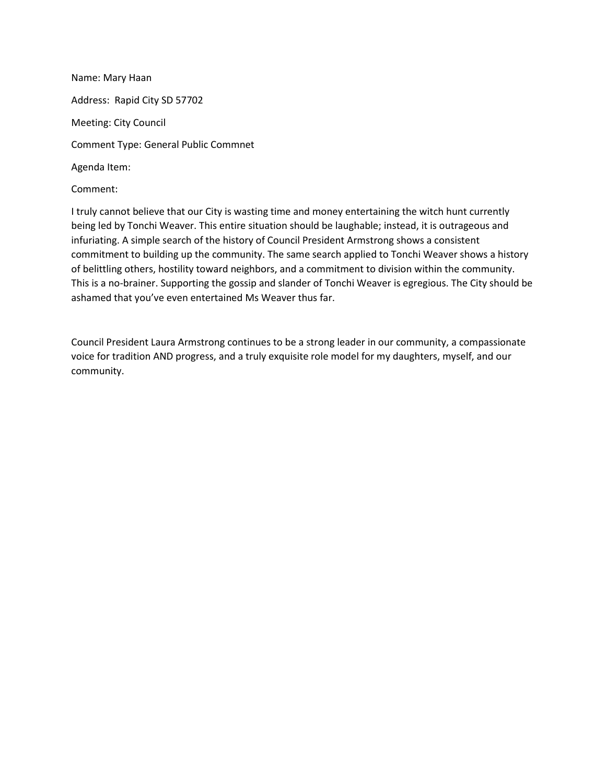Name: Mary Haan Address: Rapid City SD 57702 Meeting: City Council Comment Type: General Public Commnet Agenda Item:

Comment:

I truly cannot believe that our City is wasting time and money entertaining the witch hunt currently being led by Tonchi Weaver. This entire situation should be laughable; instead, it is outrageous and infuriating. A simple search of the history of Council President Armstrong shows a consistent commitment to building up the community. The same search applied to Tonchi Weaver shows a history of belittling others, hostility toward neighbors, and a commitment to division within the community. This is a no-brainer. Supporting the gossip and slander of Tonchi Weaver is egregious. The City should be ashamed that you've even entertained Ms Weaver thus far.

Council President Laura Armstrong continues to be a strong leader in our community, a compassionate voice for tradition AND progress, and a truly exquisite role model for my daughters, myself, and our community.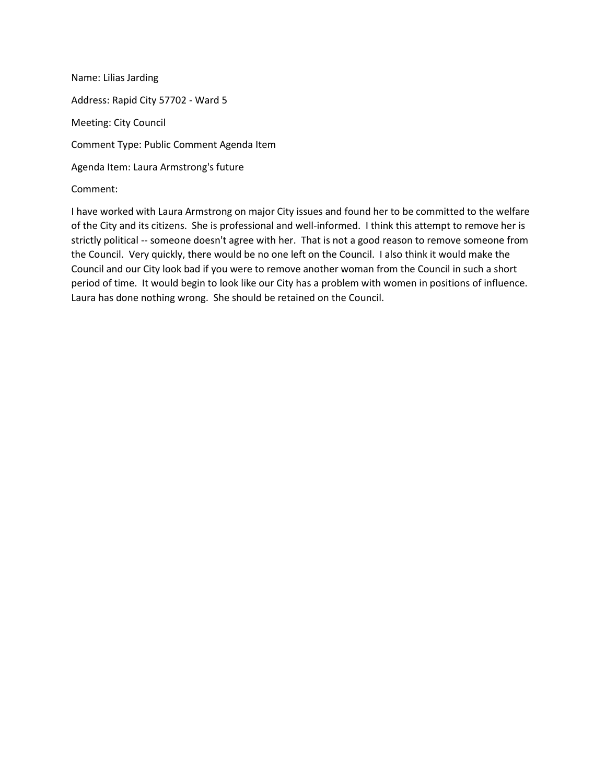Name: Lilias Jarding Address: Rapid City 57702 - Ward 5 Meeting: City Council Comment Type: Public Comment Agenda Item Agenda Item: Laura Armstrong's future Comment:

I have worked with Laura Armstrong on major City issues and found her to be committed to the welfare of the City and its citizens. She is professional and well-informed. I think this attempt to remove her is strictly political -- someone doesn't agree with her. That is not a good reason to remove someone from the Council. Very quickly, there would be no one left on the Council. I also think it would make the Council and our City look bad if you were to remove another woman from the Council in such a short period of time. It would begin to look like our City has a problem with women in positions of influence. Laura has done nothing wrong. She should be retained on the Council.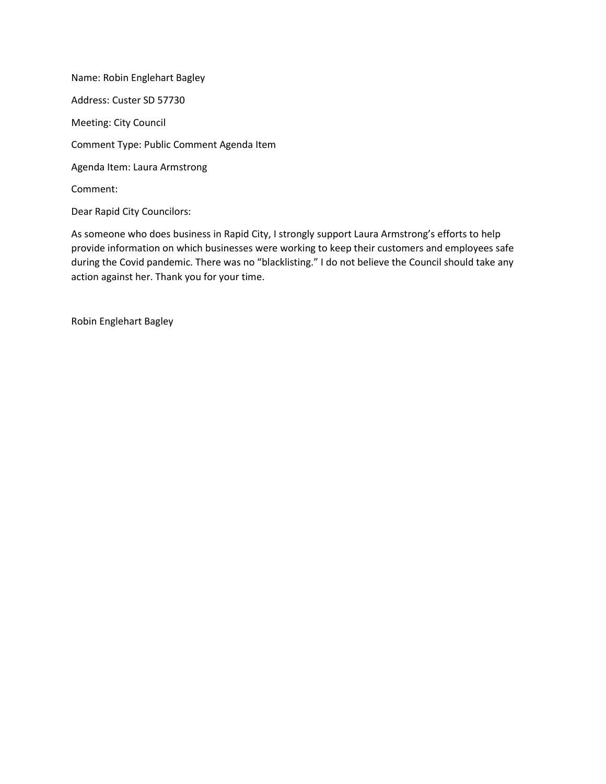Name: Robin Englehart Bagley Address: Custer SD 57730 Meeting: City Council Comment Type: Public Comment Agenda Item Agenda Item: Laura Armstrong Comment: Dear Rapid City Councilors:

As someone who does business in Rapid City, I strongly support Laura Armstrong's efforts to help provide information on which businesses were working to keep their customers and employees safe during the Covid pandemic. There was no "blacklisting." I do not believe the Council should take any action against her. Thank you for your time.

Robin Englehart Bagley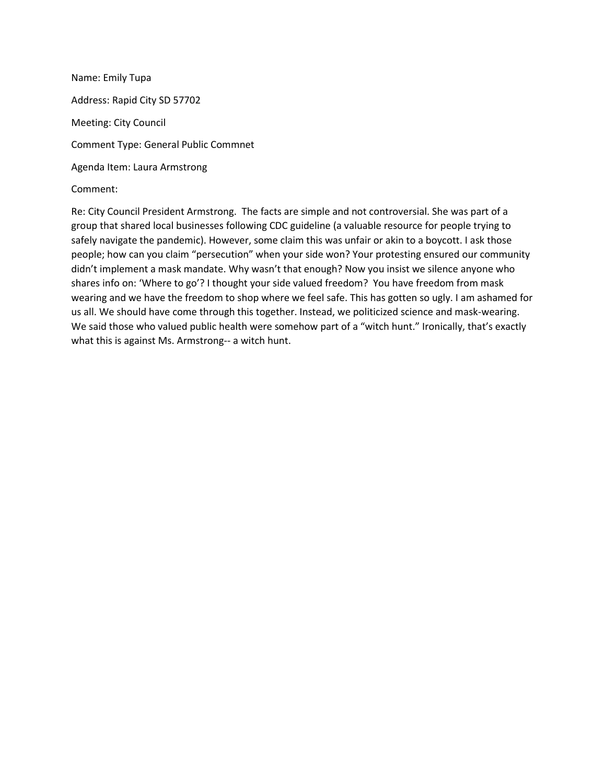Name: Emily Tupa Address: Rapid City SD 57702 Meeting: City Council Comment Type: General Public Commnet Agenda Item: Laura Armstrong Comment:

Re: City Council President Armstrong. The facts are simple and not controversial. She was part of a group that shared local businesses following CDC guideline (a valuable resource for people trying to safely navigate the pandemic). However, some claim this was unfair or akin to a boycott. I ask those people; how can you claim "persecution" when your side won? Your protesting ensured our community didn't implement a mask mandate. Why wasn't that enough? Now you insist we silence anyone who shares info on: 'Where to go'? I thought your side valued freedom? You have freedom from mask wearing and we have the freedom to shop where we feel safe. This has gotten so ugly. I am ashamed for us all. We should have come through this together. Instead, we politicized science and mask-wearing. We said those who valued public health were somehow part of a "witch hunt." Ironically, that's exactly what this is against Ms. Armstrong-- a witch hunt.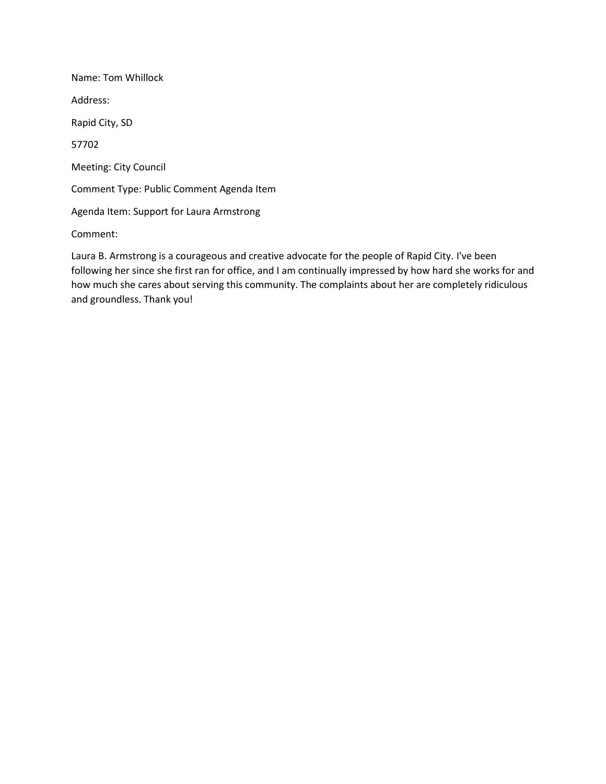Name: Tom Whillock Address: Rapid City, SD 57702 Meeting: City Council Comment Type: Public Comment Agenda Item Agenda Item: Support for Laura Armstrong Comment:

Laura B. Armstrong is a courageous and creative advocate for the people of Rapid City. I've been following her since she first ran for office, and I am continually impressed by how hard she works for and how much she cares about serving this community. The complaints about her are completely ridiculous and groundless. Thank you!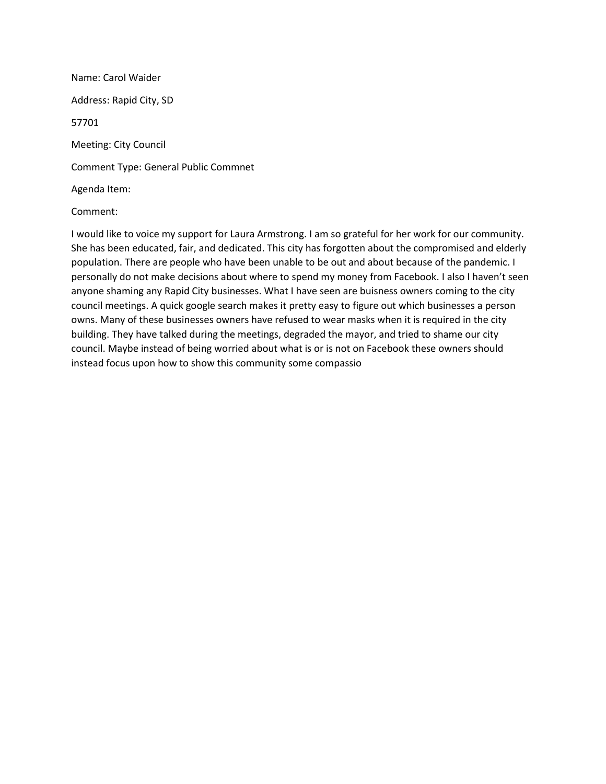Name: Carol Waider Address: Rapid City, SD 57701 Meeting: City Council Comment Type: General Public Commnet Agenda Item:

#### Comment:

I would like to voice my support for Laura Armstrong. I am so grateful for her work for our community. She has been educated, fair, and dedicated. This city has forgotten about the compromised and elderly population. There are people who have been unable to be out and about because of the pandemic. I personally do not make decisions about where to spend my money from Facebook. I also I haven't seen anyone shaming any Rapid City businesses. What I have seen are buisness owners coming to the city council meetings. A quick google search makes it pretty easy to figure out which businesses a person owns. Many of these businesses owners have refused to wear masks when it is required in the city building. They have talked during the meetings, degraded the mayor, and tried to shame our city council. Maybe instead of being worried about what is or is not on Facebook these owners should instead focus upon how to show this community some compassio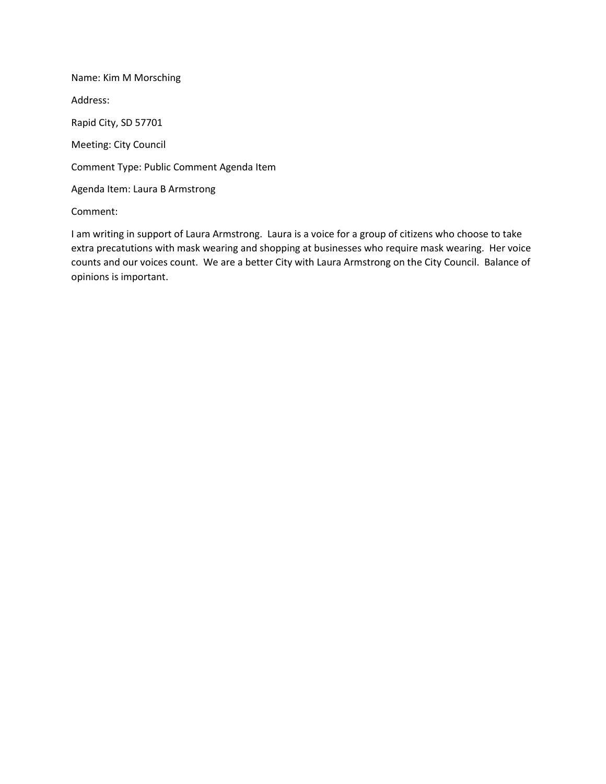Name: Kim M Morsching Address: Rapid City, SD 57701 Meeting: City Council Comment Type: Public Comment Agenda Item Agenda Item: Laura B Armstrong Comment:

I am writing in support of Laura Armstrong. Laura is a voice for a group of citizens who choose to take extra precatutions with mask wearing and shopping at businesses who require mask wearing. Her voice counts and our voices count. We are a better City with Laura Armstrong on the City Council. Balance of opinions is important.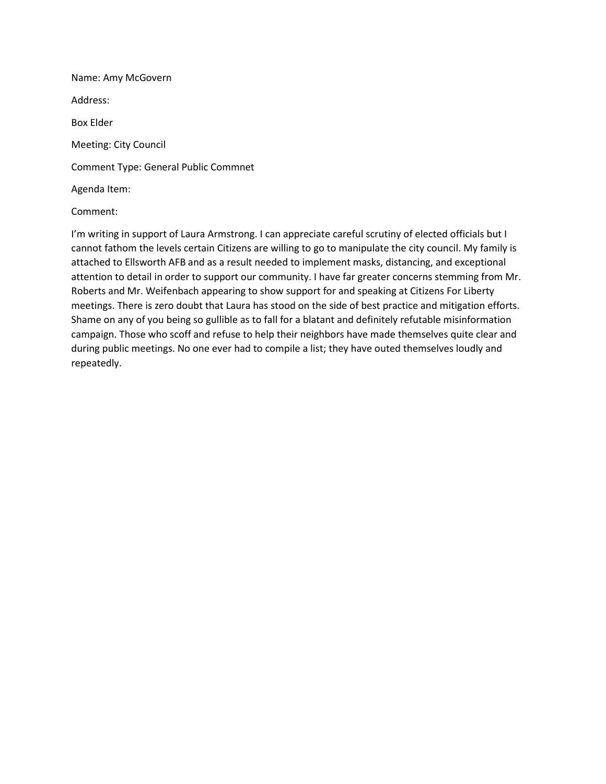Name: Amy McGovern Address: Box Elder Meeting: City Council Comment Type: General Public Commnet Agenda Item:

## Comment:

I'm writing in support of Laura Armstrong. I can appreciate careful scrutiny of elected officials but I cannot fathom the levels certain Citizens are willing to go to manipulate the city council. My family is attached to Ellsworth AFB and as a result needed to implement masks, distancing, and exceptional attention to detail in order to support our community. I have far greater concerns stemming from Mr. Roberts and Mr. Weifenbach appearing to show support for and speaking at Citizens For Liberty meetings. There is zero doubt that Laura has stood on the side of best practice and mitigation efforts. Shame on any of you being so gullible as to fall for a blatant and definitely refutable misinformation campaign. Those who scoff and refuse to help their neighbors have made themselves quite clear and during public meetings. No one ever had to compile a list; they have outed themselves loudly and repeatedly.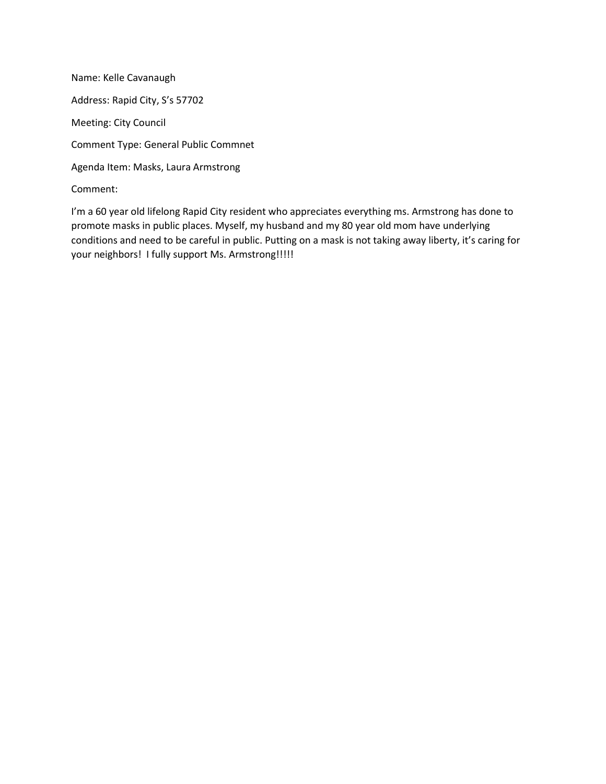Name: Kelle Cavanaugh Address: Rapid City, S's 57702 Meeting: City Council Comment Type: General Public Commnet Agenda Item: Masks, Laura Armstrong Comment:

I'm a 60 year old lifelong Rapid City resident who appreciates everything ms. Armstrong has done to promote masks in public places. Myself, my husband and my 80 year old mom have underlying conditions and need to be careful in public. Putting on a mask is not taking away liberty, it's caring for your neighbors! I fully support Ms. Armstrong!!!!!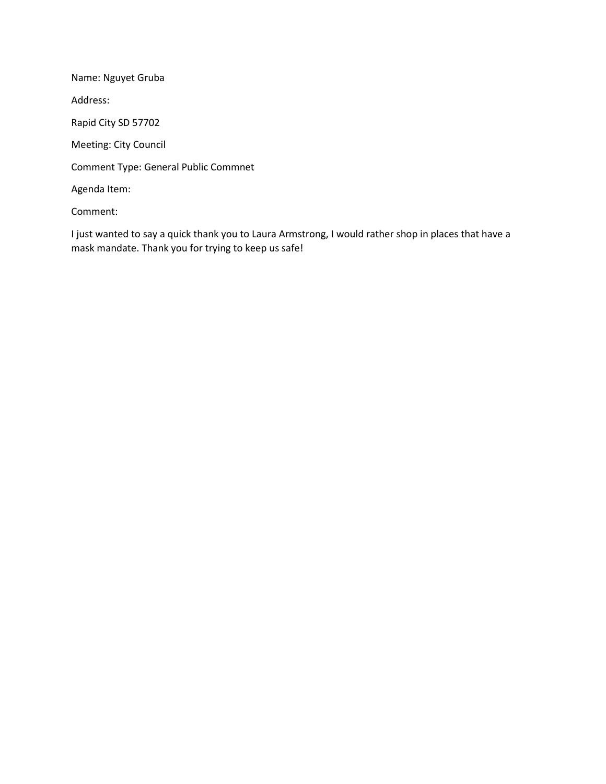Name: Nguyet Gruba Address: Rapid City SD 57702 Meeting: City Council Comment Type: General Public Commnet Agenda Item: Comment:

I just wanted to say a quick thank you to Laura Armstrong, I would rather shop in places that have a mask mandate. Thank you for trying to keep us safe!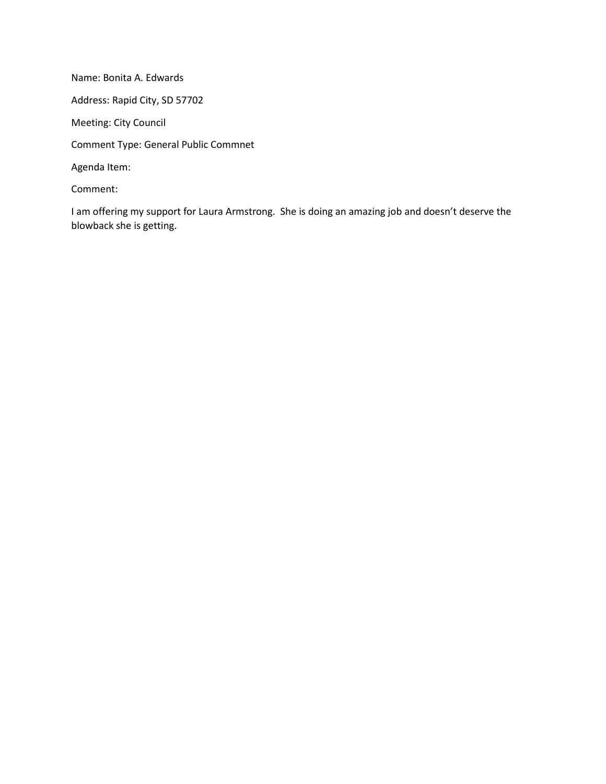Name: Bonita A. Edwards Address: Rapid City, SD 57702 Meeting: City Council Comment Type: General Public Commnet Agenda Item: Comment:

I am offering my support for Laura Armstrong. She is doing an amazing job and doesn't deserve the blowback she is getting.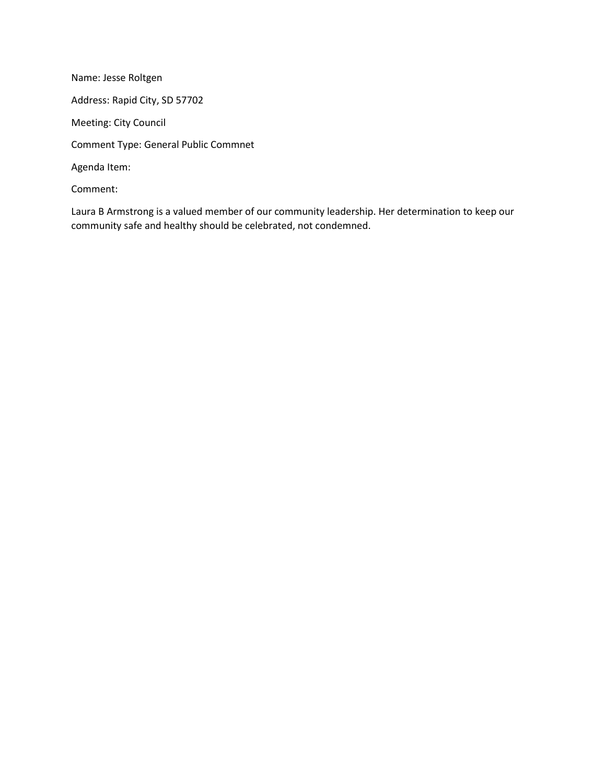Name: Jesse Roltgen Address: Rapid City, SD 57702 Meeting: City Council Comment Type: General Public Commnet Agenda Item: Comment:

Laura B Armstrong is a valued member of our community leadership. Her determination to keep our community safe and healthy should be celebrated, not condemned.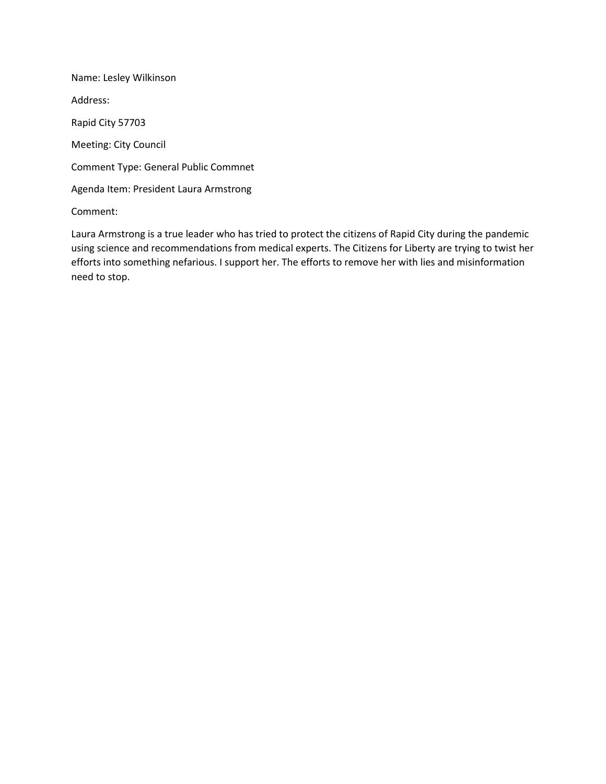Name: Lesley Wilkinson Address: Rapid City 57703 Meeting: City Council Comment Type: General Public Commnet Agenda Item: President Laura Armstrong

Comment:

Laura Armstrong is a true leader who has tried to protect the citizens of Rapid City during the pandemic using science and recommendations from medical experts. The Citizens for Liberty are trying to twist her efforts into something nefarious. I support her. The efforts to remove her with lies and misinformation need to stop.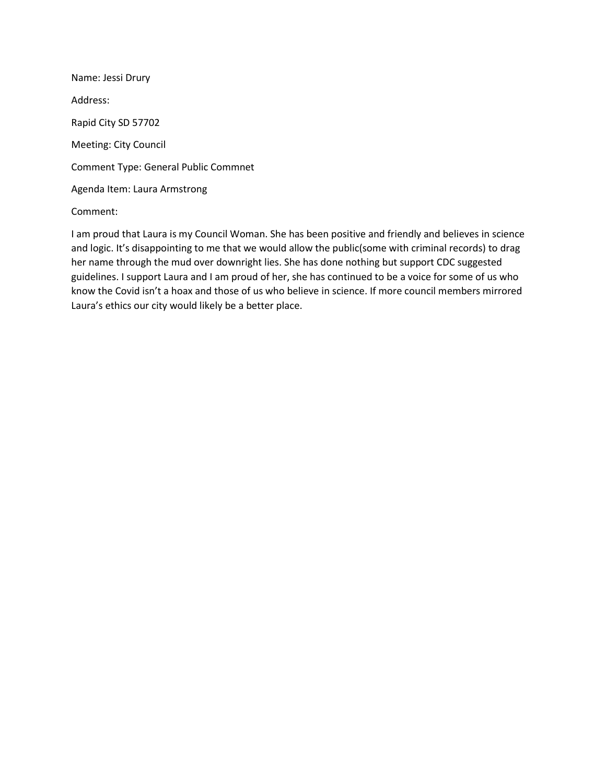Name: Jessi Drury Address: Rapid City SD 57702 Meeting: City Council Comment Type: General Public Commnet Agenda Item: Laura Armstrong

# Comment:

I am proud that Laura is my Council Woman. She has been positive and friendly and believes in science and logic. It's disappointing to me that we would allow the public(some with criminal records) to drag her name through the mud over downright lies. She has done nothing but support CDC suggested guidelines. I support Laura and I am proud of her, she has continued to be a voice for some of us who know the Covid isn't a hoax and those of us who believe in science. If more council members mirrored Laura's ethics our city would likely be a better place.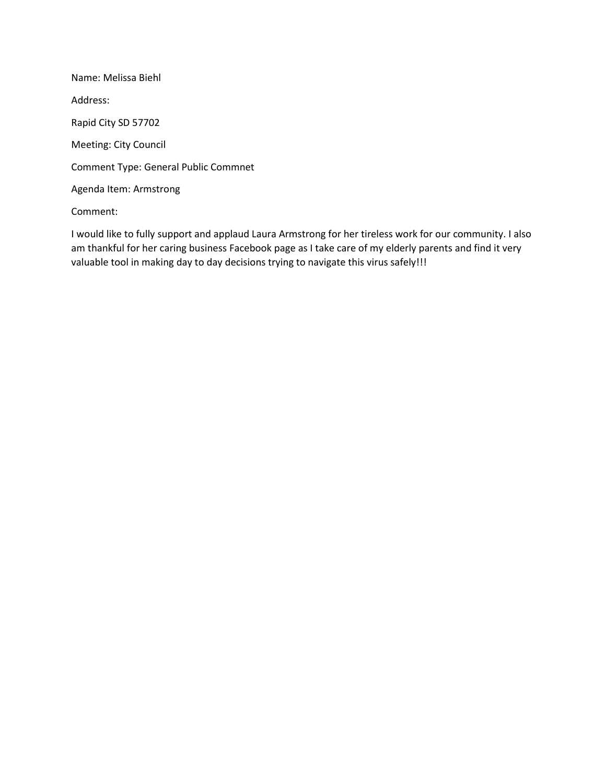Name: Melissa Biehl Address: Rapid City SD 57702 Meeting: City Council Comment Type: General Public Commnet Agenda Item: Armstrong

# Comment:

I would like to fully support and applaud Laura Armstrong for her tireless work for our community. I also am thankful for her caring business Facebook page as I take care of my elderly parents and find it very valuable tool in making day to day decisions trying to navigate this virus safely!!!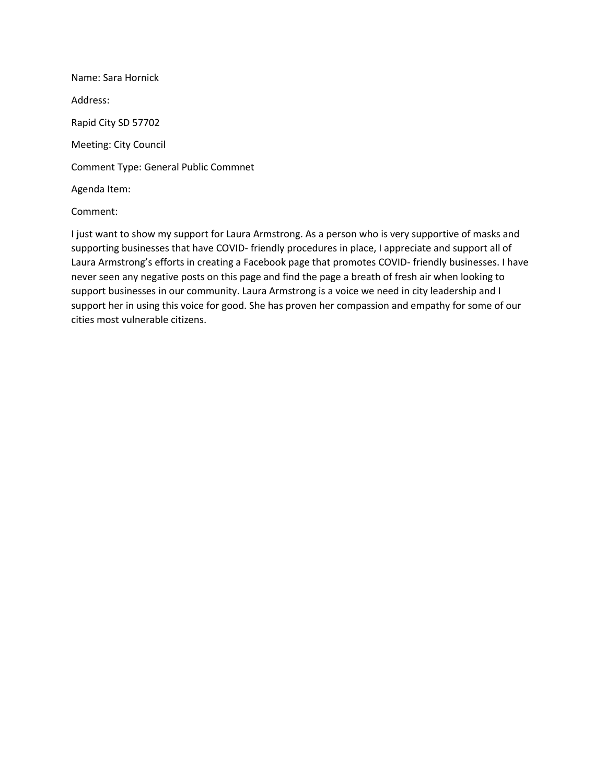Name: Sara Hornick Address: Rapid City SD 57702 Meeting: City Council Comment Type: General Public Commnet Agenda Item:

## Comment:

I just want to show my support for Laura Armstrong. As a person who is very supportive of masks and supporting businesses that have COVID- friendly procedures in place, I appreciate and support all of Laura Armstrong's efforts in creating a Facebook page that promotes COVID- friendly businesses. I have never seen any negative posts on this page and find the page a breath of fresh air when looking to support businesses in our community. Laura Armstrong is a voice we need in city leadership and I support her in using this voice for good. She has proven her compassion and empathy for some of our cities most vulnerable citizens.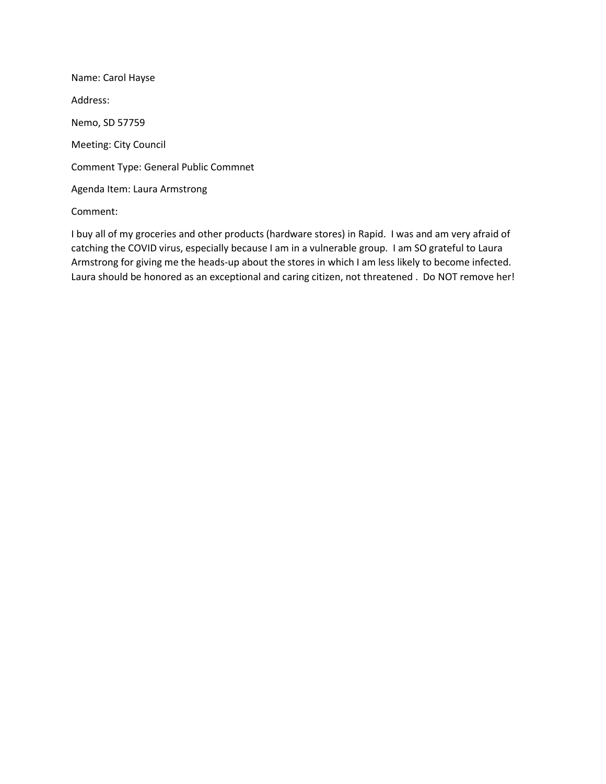Name: Carol Hayse Address: Nemo, SD 57759 Meeting: City Council Comment Type: General Public Commnet Agenda Item: Laura Armstrong

Comment:

I buy all of my groceries and other products (hardware stores) in Rapid. I was and am very afraid of catching the COVID virus, especially because I am in a vulnerable group. I am SO grateful to Laura Armstrong for giving me the heads-up about the stores in which I am less likely to become infected. Laura should be honored as an exceptional and caring citizen, not threatened . Do NOT remove her!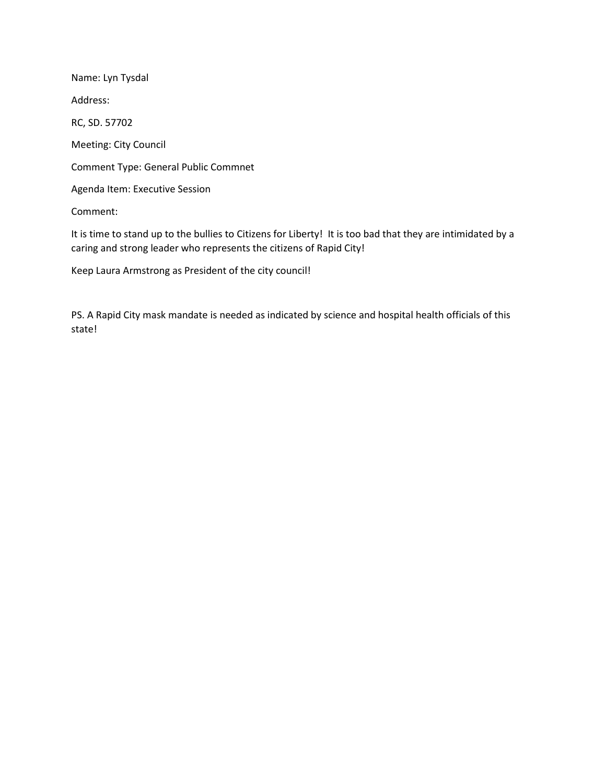Name: Lyn Tysdal Address: RC, SD. 57702 Meeting: City Council Comment Type: General Public Commnet Agenda Item: Executive Session Comment:

It is time to stand up to the bullies to Citizens for Liberty! It is too bad that they are intimidated by a caring and strong leader who represents the citizens of Rapid City!

Keep Laura Armstrong as President of the city council!

PS. A Rapid City mask mandate is needed as indicated by science and hospital health officials of this state!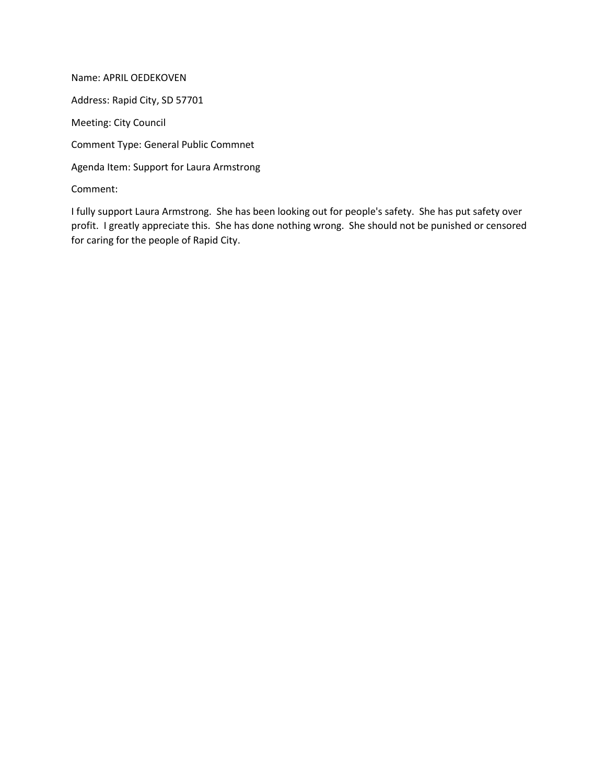Name: APRIL OEDEKOVEN Address: Rapid City, SD 57701 Meeting: City Council Comment Type: General Public Commnet Agenda Item: Support for Laura Armstrong Comment:

I fully support Laura Armstrong. She has been looking out for people's safety. She has put safety over profit. I greatly appreciate this. She has done nothing wrong. She should not be punished or censored for caring for the people of Rapid City.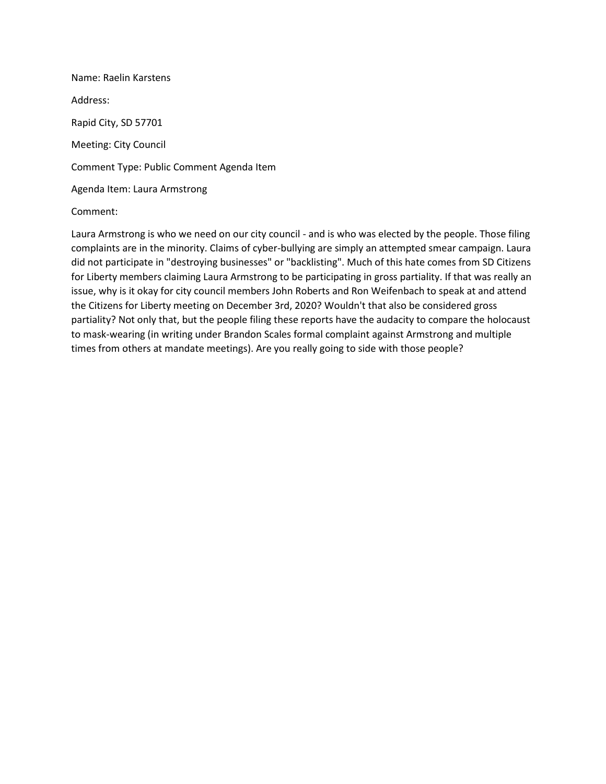Name: Raelin Karstens Address: Rapid City, SD 57701 Meeting: City Council Comment Type: Public Comment Agenda Item Agenda Item: Laura Armstrong

## Comment:

Laura Armstrong is who we need on our city council - and is who was elected by the people. Those filing complaints are in the minority. Claims of cyber-bullying are simply an attempted smear campaign. Laura did not participate in "destroying businesses" or "backlisting". Much of this hate comes from SD Citizens for Liberty members claiming Laura Armstrong to be participating in gross partiality. If that was really an issue, why is it okay for city council members John Roberts and Ron Weifenbach to speak at and attend the Citizens for Liberty meeting on December 3rd, 2020? Wouldn't that also be considered gross partiality? Not only that, but the people filing these reports have the audacity to compare the holocaust to mask-wearing (in writing under Brandon Scales formal complaint against Armstrong and multiple times from others at mandate meetings). Are you really going to side with those people?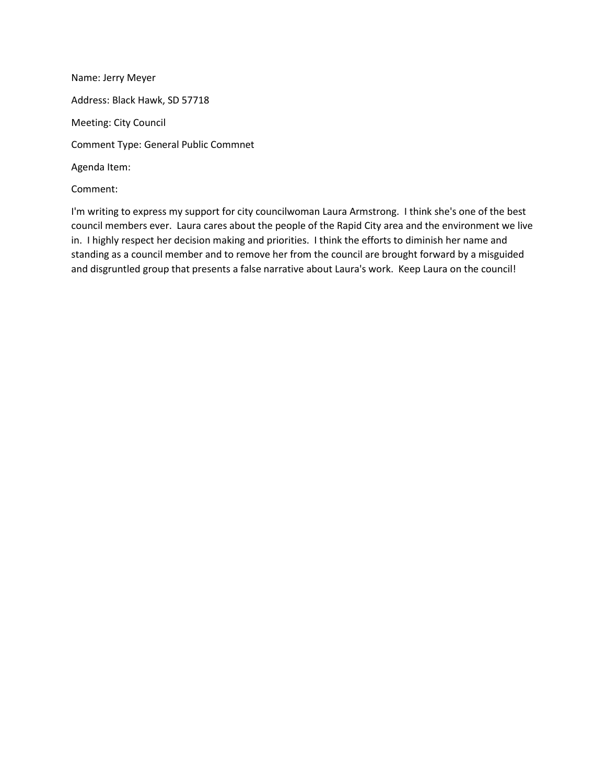Name: Jerry Meyer Address: Black Hawk, SD 57718 Meeting: City Council Comment Type: General Public Commnet Agenda Item: Comment:

I'm writing to express my support for city councilwoman Laura Armstrong. I think she's one of the best council members ever. Laura cares about the people of the Rapid City area and the environment we live in. I highly respect her decision making and priorities. I think the efforts to diminish her name and standing as a council member and to remove her from the council are brought forward by a misguided and disgruntled group that presents a false narrative about Laura's work. Keep Laura on the council!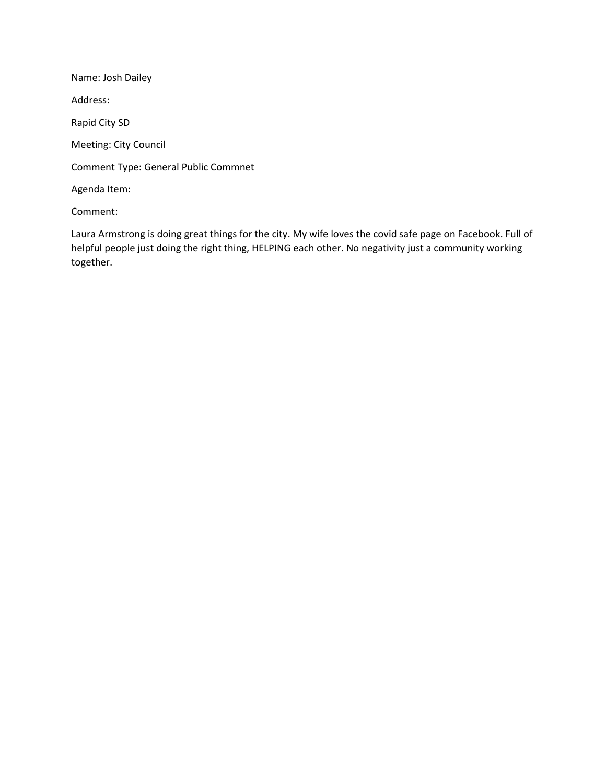Name: Josh Dailey Address: Rapid City SD Meeting: City Council Comment Type: General Public Commnet Agenda Item:

Comment:

Laura Armstrong is doing great things for the city. My wife loves the covid safe page on Facebook. Full of helpful people just doing the right thing, HELPING each other. No negativity just a community working together.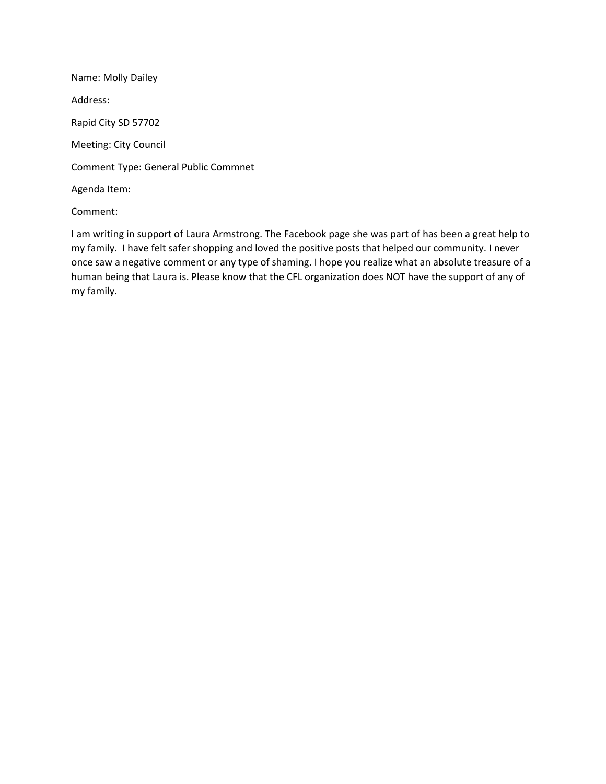Name: Molly Dailey Address: Rapid City SD 57702 Meeting: City Council Comment Type: General Public Commnet Agenda Item:

# Comment:

I am writing in support of Laura Armstrong. The Facebook page she was part of has been a great help to my family. I have felt safer shopping and loved the positive posts that helped our community. I never once saw a negative comment or any type of shaming. I hope you realize what an absolute treasure of a human being that Laura is. Please know that the CFL organization does NOT have the support of any of my family.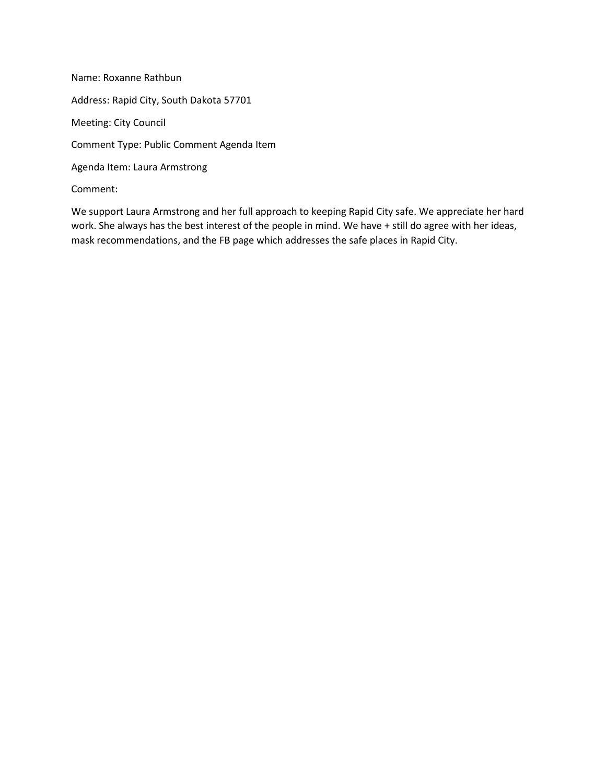Name: Roxanne Rathbun Address: Rapid City, South Dakota 57701 Meeting: City Council Comment Type: Public Comment Agenda Item Agenda Item: Laura Armstrong Comment:

We support Laura Armstrong and her full approach to keeping Rapid City safe. We appreciate her hard work. She always has the best interest of the people in mind. We have + still do agree with her ideas, mask recommendations, and the FB page which addresses the safe places in Rapid City.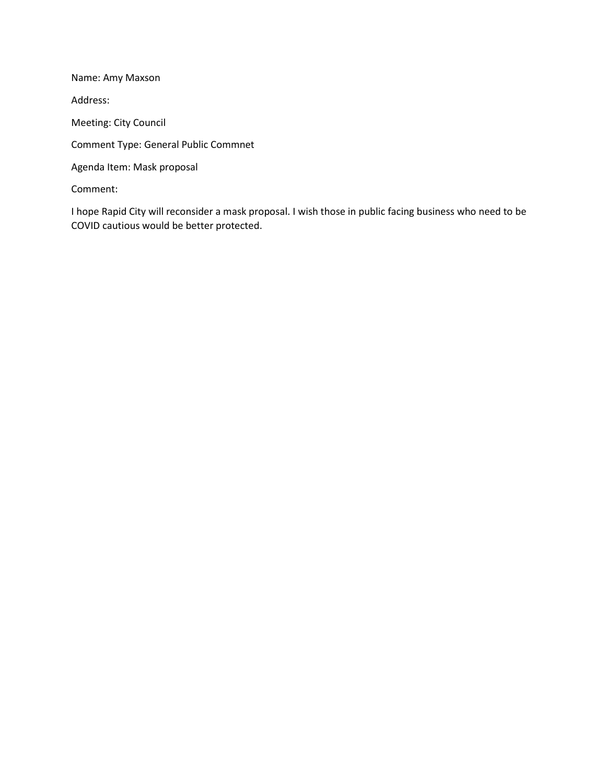Name: Amy Maxson Address: Meeting: City Council Comment Type: General Public Commnet Agenda Item: Mask proposal Comment:

I hope Rapid City will reconsider a mask proposal. I wish those in public facing business who need to be COVID cautious would be better protected.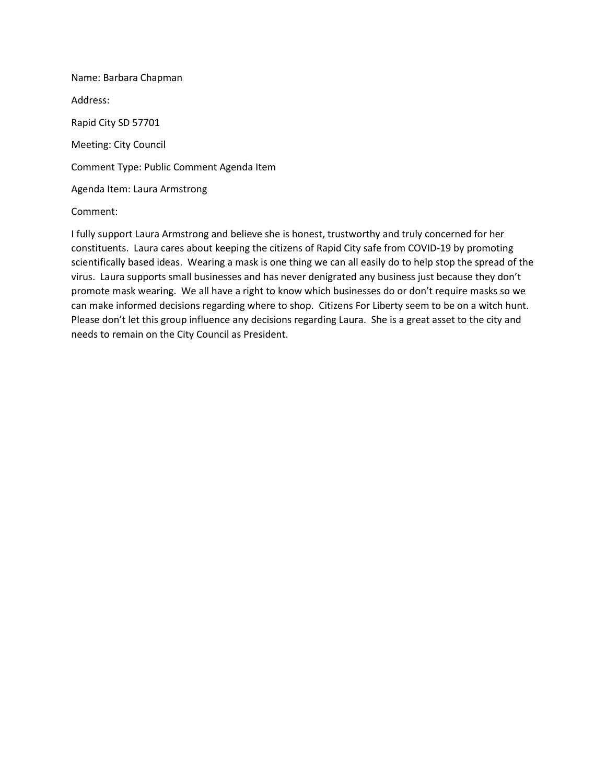Name: Barbara Chapman Address: Rapid City SD 57701 Meeting: City Council Comment Type: Public Comment Agenda Item Agenda Item: Laura Armstrong

## Comment:

I fully support Laura Armstrong and believe she is honest, trustworthy and truly concerned for her constituents. Laura cares about keeping the citizens of Rapid City safe from COVID-19 by promoting scientifically based ideas. Wearing a mask is one thing we can all easily do to help stop the spread of the virus. Laura supports small businesses and has never denigrated any business just because they don't promote mask wearing. We all have a right to know which businesses do or don't require masks so we can make informed decisions regarding where to shop. Citizens For Liberty seem to be on a witch hunt. Please don't let this group influence any decisions regarding Laura. She is a great asset to the city and needs to remain on the City Council as President.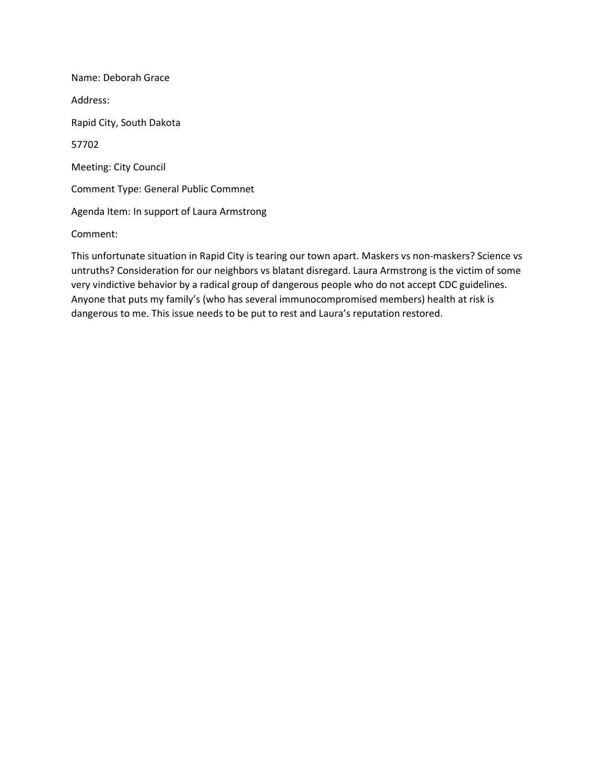Name: Deborah Grace Address: Rapid City, South Dakota 57702 Meeting: City Council Comment Type: General Public Commnet Agenda Item: In support of Laura Armstrong Comment:

This unfortunate situation in Rapid City is tearing our town apart. Maskers vs non-maskers? Science vs untruths? Consideration for our neighbors vs blatant disregard. Laura Armstrong is the victim of some very vindictive behavior by a radical group of dangerous people who do not accept CDC guidelines. Anyone that puts my family's (who has several immunocompromised members) health at risk is dangerous to me. This issue needs to be put to rest and Laura's reputation restored.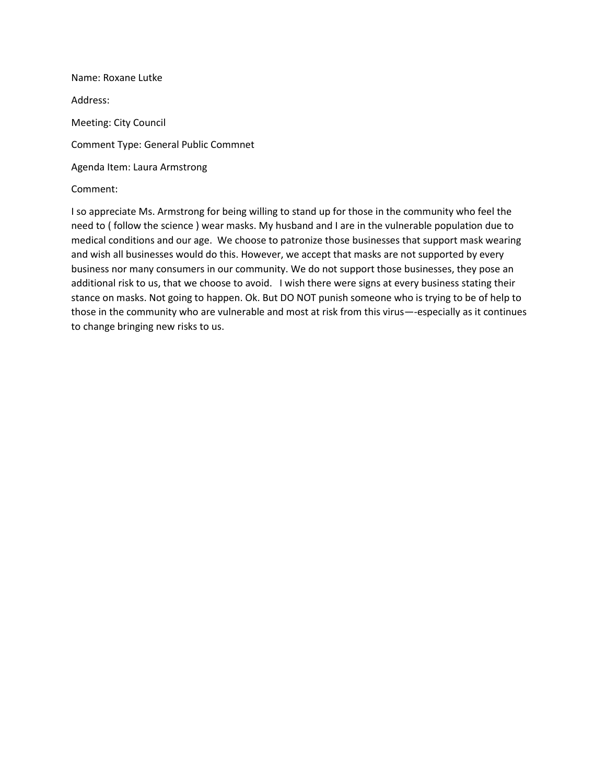Name: Roxane Lutke Address: Meeting: City Council Comment Type: General Public Commnet Agenda Item: Laura Armstrong Comment:

I so appreciate Ms. Armstrong for being willing to stand up for those in the community who feel the need to ( follow the science ) wear masks. My husband and I are in the vulnerable population due to medical conditions and our age. We choose to patronize those businesses that support mask wearing and wish all businesses would do this. However, we accept that masks are not supported by every business nor many consumers in our community. We do not support those businesses, they pose an additional risk to us, that we choose to avoid. I wish there were signs at every business stating their stance on masks. Not going to happen. Ok. But DO NOT punish someone who is trying to be of help to those in the community who are vulnerable and most at risk from this virus—-especially as it continues to change bringing new risks to us.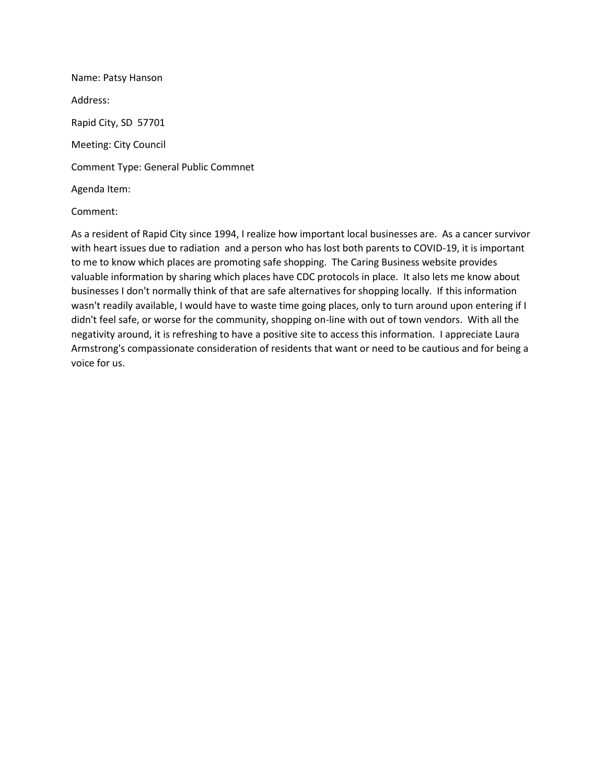Name: Patsy Hanson Address: Rapid City, SD 57701 Meeting: City Council Comment Type: General Public Commnet Agenda Item:

## Comment:

As a resident of Rapid City since 1994, I realize how important local businesses are. As a cancer survivor with heart issues due to radiation and a person who has lost both parents to COVID-19, it is important to me to know which places are promoting safe shopping. The Caring Business website provides valuable information by sharing which places have CDC protocols in place. It also lets me know about businesses I don't normally think of that are safe alternatives for shopping locally. If this information wasn't readily available, I would have to waste time going places, only to turn around upon entering if I didn't feel safe, or worse for the community, shopping on-line with out of town vendors. With all the negativity around, it is refreshing to have a positive site to access this information. I appreciate Laura Armstrong's compassionate consideration of residents that want or need to be cautious and for being a voice for us.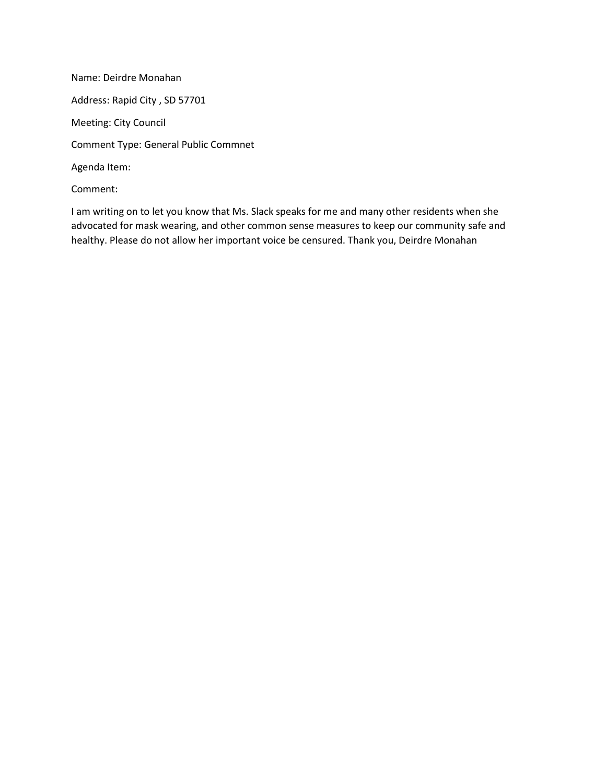Name: Deirdre Monahan Address: Rapid City , SD 57701 Meeting: City Council Comment Type: General Public Commnet Agenda Item: Comment:

I am writing on to let you know that Ms. Slack speaks for me and many other residents when she advocated for mask wearing, and other common sense measures to keep our community safe and healthy. Please do not allow her important voice be censured. Thank you, Deirdre Monahan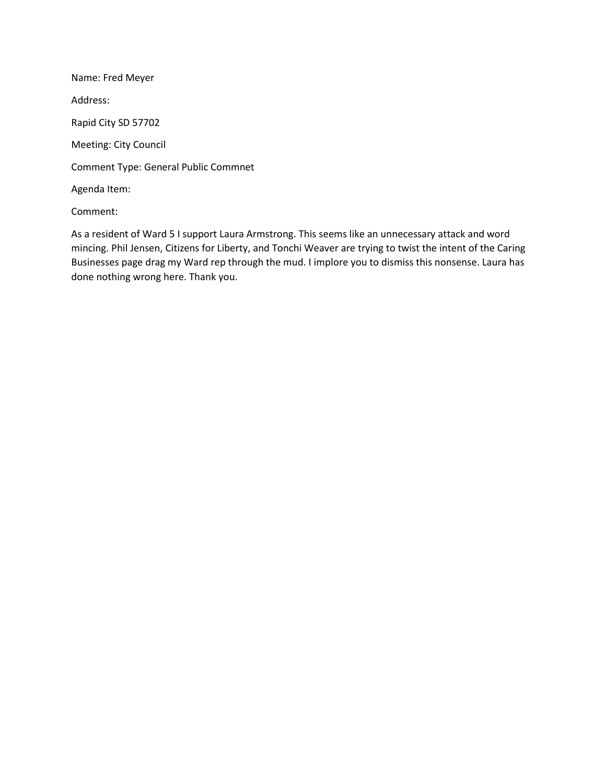Name: Fred Meyer Address: Rapid City SD 57702 Meeting: City Council Comment Type: General Public Commnet Agenda Item:

Comment:

As a resident of Ward 5 I support Laura Armstrong. This seems like an unnecessary attack and word mincing. Phil Jensen, Citizens for Liberty, and Tonchi Weaver are trying to twist the intent of the Caring Businesses page drag my Ward rep through the mud. I implore you to dismiss this nonsense. Laura has done nothing wrong here. Thank you.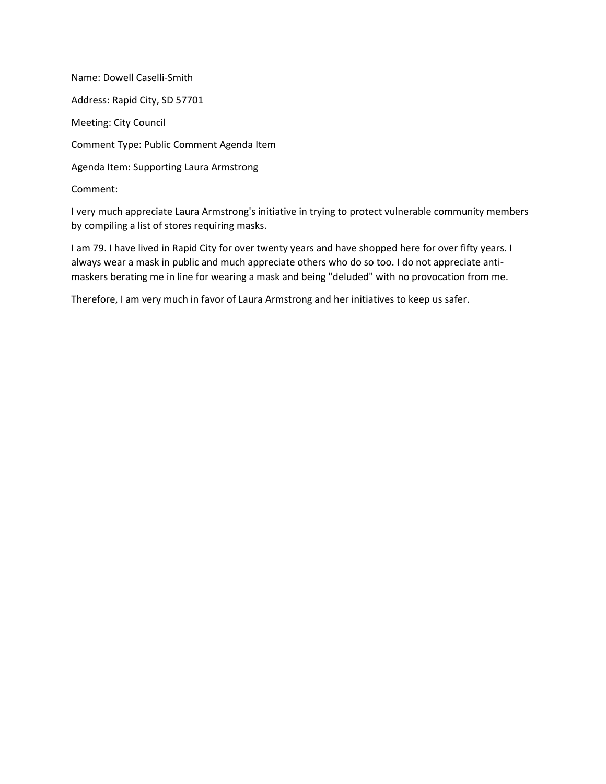Name: Dowell Caselli-Smith Address: Rapid City, SD 57701 Meeting: City Council Comment Type: Public Comment Agenda Item Agenda Item: Supporting Laura Armstrong Comment:

I very much appreciate Laura Armstrong's initiative in trying to protect vulnerable community members by compiling a list of stores requiring masks.

I am 79. I have lived in Rapid City for over twenty years and have shopped here for over fifty years. I always wear a mask in public and much appreciate others who do so too. I do not appreciate antimaskers berating me in line for wearing a mask and being "deluded" with no provocation from me.

Therefore, I am very much in favor of Laura Armstrong and her initiatives to keep us safer.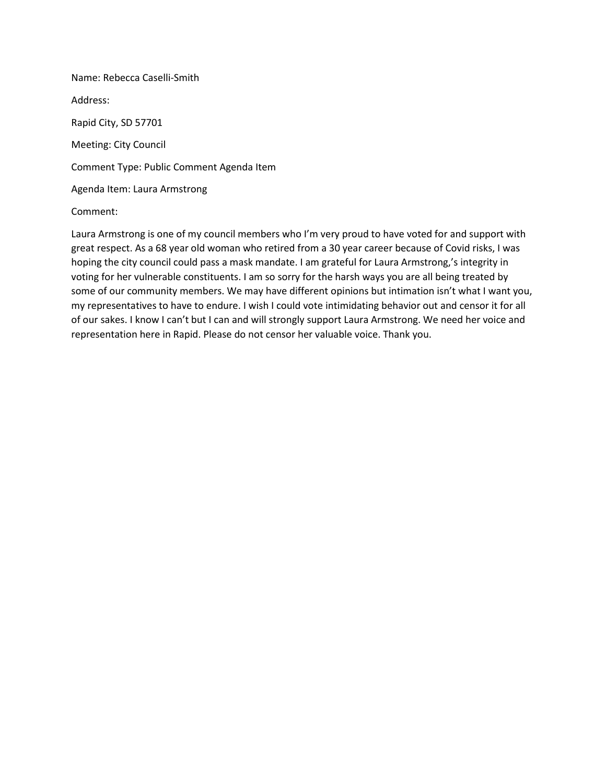Name: Rebecca Caselli-Smith Address: Rapid City, SD 57701 Meeting: City Council Comment Type: Public Comment Agenda Item Agenda Item: Laura Armstrong

#### Comment:

Laura Armstrong is one of my council members who I'm very proud to have voted for and support with great respect. As a 68 year old woman who retired from a 30 year career because of Covid risks, I was hoping the city council could pass a mask mandate. I am grateful for Laura Armstrong,'s integrity in voting for her vulnerable constituents. I am so sorry for the harsh ways you are all being treated by some of our community members. We may have different opinions but intimation isn't what I want you, my representatives to have to endure. I wish I could vote intimidating behavior out and censor it for all of our sakes. I know I can't but I can and will strongly support Laura Armstrong. We need her voice and representation here in Rapid. Please do not censor her valuable voice. Thank you.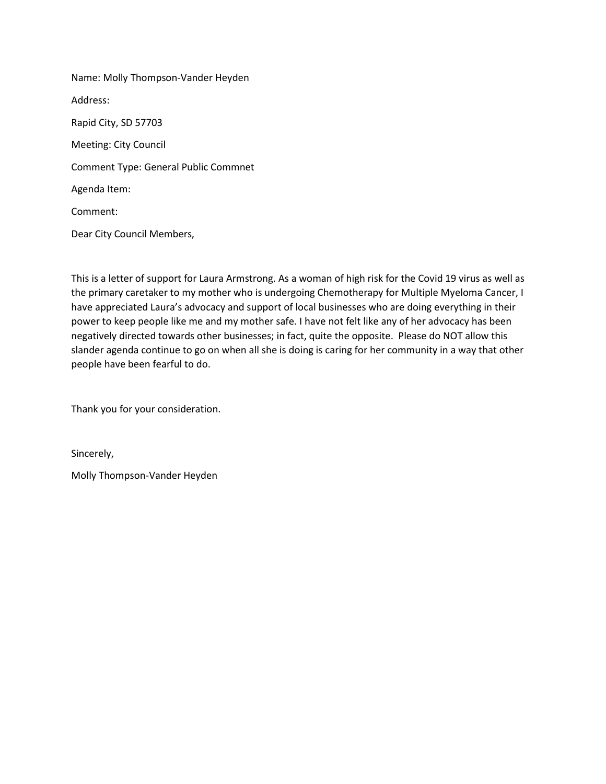Name: Molly Thompson-Vander Heyden Address: Rapid City, SD 57703 Meeting: City Council Comment Type: General Public Commnet Agenda Item: Comment: Dear City Council Members,

This is a letter of support for Laura Armstrong. As a woman of high risk for the Covid 19 virus as well as the primary caretaker to my mother who is undergoing Chemotherapy for Multiple Myeloma Cancer, I have appreciated Laura's advocacy and support of local businesses who are doing everything in their power to keep people like me and my mother safe. I have not felt like any of her advocacy has been negatively directed towards other businesses; in fact, quite the opposite. Please do NOT allow this slander agenda continue to go on when all she is doing is caring for her community in a way that other people have been fearful to do.

Thank you for your consideration.

Sincerely,

Molly Thompson-Vander Heyden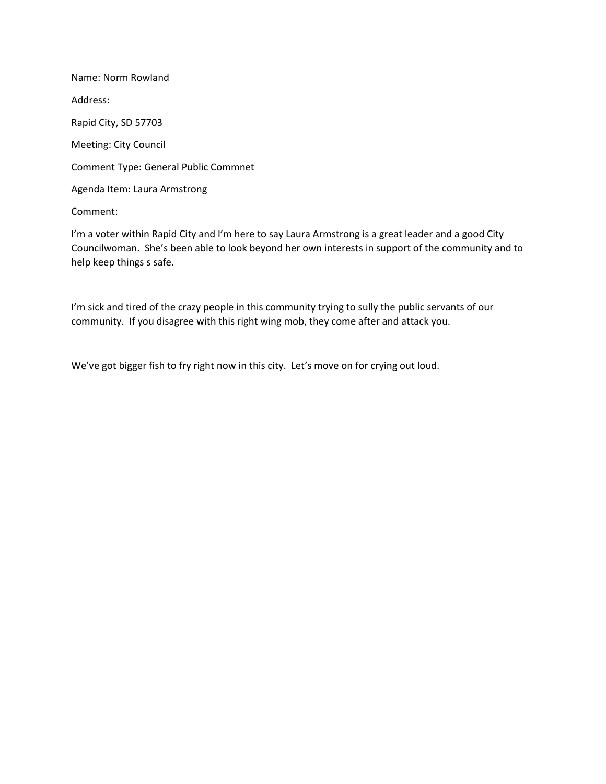Name: Norm Rowland Address: Rapid City, SD 57703 Meeting: City Council Comment Type: General Public Commnet Agenda Item: Laura Armstrong Comment:

I'm a voter within Rapid City and I'm here to say Laura Armstrong is a great leader and a good City Councilwoman. She's been able to look beyond her own interests in support of the community and to help keep things s safe.

I'm sick and tired of the crazy people in this community trying to sully the public servants of our community. If you disagree with this right wing mob, they come after and attack you.

We've got bigger fish to fry right now in this city. Let's move on for crying out loud.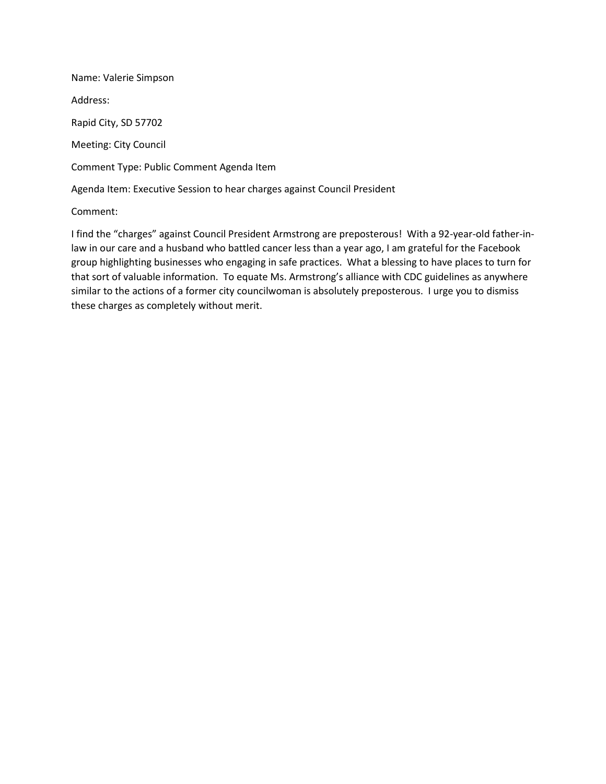Name: Valerie Simpson Address: Rapid City, SD 57702 Meeting: City Council Comment Type: Public Comment Agenda Item Agenda Item: Executive Session to hear charges against Council President

Comment:

I find the "charges" against Council President Armstrong are preposterous! With a 92-year-old father-inlaw in our care and a husband who battled cancer less than a year ago, I am grateful for the Facebook group highlighting businesses who engaging in safe practices. What a blessing to have places to turn for that sort of valuable information. To equate Ms. Armstrong's alliance with CDC guidelines as anywhere similar to the actions of a former city councilwoman is absolutely preposterous. I urge you to dismiss these charges as completely without merit.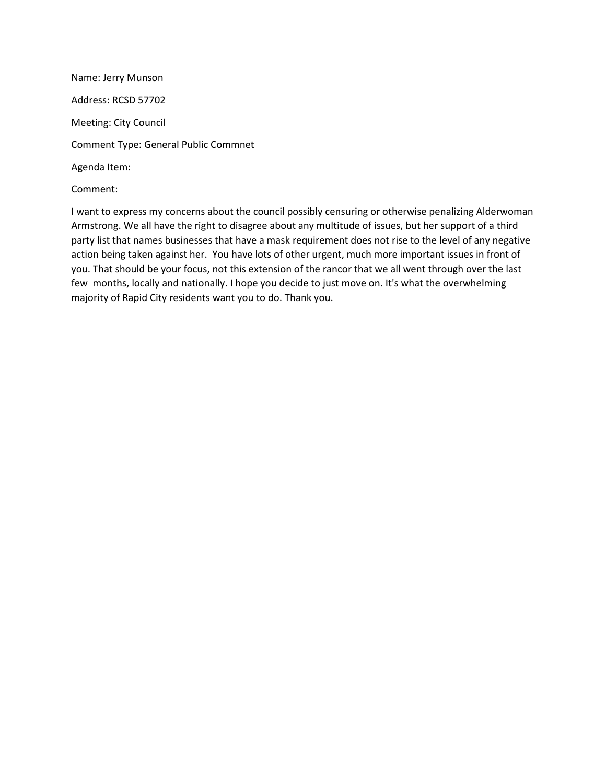Name: Jerry Munson Address: RCSD 57702 Meeting: City Council Comment Type: General Public Commnet Agenda Item: Comment:

I want to express my concerns about the council possibly censuring or otherwise penalizing Alderwoman Armstrong. We all have the right to disagree about any multitude of issues, but her support of a third party list that names businesses that have a mask requirement does not rise to the level of any negative action being taken against her. You have lots of other urgent, much more important issues in front of you. That should be your focus, not this extension of the rancor that we all went through over the last few months, locally and nationally. I hope you decide to just move on. It's what the overwhelming majority of Rapid City residents want you to do. Thank you.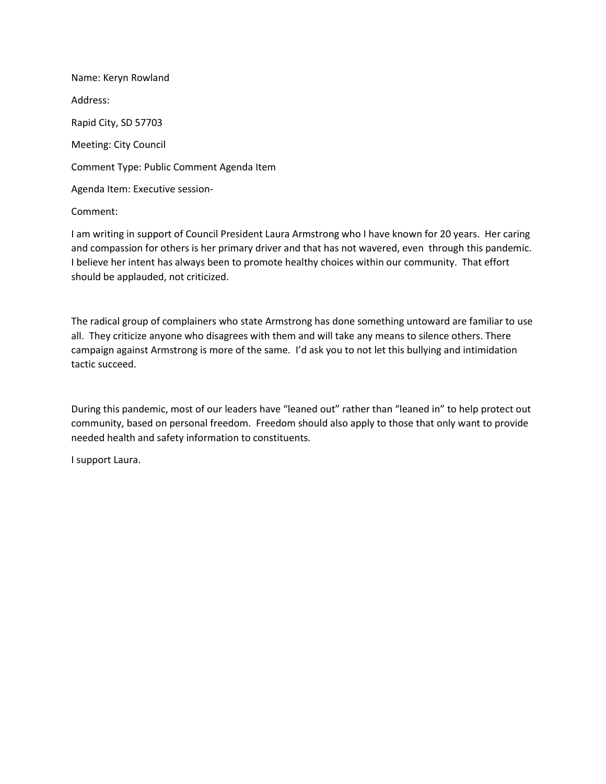Name: Keryn Rowland Address: Rapid City, SD 57703 Meeting: City Council Comment Type: Public Comment Agenda Item Agenda Item: Executive session-

Comment:

I am writing in support of Council President Laura Armstrong who I have known for 20 years. Her caring and compassion for others is her primary driver and that has not wavered, even through this pandemic. I believe her intent has always been to promote healthy choices within our community. That effort should be applauded, not criticized.

The radical group of complainers who state Armstrong has done something untoward are familiar to use all. They criticize anyone who disagrees with them and will take any means to silence others. There campaign against Armstrong is more of the same. I'd ask you to not let this bullying and intimidation tactic succeed.

During this pandemic, most of our leaders have "leaned out" rather than "leaned in" to help protect out community, based on personal freedom. Freedom should also apply to those that only want to provide needed health and safety information to constituents.

I support Laura.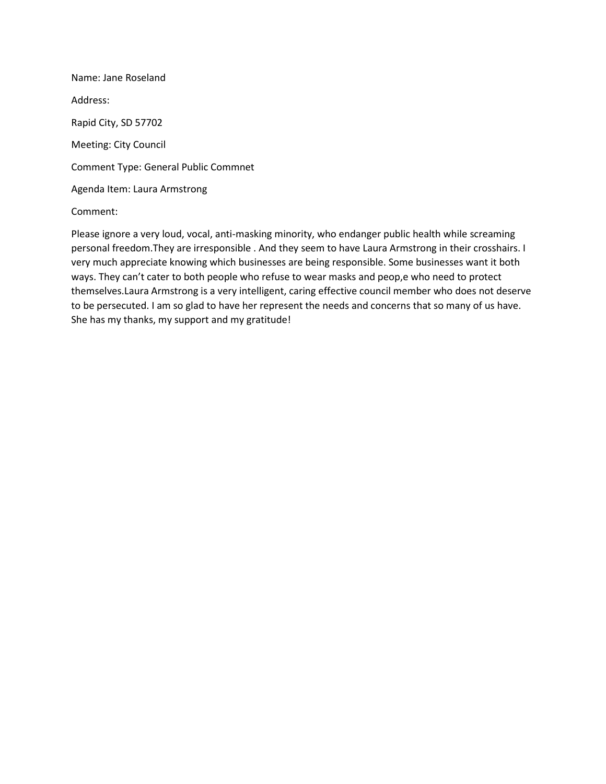Name: Jane Roseland Address: Rapid City, SD 57702 Meeting: City Council Comment Type: General Public Commnet Agenda Item: Laura Armstrong

### Comment:

Please ignore a very loud, vocal, anti-masking minority, who endanger public health while screaming personal freedom.They are irresponsible . And they seem to have Laura Armstrong in their crosshairs. I very much appreciate knowing which businesses are being responsible. Some businesses want it both ways. They can't cater to both people who refuse to wear masks and peop,e who need to protect themselves.Laura Armstrong is a very intelligent, caring effective council member who does not deserve to be persecuted. I am so glad to have her represent the needs and concerns that so many of us have. She has my thanks, my support and my gratitude!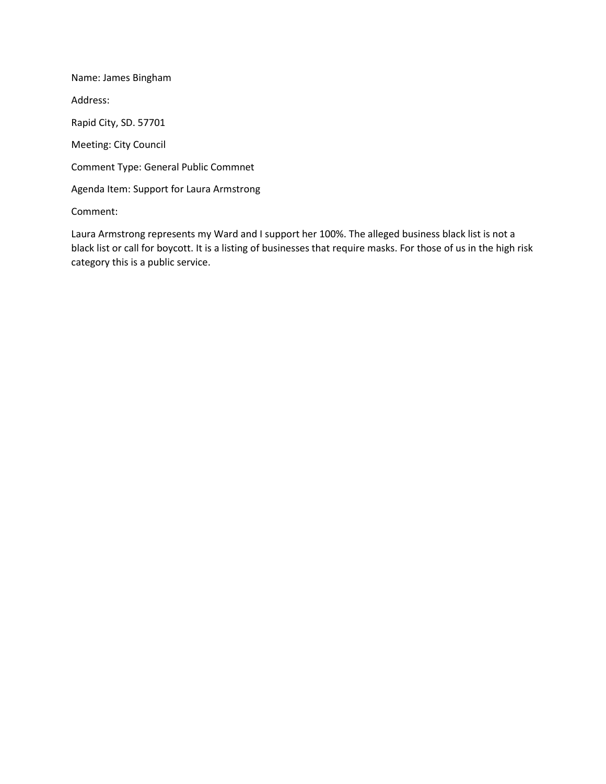Name: James Bingham Address: Rapid City, SD. 57701 Meeting: City Council Comment Type: General Public Commnet Agenda Item: Support for Laura Armstrong Comment:

Laura Armstrong represents my Ward and I support her 100%. The alleged business black list is not a black list or call for boycott. It is a listing of businesses that require masks. For those of us in the high risk category this is a public service.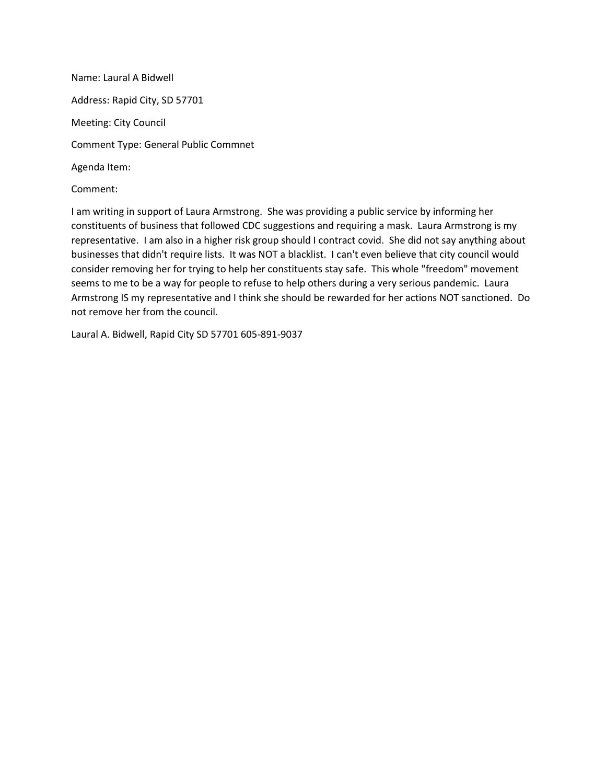Name: Laural A Bidwell Address: Rapid City, SD 57701 Meeting: City Council Comment Type: General Public Commnet Agenda Item:

Comment:

I am writing in support of Laura Armstrong. She was providing a public service by informing her constituents of business that followed CDC suggestions and requiring a mask. Laura Armstrong is my representative. I am also in a higher risk group should I contract covid. She did not say anything about businesses that didn't require lists. It was NOT a blacklist. I can't even believe that city council would consider removing her for trying to help her constituents stay safe. This whole "freedom" movement seems to me to be a way for people to refuse to help others during a very serious pandemic. Laura Armstrong IS my representative and I think she should be rewarded for her actions NOT sanctioned. Do not remove her from the council.

Laural A. Bidwell, Rapid City SD 57701 605-891-9037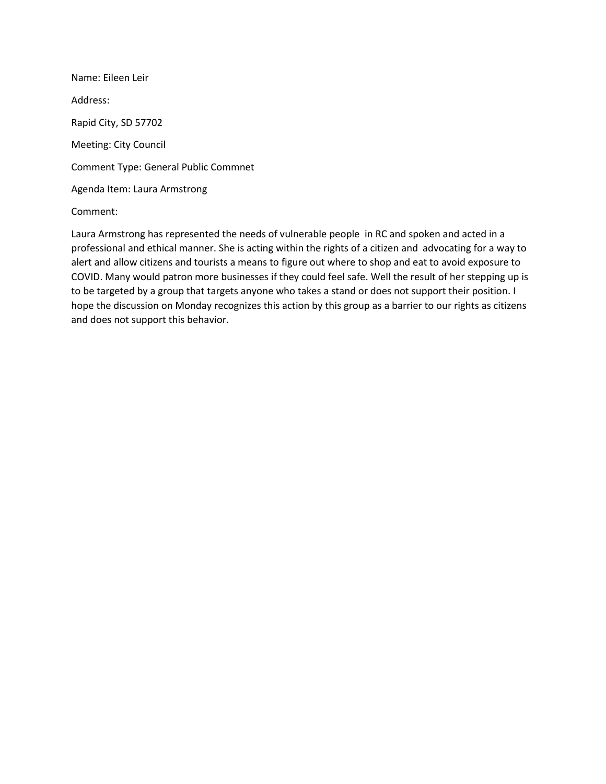Name: Eileen Leir Address: Rapid City, SD 57702 Meeting: City Council Comment Type: General Public Commnet Agenda Item: Laura Armstrong

### Comment:

Laura Armstrong has represented the needs of vulnerable people in RC and spoken and acted in a professional and ethical manner. She is acting within the rights of a citizen and advocating for a way to alert and allow citizens and tourists a means to figure out where to shop and eat to avoid exposure to COVID. Many would patron more businesses if they could feel safe. Well the result of her stepping up is to be targeted by a group that targets anyone who takes a stand or does not support their position. I hope the discussion on Monday recognizes this action by this group as a barrier to our rights as citizens and does not support this behavior.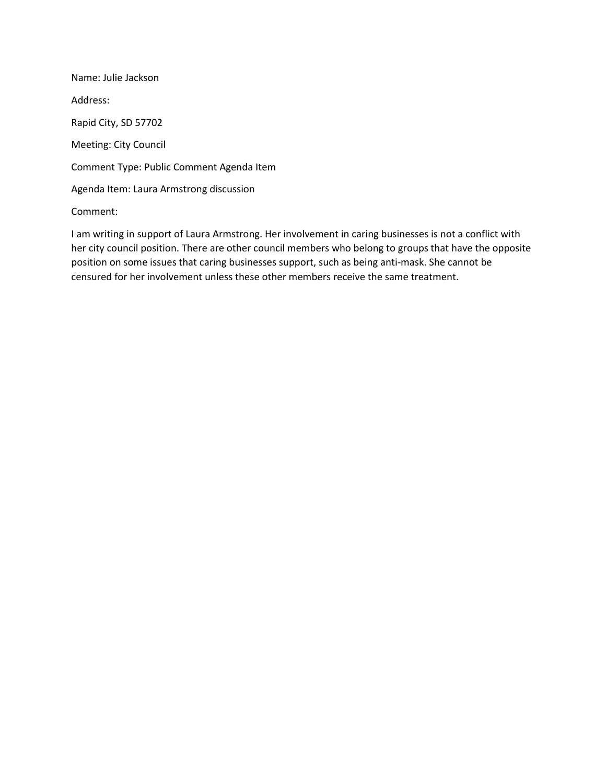Name: Julie Jackson Address: Rapid City, SD 57702 Meeting: City Council Comment Type: Public Comment Agenda Item Agenda Item: Laura Armstrong discussion

# Comment:

I am writing in support of Laura Armstrong. Her involvement in caring businesses is not a conflict with her city council position. There are other council members who belong to groups that have the opposite position on some issues that caring businesses support, such as being anti-mask. She cannot be censured for her involvement unless these other members receive the same treatment.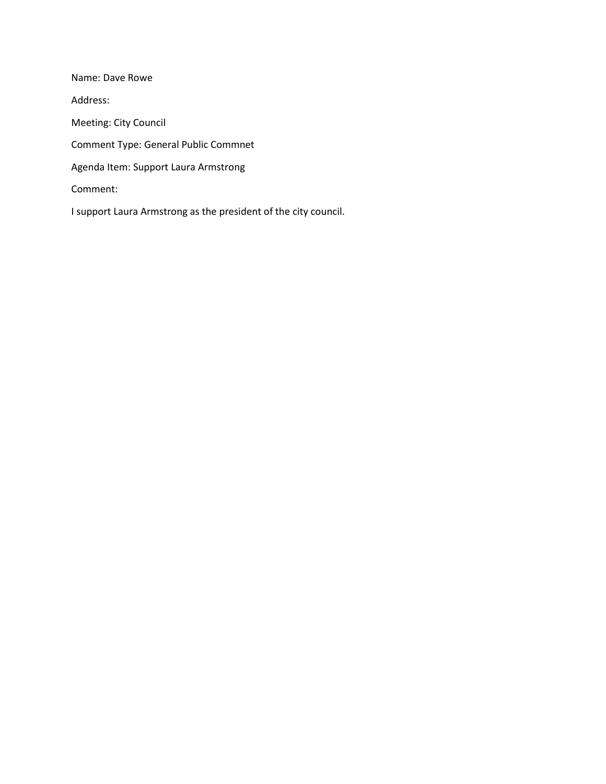Name: Dave Rowe Address: Meeting: City Council Comment Type: General Public Commnet Agenda Item: Support Laura Armstrong Comment: I support Laura Armstrong as the president of the city council.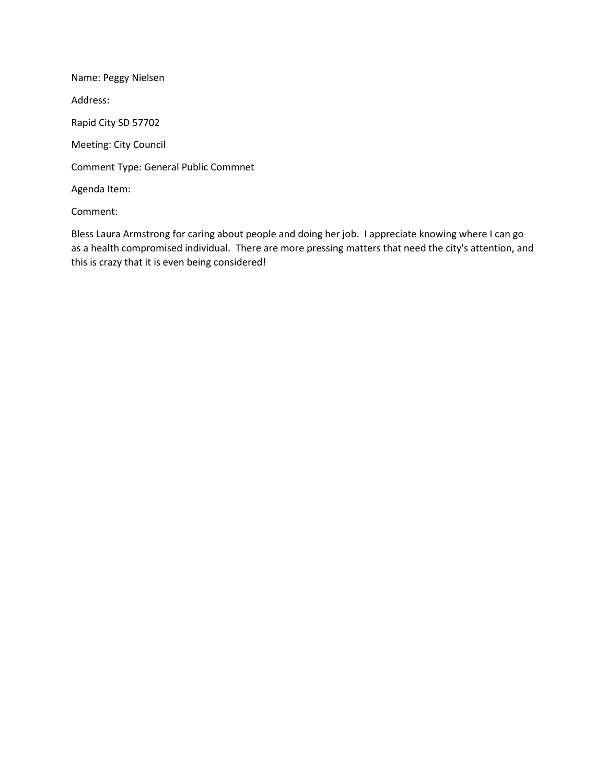Name: Peggy Nielsen Address: Rapid City SD 57702 Meeting: City Council Comment Type: General Public Commnet Agenda Item: Comment:

Bless Laura Armstrong for caring about people and doing her job. I appreciate knowing where I can go as a health compromised individual. There are more pressing matters that need the city's attention, and this is crazy that it is even being considered!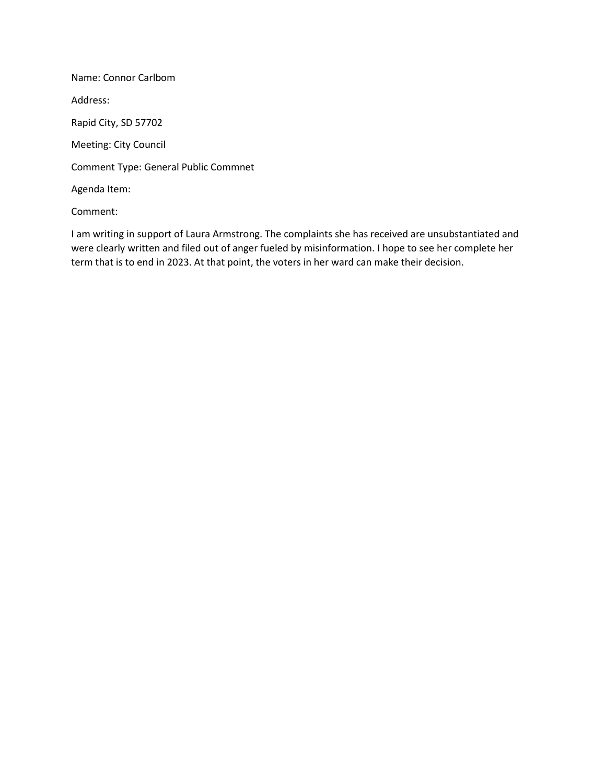Name: Connor Carlbom Address: Rapid City, SD 57702 Meeting: City Council Comment Type: General Public Commnet Agenda Item: Comment:

I am writing in support of Laura Armstrong. The complaints she has received are unsubstantiated and were clearly written and filed out of anger fueled by misinformation. I hope to see her complete her term that is to end in 2023. At that point, the voters in her ward can make their decision.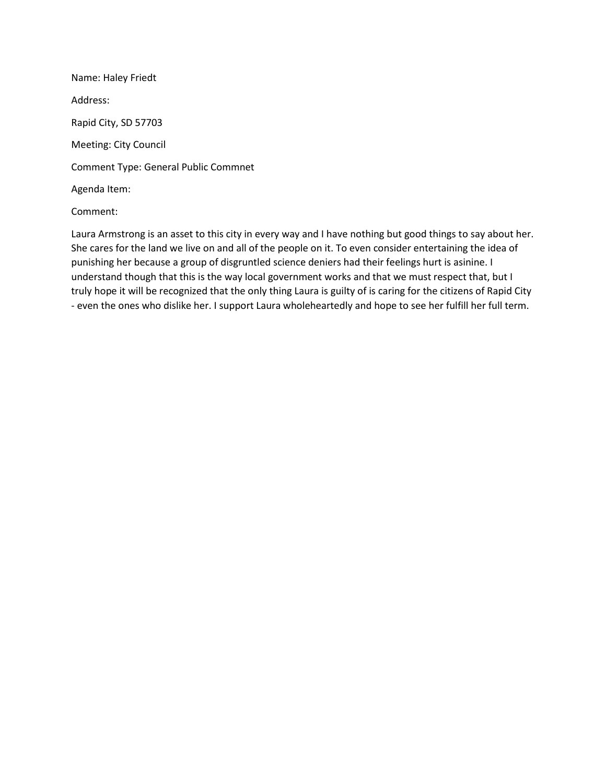Name: Haley Friedt Address: Rapid City, SD 57703 Meeting: City Council Comment Type: General Public Commnet Agenda Item:

### Comment:

Laura Armstrong is an asset to this city in every way and I have nothing but good things to say about her. She cares for the land we live on and all of the people on it. To even consider entertaining the idea of punishing her because a group of disgruntled science deniers had their feelings hurt is asinine. I understand though that this is the way local government works and that we must respect that, but I truly hope it will be recognized that the only thing Laura is guilty of is caring for the citizens of Rapid City - even the ones who dislike her. I support Laura wholeheartedly and hope to see her fulfill her full term.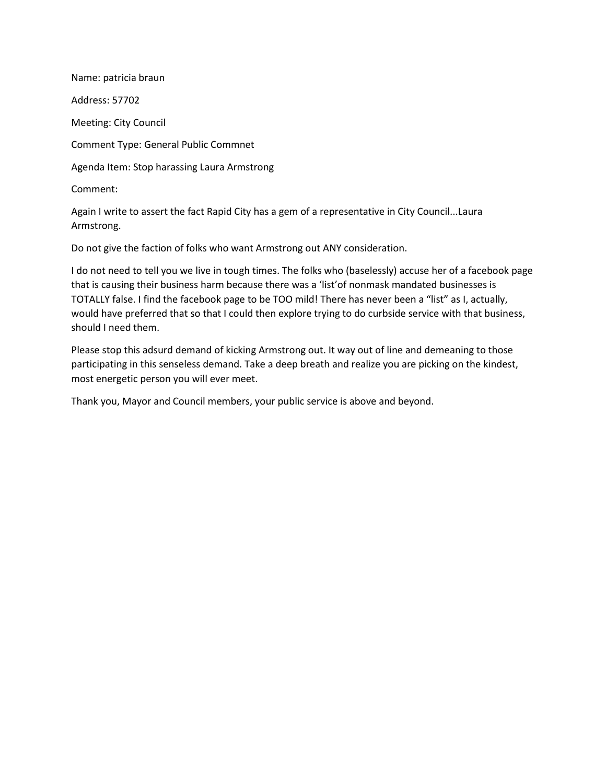Name: patricia braun Address: 57702 Meeting: City Council Comment Type: General Public Commnet Agenda Item: Stop harassing Laura Armstrong Comment:

Again I write to assert the fact Rapid City has a gem of a representative in City Council...Laura Armstrong.

Do not give the faction of folks who want Armstrong out ANY consideration.

I do not need to tell you we live in tough times. The folks who (baselessly) accuse her of a facebook page that is causing their business harm because there was a 'list'of nonmask mandated businesses is TOTALLY false. I find the facebook page to be TOO mild! There has never been a "list" as I, actually, would have preferred that so that I could then explore trying to do curbside service with that business, should I need them.

Please stop this adsurd demand of kicking Armstrong out. It way out of line and demeaning to those participating in this senseless demand. Take a deep breath and realize you are picking on the kindest, most energetic person you will ever meet.

Thank you, Mayor and Council members, your public service is above and beyond.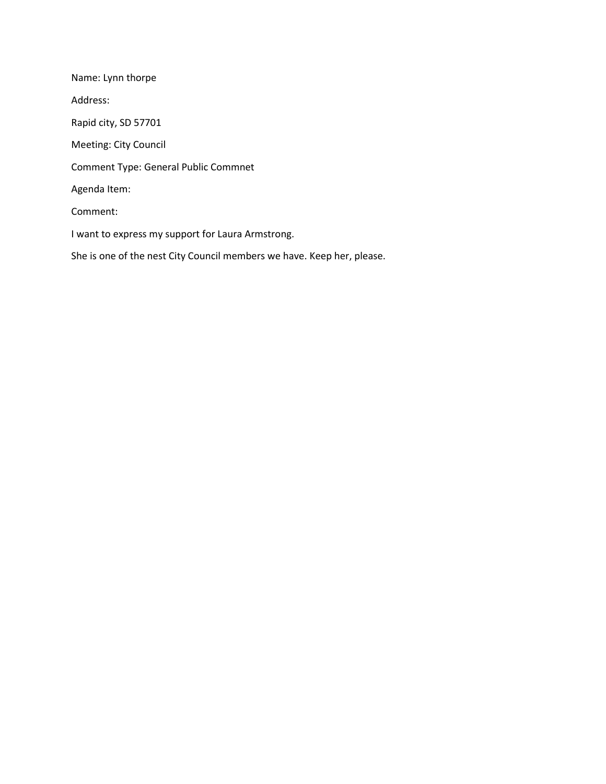Name: Lynn thorpe Address: Rapid city, SD 57701 Meeting: City Council Comment Type: General Public Commnet Agenda Item: Comment: I want to express my support for Laura Armstrong. She is one of the nest City Council members we have. Keep her, please.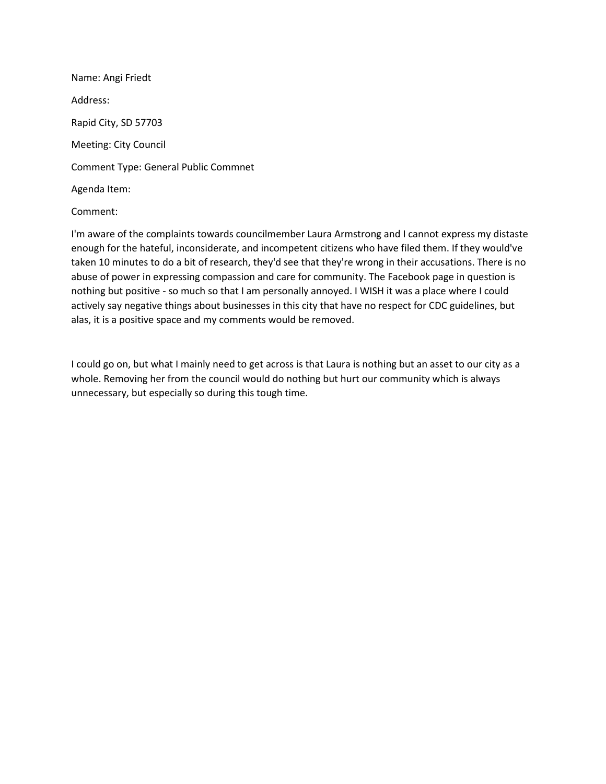Name: Angi Friedt Address: Rapid City, SD 57703 Meeting: City Council Comment Type: General Public Commnet Agenda Item:

#### Comment:

I'm aware of the complaints towards councilmember Laura Armstrong and I cannot express my distaste enough for the hateful, inconsiderate, and incompetent citizens who have filed them. If they would've taken 10 minutes to do a bit of research, they'd see that they're wrong in their accusations. There is no abuse of power in expressing compassion and care for community. The Facebook page in question is nothing but positive - so much so that I am personally annoyed. I WISH it was a place where I could actively say negative things about businesses in this city that have no respect for CDC guidelines, but alas, it is a positive space and my comments would be removed.

I could go on, but what I mainly need to get across is that Laura is nothing but an asset to our city as a whole. Removing her from the council would do nothing but hurt our community which is always unnecessary, but especially so during this tough time.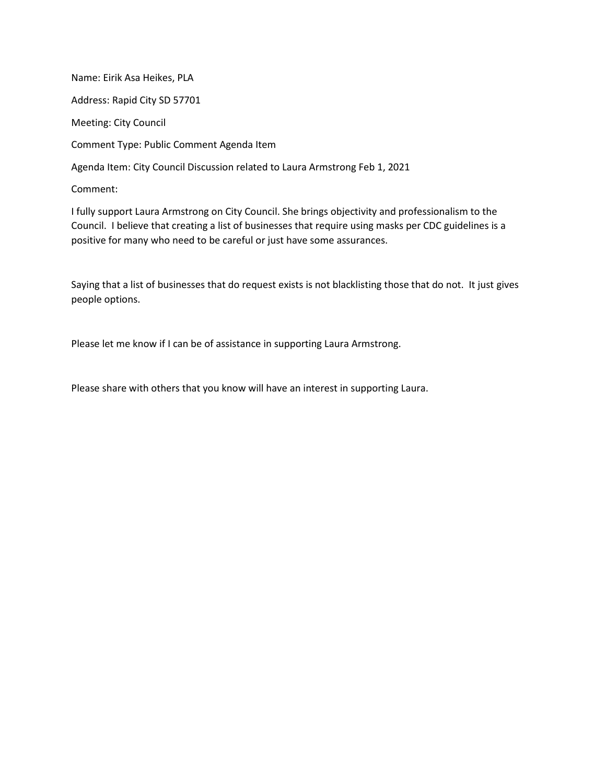Name: Eirik Asa Heikes, PLA Address: Rapid City SD 57701 Meeting: City Council Comment Type: Public Comment Agenda Item Agenda Item: City Council Discussion related to Laura Armstrong Feb 1, 2021 Comment:

I fully support Laura Armstrong on City Council. She brings objectivity and professionalism to the Council. I believe that creating a list of businesses that require using masks per CDC guidelines is a positive for many who need to be careful or just have some assurances.

Saying that a list of businesses that do request exists is not blacklisting those that do not. It just gives people options.

Please let me know if I can be of assistance in supporting Laura Armstrong.

Please share with others that you know will have an interest in supporting Laura.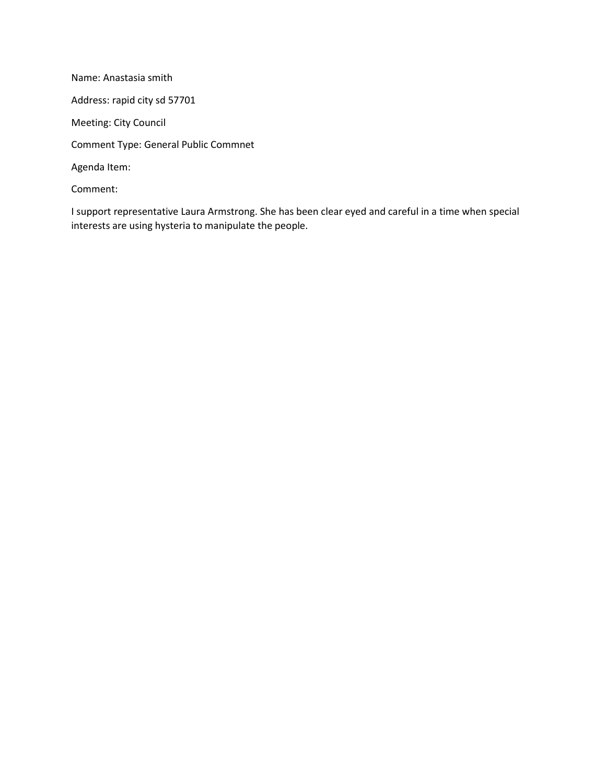Name: Anastasia smith Address: rapid city sd 57701 Meeting: City Council Comment Type: General Public Commnet Agenda Item: Comment:

I support representative Laura Armstrong. She has been clear eyed and careful in a time when special interests are using hysteria to manipulate the people.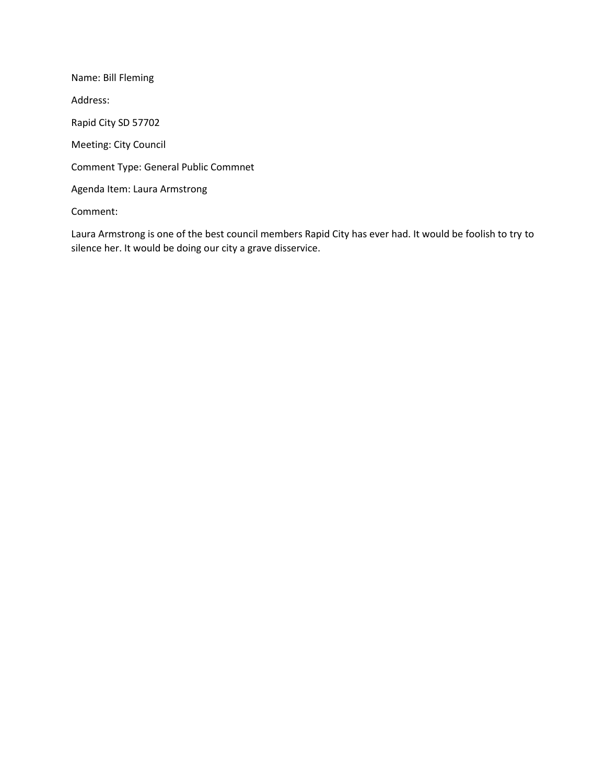Name: Bill Fleming Address: Rapid City SD 57702 Meeting: City Council Comment Type: General Public Commnet Agenda Item: Laura Armstrong Comment:

Laura Armstrong is one of the best council members Rapid City has ever had. It would be foolish to try to silence her. It would be doing our city a grave disservice.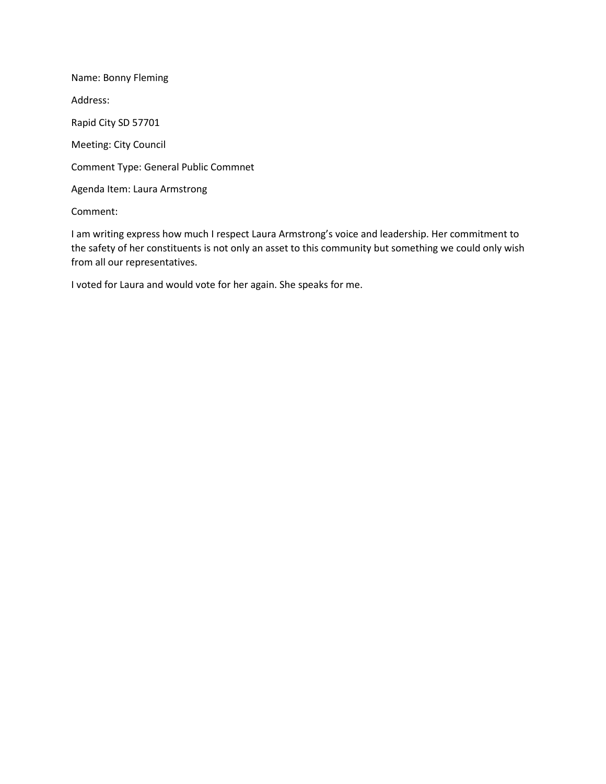Name: Bonny Fleming Address: Rapid City SD 57701 Meeting: City Council Comment Type: General Public Commnet Agenda Item: Laura Armstrong

Comment:

I am writing express how much I respect Laura Armstrong's voice and leadership. Her commitment to the safety of her constituents is not only an asset to this community but something we could only wish from all our representatives.

I voted for Laura and would vote for her again. She speaks for me.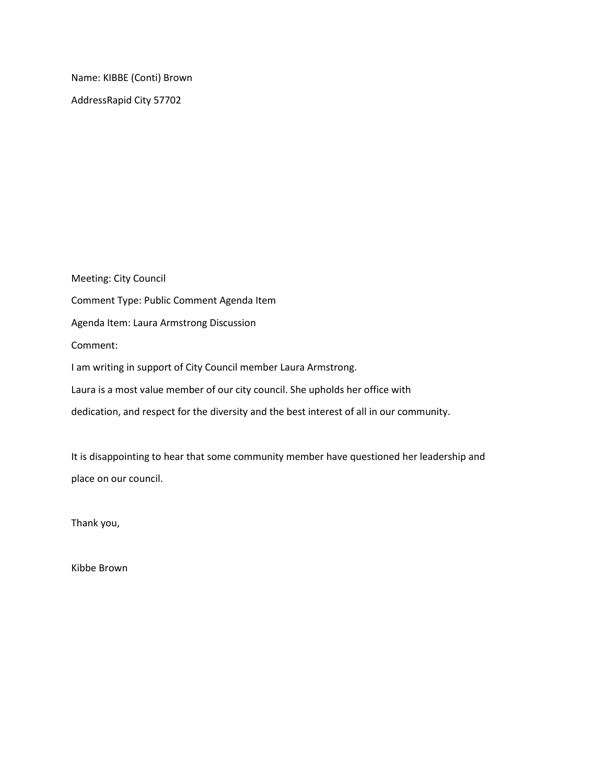Name: KIBBE (Conti) Brown AddressRapid City 57702

Meeting: City Council Comment Type: Public Comment Agenda Item Agenda Item: Laura Armstrong Discussion Comment: I am writing in support of City Council member Laura Armstrong. Laura is a most value member of our city council. She upholds her office with dedication, and respect for the diversity and the best interest of all in our community.

It is disappointing to hear that some community member have questioned her leadership and place on our council.

Thank you,

Kibbe Brown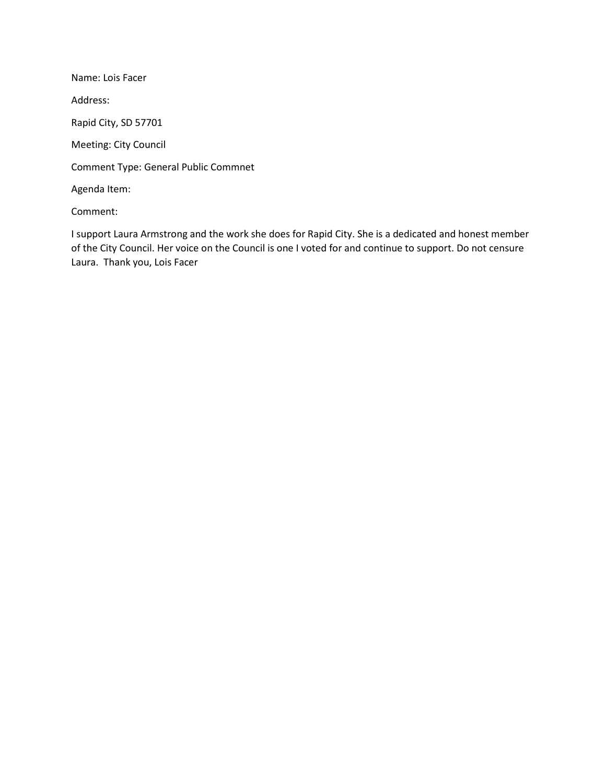Name: Lois Facer Address: Rapid City, SD 57701 Meeting: City Council Comment Type: General Public Commnet Agenda Item:

Comment:

I support Laura Armstrong and the work she does for Rapid City. She is a dedicated and honest member of the City Council. Her voice on the Council is one I voted for and continue to support. Do not censure Laura. Thank you, Lois Facer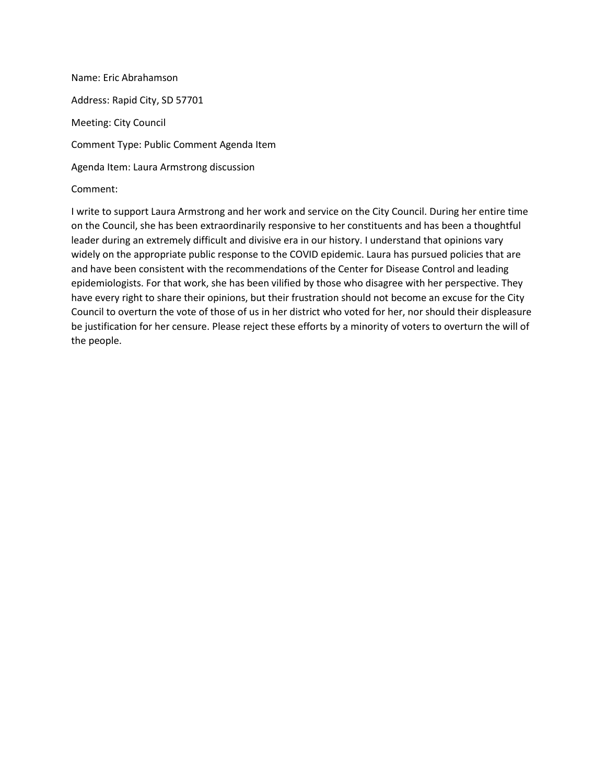Name: Eric Abrahamson Address: Rapid City, SD 57701 Meeting: City Council Comment Type: Public Comment Agenda Item Agenda Item: Laura Armstrong discussion Comment:

I write to support Laura Armstrong and her work and service on the City Council. During her entire time on the Council, she has been extraordinarily responsive to her constituents and has been a thoughtful leader during an extremely difficult and divisive era in our history. I understand that opinions vary widely on the appropriate public response to the COVID epidemic. Laura has pursued policies that are and have been consistent with the recommendations of the Center for Disease Control and leading epidemiologists. For that work, she has been vilified by those who disagree with her perspective. They have every right to share their opinions, but their frustration should not become an excuse for the City Council to overturn the vote of those of us in her district who voted for her, nor should their displeasure be justification for her censure. Please reject these efforts by a minority of voters to overturn the will of the people.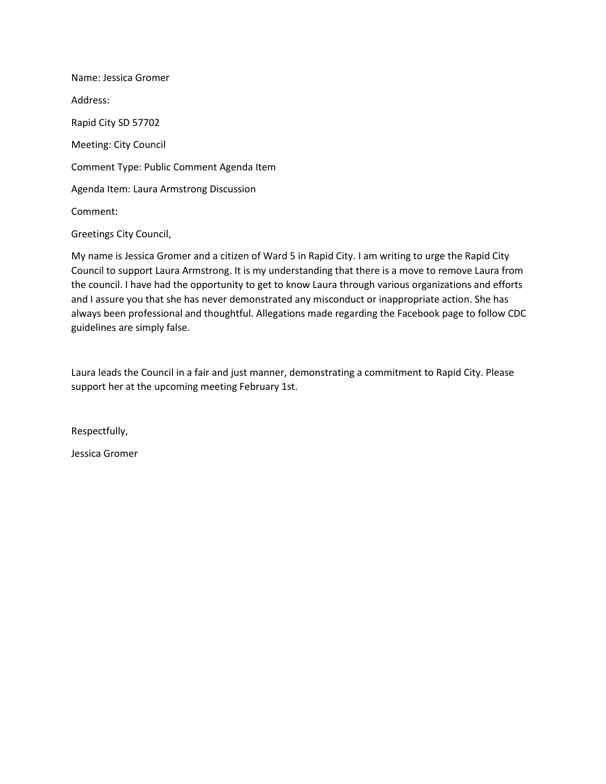Name: Jessica Gromer Address: Rapid City SD 57702 Meeting: City Council Comment Type: Public Comment Agenda Item Agenda Item: Laura Armstrong Discussion Comment: Greetings City Council,

My name is Jessica Gromer and a citizen of Ward 5 in Rapid City. I am writing to urge the Rapid City Council to support Laura Armstrong. It is my understanding that there is a move to remove Laura from the council. I have had the opportunity to get to know Laura through various organizations and efforts and I assure you that she has never demonstrated any misconduct or inappropriate action. She has always been professional and thoughtful. Allegations made regarding the Facebook page to follow CDC guidelines are simply false.

Laura leads the Council in a fair and just manner, demonstrating a commitment to Rapid City. Please support her at the upcoming meeting February 1st.

Respectfully,

Jessica Gromer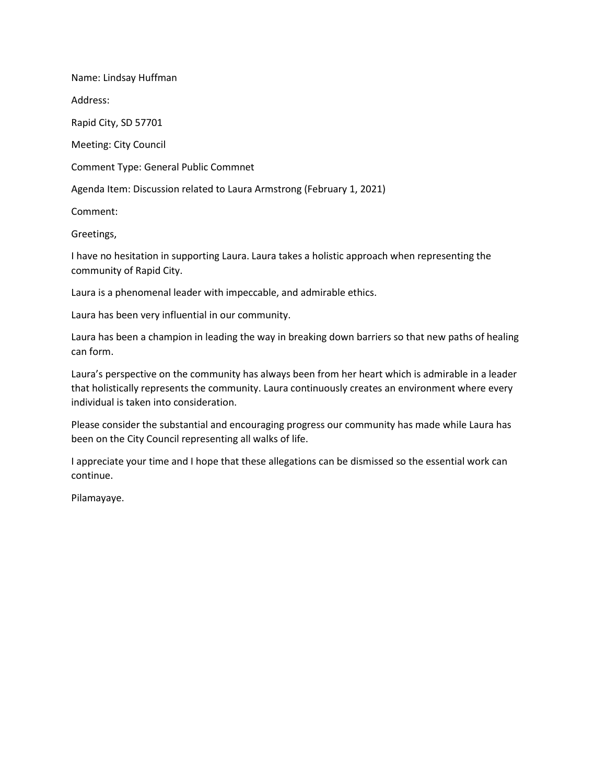Name: Lindsay Huffman

Address:

Rapid City, SD 57701

Meeting: City Council

Comment Type: General Public Commnet

Agenda Item: Discussion related to Laura Armstrong (February 1, 2021)

Comment:

Greetings,

I have no hesitation in supporting Laura. Laura takes a holistic approach when representing the community of Rapid City.

Laura is a phenomenal leader with impeccable, and admirable ethics.

Laura has been very influential in our community.

Laura has been a champion in leading the way in breaking down barriers so that new paths of healing can form.

Laura's perspective on the community has always been from her heart which is admirable in a leader that holistically represents the community. Laura continuously creates an environment where every individual is taken into consideration.

Please consider the substantial and encouraging progress our community has made while Laura has been on the City Council representing all walks of life.

I appreciate your time and I hope that these allegations can be dismissed so the essential work can continue.

Pilamayaye.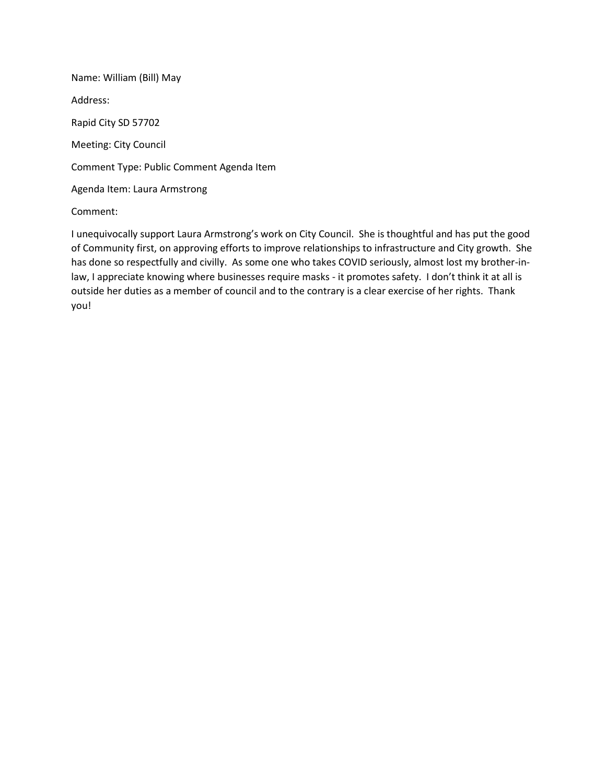Name: William (Bill) May Address: Rapid City SD 57702 Meeting: City Council Comment Type: Public Comment Agenda Item Agenda Item: Laura Armstrong

Comment:

I unequivocally support Laura Armstrong's work on City Council. She is thoughtful and has put the good of Community first, on approving efforts to improve relationships to infrastructure and City growth. She has done so respectfully and civilly. As some one who takes COVID seriously, almost lost my brother-inlaw, I appreciate knowing where businesses require masks - it promotes safety. I don't think it at all is outside her duties as a member of council and to the contrary is a clear exercise of her rights. Thank you!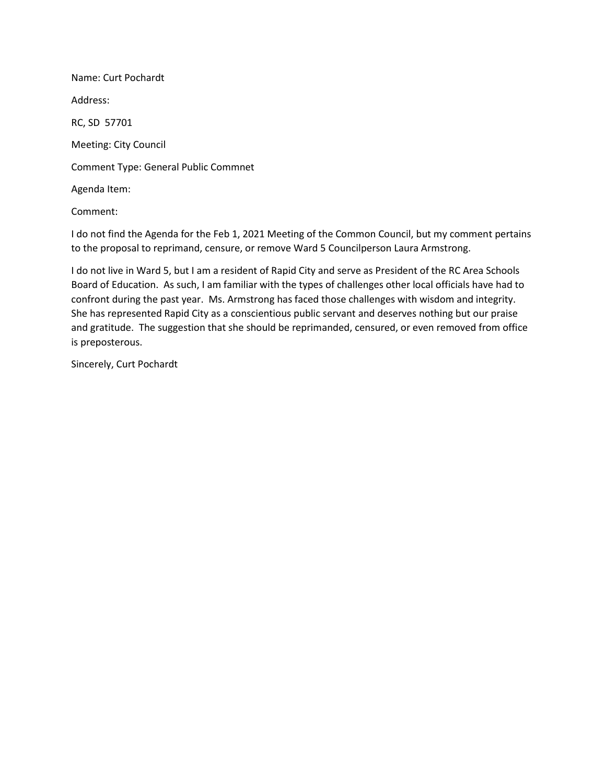Name: Curt Pochardt Address: RC, SD 57701 Meeting: City Council Comment Type: General Public Commnet Agenda Item: Comment:

I do not find the Agenda for the Feb 1, 2021 Meeting of the Common Council, but my comment pertains to the proposal to reprimand, censure, or remove Ward 5 Councilperson Laura Armstrong.

I do not live in Ward 5, but I am a resident of Rapid City and serve as President of the RC Area Schools Board of Education. As such, I am familiar with the types of challenges other local officials have had to confront during the past year. Ms. Armstrong has faced those challenges with wisdom and integrity. She has represented Rapid City as a conscientious public servant and deserves nothing but our praise and gratitude. The suggestion that she should be reprimanded, censured, or even removed from office is preposterous.

Sincerely, Curt Pochardt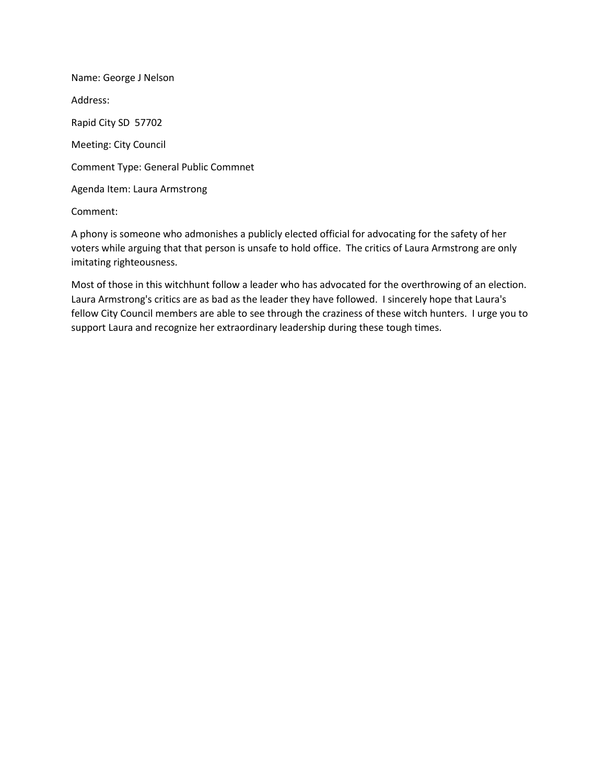Name: George J Nelson Address: Rapid City SD 57702 Meeting: City Council Comment Type: General Public Commnet Agenda Item: Laura Armstrong

Comment:

A phony is someone who admonishes a publicly elected official for advocating for the safety of her voters while arguing that that person is unsafe to hold office. The critics of Laura Armstrong are only imitating righteousness.

Most of those in this witchhunt follow a leader who has advocated for the overthrowing of an election. Laura Armstrong's critics are as bad as the leader they have followed. I sincerely hope that Laura's fellow City Council members are able to see through the craziness of these witch hunters. I urge you to support Laura and recognize her extraordinary leadership during these tough times.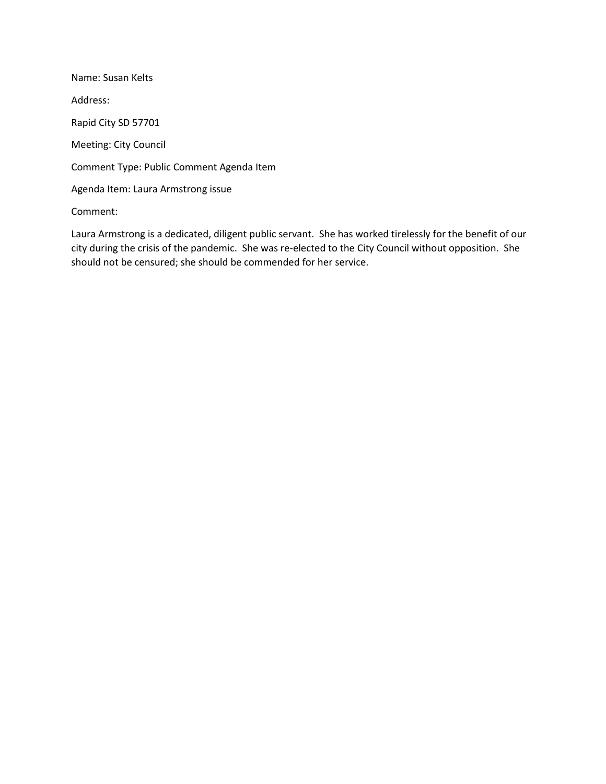Name: Susan Kelts Address: Rapid City SD 57701 Meeting: City Council Comment Type: Public Comment Agenda Item Agenda Item: Laura Armstrong issue

Comment:

Laura Armstrong is a dedicated, diligent public servant. She has worked tirelessly for the benefit of our city during the crisis of the pandemic. She was re-elected to the City Council without opposition. She should not be censured; she should be commended for her service.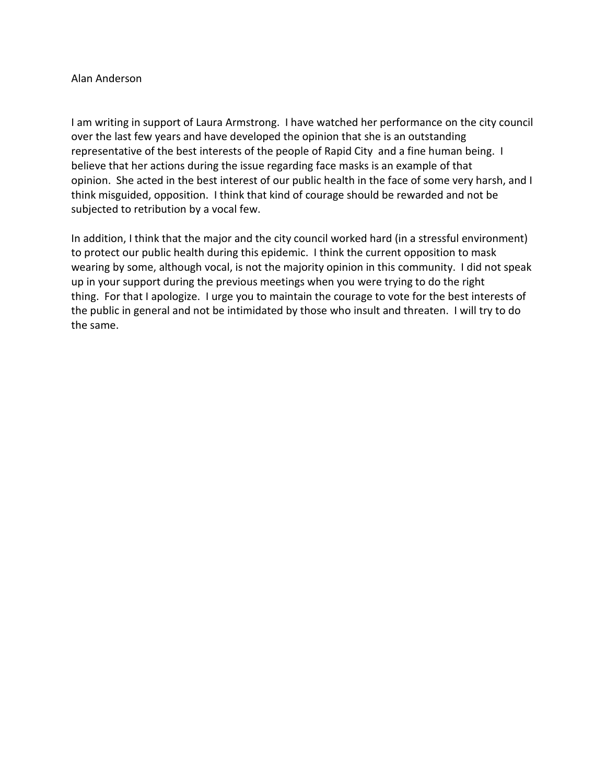## Alan Anderson

I am writing in support of Laura Armstrong. I have watched her performance on the city council over the last few years and have developed the opinion that she is an outstanding representative of the best interests of the people of Rapid City and a fine human being. I believe that her actions during the issue regarding face masks is an example of that opinion. She acted in the best interest of our public health in the face of some very harsh, and I think misguided, opposition. I think that kind of courage should be rewarded and not be subjected to retribution by a vocal few.

In addition, I think that the major and the city council worked hard (in a stressful environment) to protect our public health during this epidemic. I think the current opposition to mask wearing by some, although vocal, is not the majority opinion in this community. I did not speak up in your support during the previous meetings when you were trying to do the right thing. For that I apologize. I urge you to maintain the courage to vote for the best interests of the public in general and not be intimidated by those who insult and threaten. I will try to do the same.